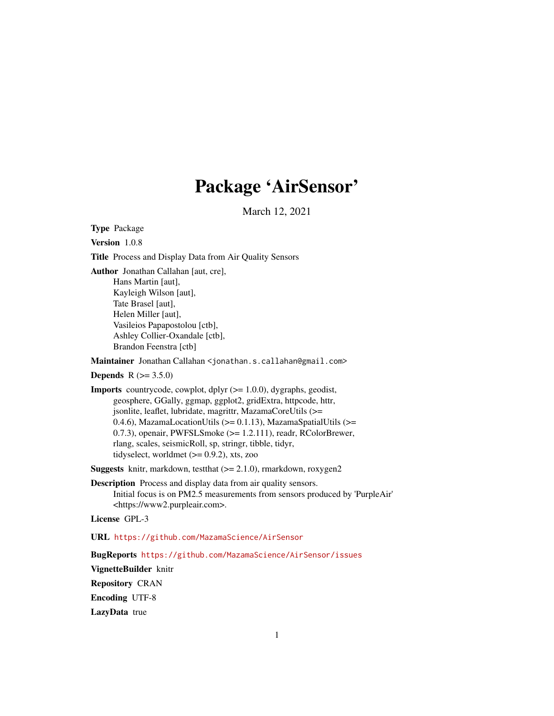# Package 'AirSensor'

March 12, 2021

Type Package

Version 1.0.8

Title Process and Display Data from Air Quality Sensors

Author Jonathan Callahan [aut, cre],

Hans Martin [aut], Kayleigh Wilson [aut], Tate Brasel [aut], Helen Miller [aut], Vasileios Papapostolou [ctb], Ashley Collier-Oxandale [ctb], Brandon Feenstra [ctb]

Maintainer Jonathan Callahan <jonathan.s.callahan@gmail.com>

**Depends**  $R (= 3.5.0)$ 

**Imports** countrycode, cowplot, dplyr  $(>= 1.0.0)$ , dygraphs, geodist, geosphere, GGally, ggmap, ggplot2, gridExtra, httpcode, httr, jsonlite, leaflet, lubridate, magrittr, MazamaCoreUtils (>= 0.4.6), MazamaLocationUtils (>= 0.1.13), MazamaSpatialUtils (>= 0.7.3), openair, PWFSLSmoke (>= 1.2.111), readr, RColorBrewer, rlang, scales, seismicRoll, sp, stringr, tibble, tidyr, tidyselect, worldmet  $(>= 0.9.2)$ , xts, zoo

**Suggests** knitr, markdown, testthat  $(>= 2.1.0)$ , rmarkdown, roxygen2

Description Process and display data from air quality sensors. Initial focus is on PM2.5 measurements from sensors produced by 'PurpleAir' <https://www2.purpleair.com>.

License GPL-3

URL <https://github.com/MazamaScience/AirSensor>

BugReports <https://github.com/MazamaScience/AirSensor/issues>

VignetteBuilder knitr Repository CRAN Encoding UTF-8 LazyData true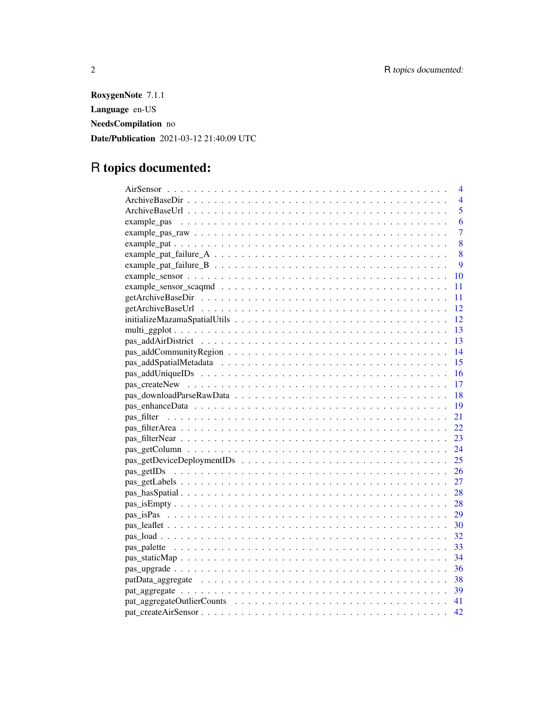RoxygenNote 7.1.1 Language en-US NeedsCompilation no Date/Publication 2021-03-12 21:40:09 UTC

# R topics documented:

| 4               |
|-----------------|
| $\overline{4}$  |
| 5               |
| 6               |
| 7               |
| 8               |
| 8               |
| 9               |
| 10              |
| 11              |
| 11              |
| 12              |
| 12              |
| 13              |
| -13             |
| 14              |
| 15              |
| - 16            |
| -17             |
| - 18            |
| $\overline{19}$ |
| 21              |
| 22              |
| 23              |
| 24              |
| 25              |
| 26              |
| 27              |
| 28              |
| 28              |
| 29              |
| 30              |
| 32              |
| 33              |
| - 34            |
|                 |
|                 |
|                 |
|                 |
| 42              |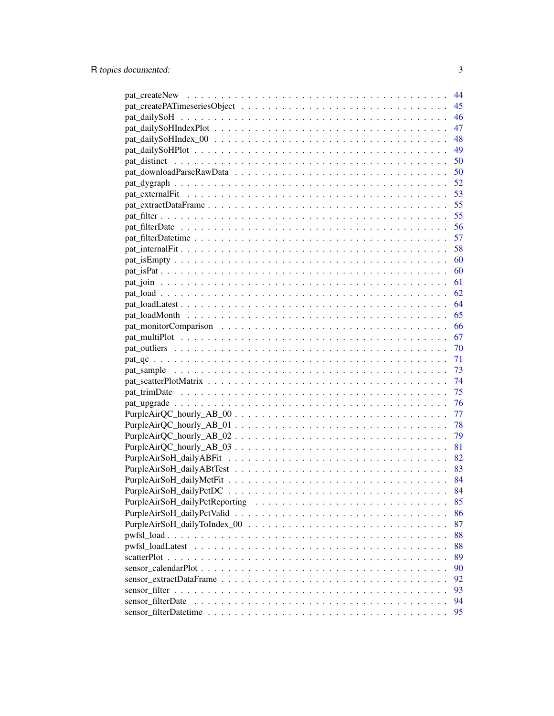|                   | 44 |
|-------------------|----|
|                   | 45 |
|                   | 46 |
|                   | 47 |
|                   | 48 |
|                   | 49 |
|                   | 50 |
|                   | 50 |
|                   | 52 |
|                   | 53 |
|                   |    |
|                   |    |
|                   |    |
|                   |    |
|                   |    |
|                   | 60 |
|                   | 60 |
|                   | 61 |
|                   | 62 |
|                   | 64 |
|                   | 65 |
|                   | 66 |
|                   | 67 |
|                   |    |
|                   |    |
|                   |    |
|                   |    |
|                   | 75 |
|                   | 76 |
|                   | 77 |
|                   | 78 |
|                   | 79 |
|                   | 81 |
|                   | 82 |
|                   | 83 |
|                   |    |
|                   | 84 |
|                   | 85 |
|                   | 86 |
|                   | 87 |
|                   | 88 |
|                   | 88 |
|                   | 89 |
|                   | 90 |
|                   | 92 |
|                   | 93 |
| sensor filterDate | 94 |
|                   | 95 |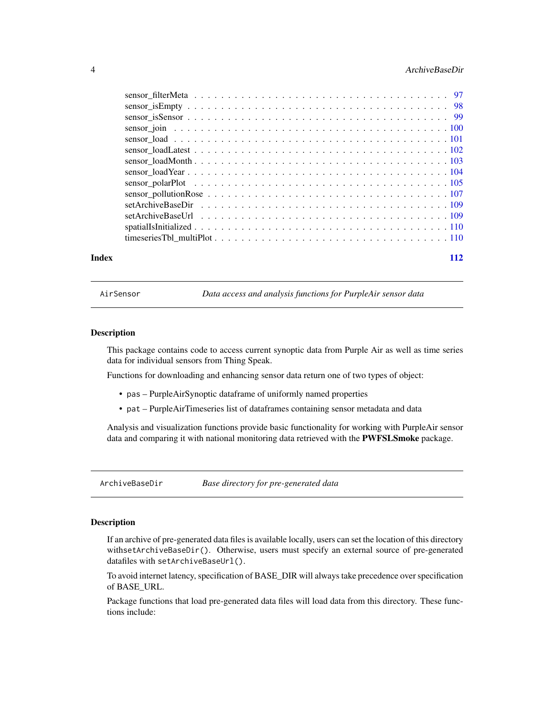#### <span id="page-3-0"></span>4 ArchiveBaseDir

| Index | 112 |
|-------|-----|

AirSensor *Data access and analysis functions for PurpleAir sensor data*

#### Description

This package contains code to access current synoptic data from Purple Air as well as time series data for individual sensors from Thing Speak.

Functions for downloading and enhancing sensor data return one of two types of object:

- pas PurpleAirSynoptic dataframe of uniformly named properties
- pat PurpleAirTimeseries list of dataframes containing sensor metadata and data

Analysis and visualization functions provide basic functionality for working with PurpleAir sensor data and comparing it with national monitoring data retrieved with the PWFSLSmoke package.

ArchiveBaseDir *Base directory for pre-generated data*

# Description

If an archive of pre-generated data files is available locally, users can set the location of this directory withsetArchiveBaseDir(). Otherwise, users must specify an external source of pre-generated datafiles with setArchiveBaseUrl().

To avoid internet latency, specification of BASE\_DIR will always take precedence over specification of BASE\_URL.

Package functions that load pre-generated data files will load data from this directory. These functions include: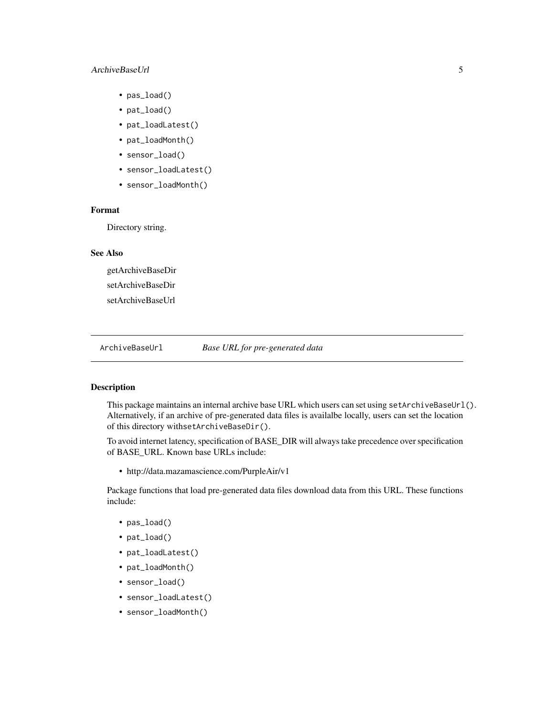#### <span id="page-4-0"></span>ArchiveBaseUrl 5

- pas\_load()
- pat\_load()
- pat\_loadLatest()
- pat\_loadMonth()
- sensor\_load()
- sensor\_loadLatest()
- sensor\_loadMonth()

# Format

Directory string.

#### See Also

getArchiveBaseDir setArchiveBaseDir setArchiveBaseUrl

ArchiveBaseUrl *Base URL for pre-generated data*

# Description

This package maintains an internal archive base URL which users can set using setArchiveBaseUrl(). Alternatively, if an archive of pre-generated data files is availalbe locally, users can set the location of this directory withsetArchiveBaseDir().

To avoid internet latency, specification of BASE\_DIR will always take precedence over specification of BASE\_URL. Known base URLs include:

• http://data.mazamascience.com/PurpleAir/v1

Package functions that load pre-generated data files download data from this URL. These functions include:

- pas\_load()
- pat\_load()
- pat\_loadLatest()
- pat\_loadMonth()
- sensor\_load()
- sensor\_loadLatest()
- sensor\_loadMonth()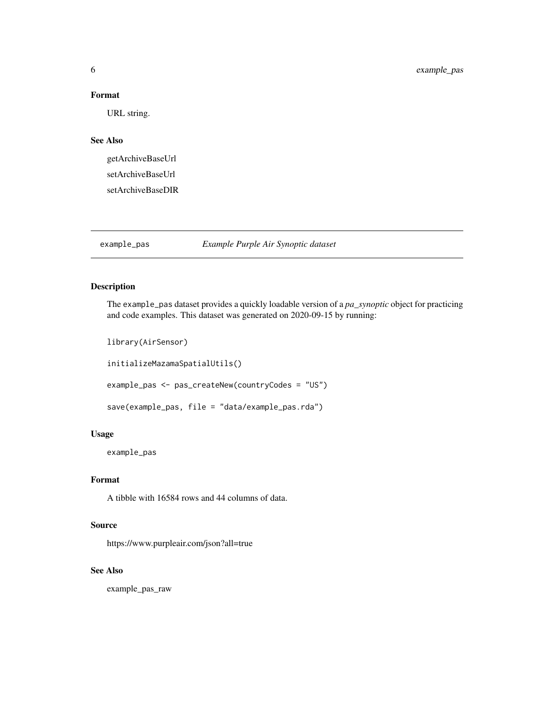#### <span id="page-5-0"></span>Format

URL string.

# See Also

getArchiveBaseUrl setArchiveBaseUrl setArchiveBaseDIR

# example\_pas *Example Purple Air Synoptic dataset*

# Description

The example\_pas dataset provides a quickly loadable version of a *pa\_synoptic* object for practicing and code examples. This dataset was generated on 2020-09-15 by running:

library(AirSensor)

initializeMazamaSpatialUtils()

example\_pas <- pas\_createNew(countryCodes = "US")

```
save(example_pas, file = "data/example_pas.rda")
```
#### Usage

example\_pas

#### Format

A tibble with 16584 rows and 44 columns of data.

#### Source

https://www.purpleair.com/json?all=true

#### See Also

example\_pas\_raw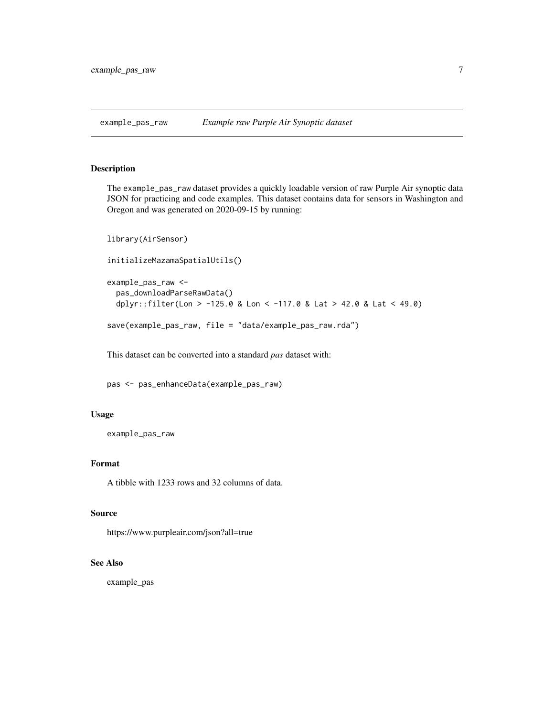<span id="page-6-0"></span>

The example\_pas\_raw dataset provides a quickly loadable version of raw Purple Air synoptic data JSON for practicing and code examples. This dataset contains data for sensors in Washington and Oregon and was generated on 2020-09-15 by running:

```
library(AirSensor)
initializeMazamaSpatialUtils()
example_pas_raw <-
 pas_downloadParseRawData()
 dplyr::filter(Lon > -125.0 & Lon < -117.0 & Lat > 42.0 & Lat < 49.0)
save(example_pas_raw, file = "data/example_pas_raw.rda")
```
This dataset can be converted into a standard *pas* dataset with:

pas <- pas\_enhanceData(example\_pas\_raw)

#### Usage

example\_pas\_raw

#### Format

A tibble with 1233 rows and 32 columns of data.

#### Source

https://www.purpleair.com/json?all=true

# See Also

example\_pas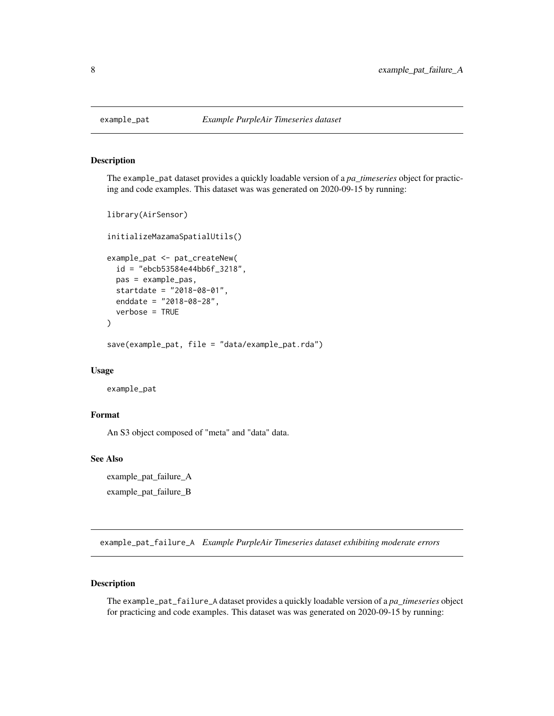<span id="page-7-0"></span>

The example\_pat dataset provides a quickly loadable version of a *pa\_timeseries* object for practicing and code examples. This dataset was was generated on 2020-09-15 by running:

```
library(AirSensor)
initializeMazamaSpatialUtils()
example_pat <- pat_createNew(
  id = "ebcb53584e44bb6f_3218",
 pas = example_pas,
  startdate = "2018-08-01",
  enddate = "2018-08-28",
  verbose = TRUE
\mathcal{L}save(example_pat, file = "data/example_pat.rda")
```
#### Usage

example\_pat

#### Format

An S3 object composed of "meta" and "data" data.

# See Also

example\_pat\_failure\_A example\_pat\_failure\_B

example\_pat\_failure\_A *Example PurpleAir Timeseries dataset exhibiting moderate errors*

# Description

The example\_pat\_failure\_A dataset provides a quickly loadable version of a *pa\_timeseries* object for practicing and code examples. This dataset was was generated on 2020-09-15 by running: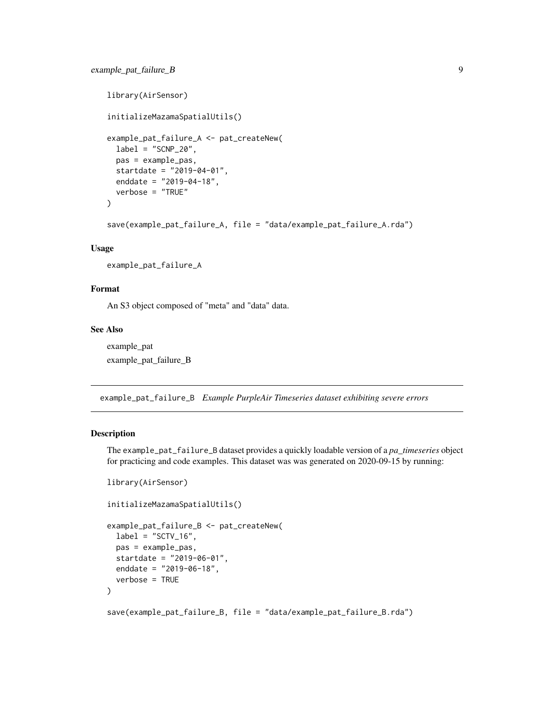```
library(AirSensor)
initializeMazamaSpatialUtils()
example_pat_failure_A <- pat_createNew(
  label = "SCNP_20",pas = example_pas,
 startdate = "2019-04-01",
 enddate = "2019-04-18",
  verbose = "TRUE"
)
save(example_pat_failure_A, file = "data/example_pat_failure_A.rda")
```
#### Usage

example\_pat\_failure\_A

#### Format

An S3 object composed of "meta" and "data" data.

#### See Also

example\_pat example\_pat\_failure\_B

example\_pat\_failure\_B *Example PurpleAir Timeseries dataset exhibiting severe errors*

#### **Description**

The example\_pat\_failure\_B dataset provides a quickly loadable version of a *pa\_timeseries* object for practicing and code examples. This dataset was was generated on 2020-09-15 by running:

```
library(AirSensor)
```

```
initializeMazamaSpatialUtils()
```

```
example_pat_failure_B <- pat_createNew(
 label = "SCTV_16",pas = example_pas,
 startdate = "2019-06-01",
 enddate = "2019-06-18",
 verbose = TRUE
)
```
save(example\_pat\_failure\_B, file = "data/example\_pat\_failure\_B.rda")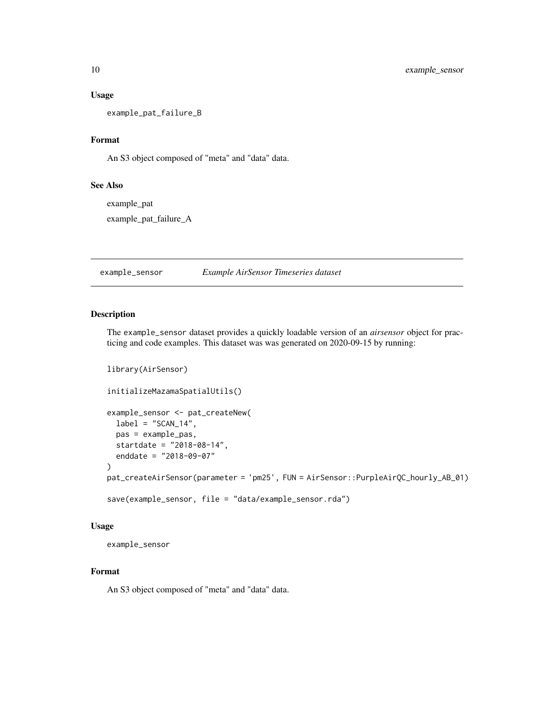#### <span id="page-9-0"></span>Usage

example\_pat\_failure\_B

# Format

An S3 object composed of "meta" and "data" data.

#### See Also

example\_pat

example\_pat\_failure\_A

example\_sensor *Example AirSensor Timeseries dataset*

# Description

The example\_sensor dataset provides a quickly loadable version of an *airsensor* object for practicing and code examples. This dataset was was generated on 2020-09-15 by running:

```
library(AirSensor)
initializeMazamaSpatialUtils()
example_sensor <- pat_createNew(
  label = "SCAN_14",pas = example_pas,
  startdate = "2018-08-14",
  enddate = "2018-09-07"
)
pat_createAirSensor(parameter = 'pm25', FUN = AirSensor::PurpleAirQC_hourly_AB_01)
save(example_sensor, file = "data/example_sensor.rda")
```
#### Usage

example\_sensor

#### Format

An S3 object composed of "meta" and "data" data.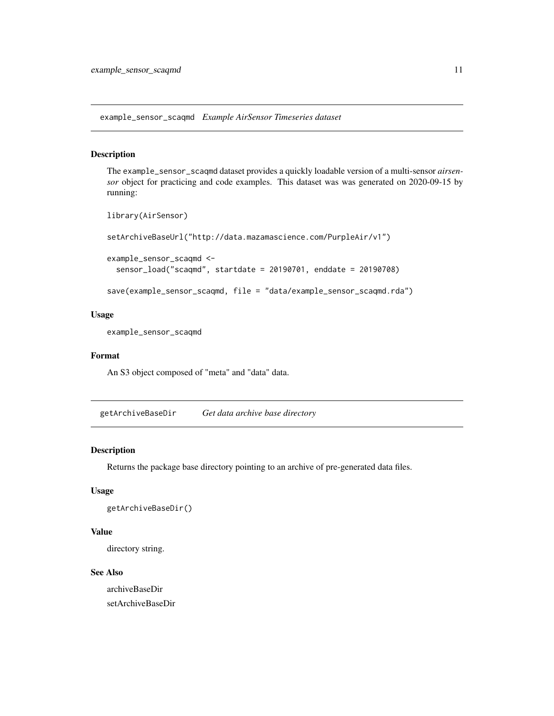<span id="page-10-0"></span>example\_sensor\_scaqmd *Example AirSensor Timeseries dataset*

# Description

The example\_sensor\_scaqmd dataset provides a quickly loadable version of a multi-sensor *airsensor* object for practicing and code examples. This dataset was was generated on 2020-09-15 by running:

```
library(AirSensor)
setArchiveBaseUrl("http://data.mazamascience.com/PurpleAir/v1")
example_sensor_scaqmd <-
  sensor_load("scaqmd", startdate = 20190701, enddate = 20190708)
save(example_sensor_scaqmd, file = "data/example_sensor_scaqmd.rda")
```
#### Usage

example\_sensor\_scaqmd

#### Format

An S3 object composed of "meta" and "data" data.

getArchiveBaseDir *Get data archive base directory*

# Description

Returns the package base directory pointing to an archive of pre-generated data files.

# Usage

```
getArchiveBaseDir()
```
#### Value

directory string.

#### See Also

archiveBaseDir setArchiveBaseDir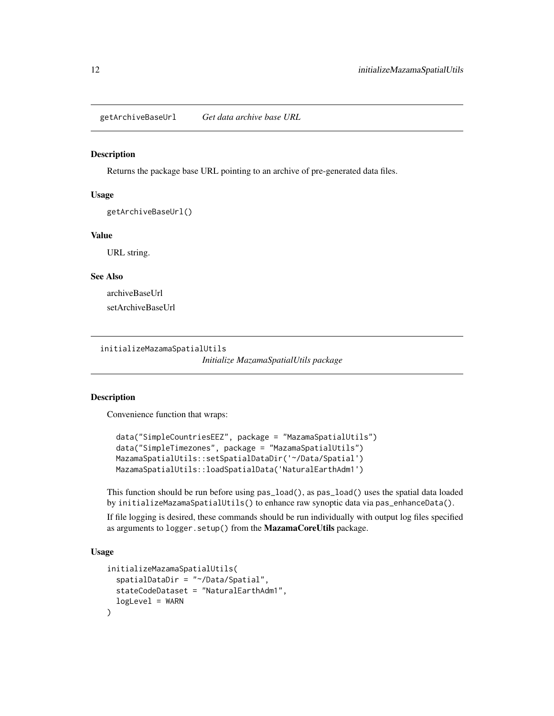<span id="page-11-0"></span>getArchiveBaseUrl *Get data archive base URL*

#### Description

Returns the package base URL pointing to an archive of pre-generated data files.

#### Usage

getArchiveBaseUrl()

# Value

URL string.

#### See Also

archiveBaseUrl setArchiveBaseUrl

initializeMazamaSpatialUtils

*Initialize MazamaSpatialUtils package*

#### Description

Convenience function that wraps:

```
data("SimpleCountriesEEZ", package = "MazamaSpatialUtils")
data("SimpleTimezones", package = "MazamaSpatialUtils")
MazamaSpatialUtils::setSpatialDataDir('~/Data/Spatial')
MazamaSpatialUtils::loadSpatialData('NaturalEarthAdm1')
```
This function should be run before using pas\_load(), as pas\_load() uses the spatial data loaded by initializeMazamaSpatialUtils() to enhance raw synoptic data via pas\_enhanceData().

If file logging is desired, these commands should be run individually with output log files specified as arguments to logger.setup() from the MazamaCoreUtils package.

# Usage

```
initializeMazamaSpatialUtils(
  spatialDataDir = "~/Data/Spatial",
  stateCodeDataset = "NaturalEarthAdm1",
  logLevel = WARN)
```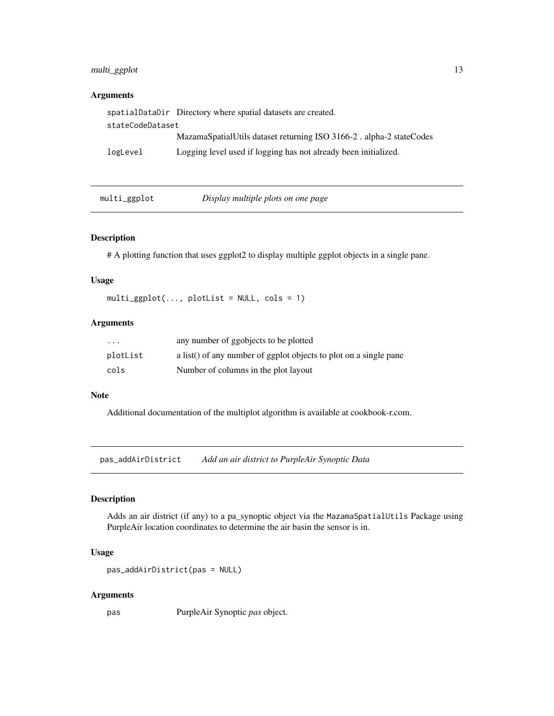# <span id="page-12-0"></span>multi\_ggplot 13

# Arguments

|                  | spatialDataDir Directory where spatial datasets are created.        |  |
|------------------|---------------------------------------------------------------------|--|
| stateCodeDataset |                                                                     |  |
|                  | MazamaSpatialUtils dataset returning ISO 3166-2. alpha-2 stateCodes |  |
| logLevel         | Logging level used if logging has not already been initialized.     |  |

| multi_ggplot | Display multiple plots on one page |  |
|--------------|------------------------------------|--|
|--------------|------------------------------------|--|

# Description

# A plotting function that uses ggplot2 to display multiple ggplot objects in a single pane.

# Usage

 $multi\_ggplot(..., plotList = NULL, cols = 1)$ 

# Arguments

| $\cdot$ $\cdot$ $\cdot$ | any number of ggobjects to be plotted                             |
|-------------------------|-------------------------------------------------------------------|
| plotList                | a list() of any number of ggplot objects to plot on a single pane |
| cols                    | Number of columns in the plot layout                              |

#### Note

Additional documentation of the multiplot algorithm is available at cookbook-r.com.

pas\_addAirDistrict *Add an air district to PurpleAir Synoptic Data*

# Description

Adds an air district (if any) to a pa\_synoptic object via the MazamaSpatialUtils Package using PurpleAir location coordinates to determine the air basin the sensor is in.

#### Usage

```
pas_addAirDistrict(pas = NULL)
```
#### Arguments

pas PurpleAir Synoptic *pas* object.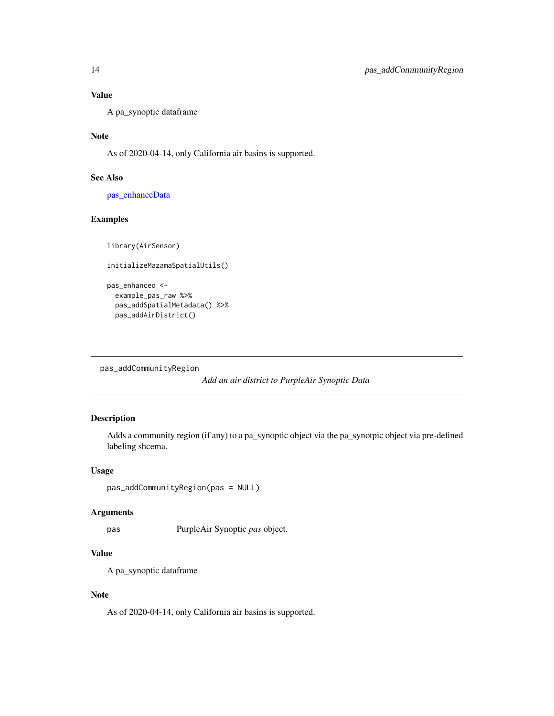# <span id="page-13-0"></span>Value

A pa\_synoptic dataframe

# Note

As of 2020-04-14, only California air basins is supported.

# See Also

[pas\\_enhanceData](#page-18-1)

# Examples

library(AirSensor)

```
initializeMazamaSpatialUtils()
```

```
pas_enhanced <-
 example_pas_raw %>%
 pas_addSpatialMetadata() %>%
 pas_addAirDistrict()
```
pas\_addCommunityRegion

*Add an air district to PurpleAir Synoptic Data*

# Description

Adds a community region (if any) to a pa\_synoptic object via the pa\_synotpic object via pre-defined labeling shcema.

#### Usage

```
pas_addCommunityRegion(pas = NULL)
```
#### Arguments

pas PurpleAir Synoptic *pas* object.

# Value

A pa\_synoptic dataframe

#### Note

As of 2020-04-14, only California air basins is supported.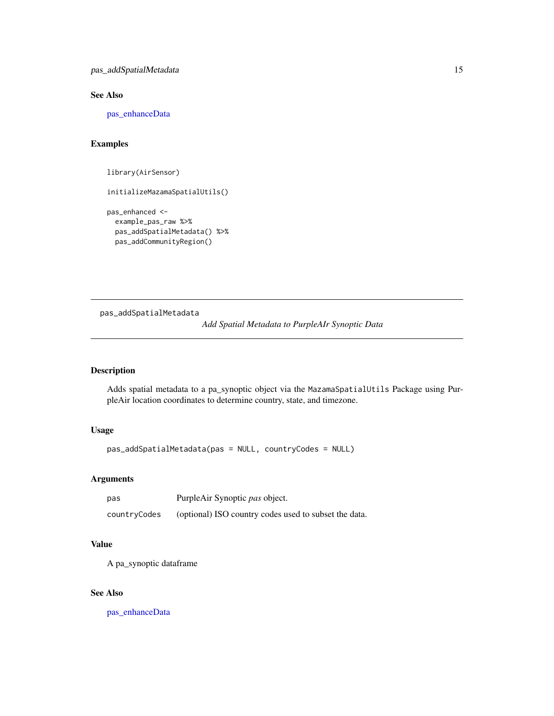<span id="page-14-0"></span>pas\_addSpatialMetadata 15

#### See Also

[pas\\_enhanceData](#page-18-1)

# Examples

library(AirSensor)

initializeMazamaSpatialUtils()

```
pas_enhanced <-
 example_pas_raw %>%
 pas_addSpatialMetadata() %>%
 pas_addCommunityRegion()
```
<span id="page-14-1"></span>pas\_addSpatialMetadata *Add Spatial Metadata to PurpleAIr Synoptic Data*

# Description

Adds spatial metadata to a pa\_synoptic object via the MazamaSpatialUtils Package using PurpleAir location coordinates to determine country, state, and timezone.

# Usage

pas\_addSpatialMetadata(pas = NULL, countryCodes = NULL)

#### Arguments

| pas          | PurpleAir Synoptic pas object.                        |
|--------------|-------------------------------------------------------|
| countryCodes | (optional) ISO country codes used to subset the data. |

# Value

A pa\_synoptic dataframe

#### See Also

[pas\\_enhanceData](#page-18-1)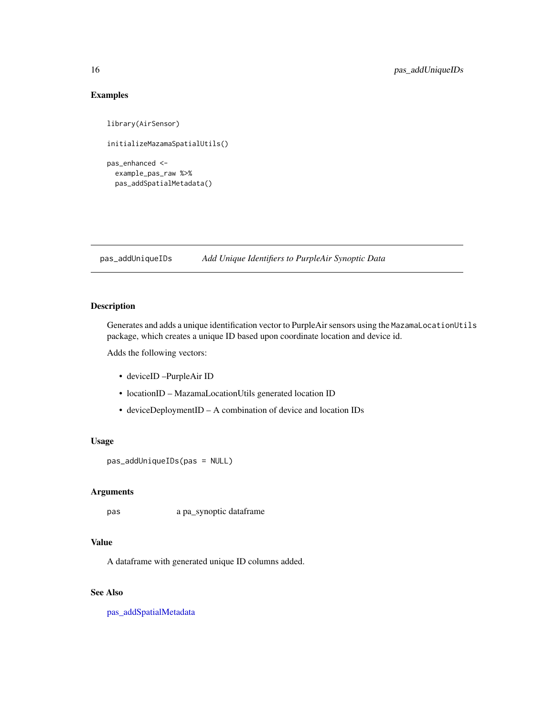# Examples

```
library(AirSensor)
initializeMazamaSpatialUtils()
pas_enhanced <-
 example_pas_raw %>%
 pas_addSpatialMetadata()
```
pas\_addUniqueIDs *Add Unique Identifiers to PurpleAir Synoptic Data*

# Description

Generates and adds a unique identification vector to PurpleAir sensors using the MazamaLocationUtils package, which creates a unique ID based upon coordinate location and device id.

Adds the following vectors:

- deviceID –PurpleAir ID
- locationID MazamaLocationUtils generated location ID
- deviceDeploymentID A combination of device and location IDs

#### Usage

```
pas_addUniqueIDs(pas = NULL)
```
#### Arguments

pas a pa\_synoptic dataframe

# Value

A dataframe with generated unique ID columns added.

# See Also

[pas\\_addSpatialMetadata](#page-14-1)

<span id="page-15-0"></span>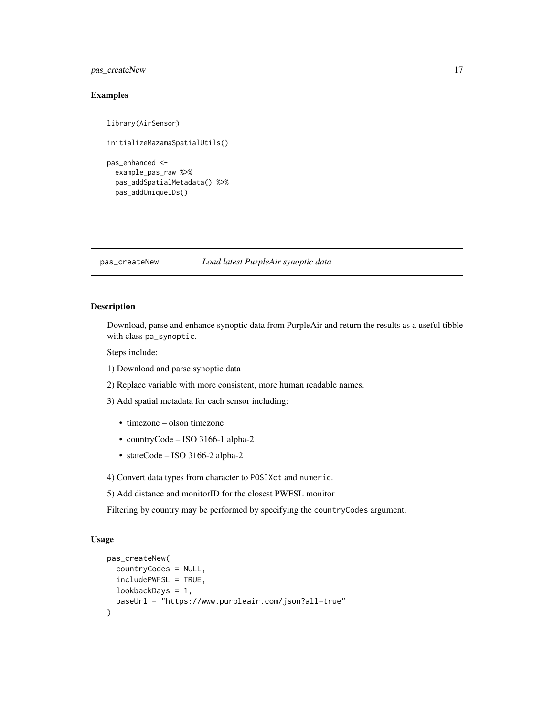# <span id="page-16-0"></span>pas\_createNew 17

# Examples

```
library(AirSensor)
initializeMazamaSpatialUtils()
pas_enhanced <-
 example_pas_raw %>%
 pas_addSpatialMetadata() %>%
 pas_addUniqueIDs()
```
#### <span id="page-16-1"></span>pas\_createNew *Load latest PurpleAir synoptic data*

#### Description

Download, parse and enhance synoptic data from PurpleAir and return the results as a useful tibble with class pa\_synoptic.

Steps include:

- 1) Download and parse synoptic data
- 2) Replace variable with more consistent, more human readable names.
- 3) Add spatial metadata for each sensor including:
	- timezone olson timezone
	- countryCode ISO 3166-1 alpha-2
	- stateCode ISO 3166-2 alpha-2

4) Convert data types from character to POSIXct and numeric.

5) Add distance and monitorID for the closest PWFSL monitor

Filtering by country may be performed by specifying the countryCodes argument.

#### Usage

```
pas_createNew(
  countryCodes = NULL,
  includePWFSL = TRUE,
  lookbackDays = 1,
 baseUrl = "https://www.purpleair.com/json?all=true"
)
```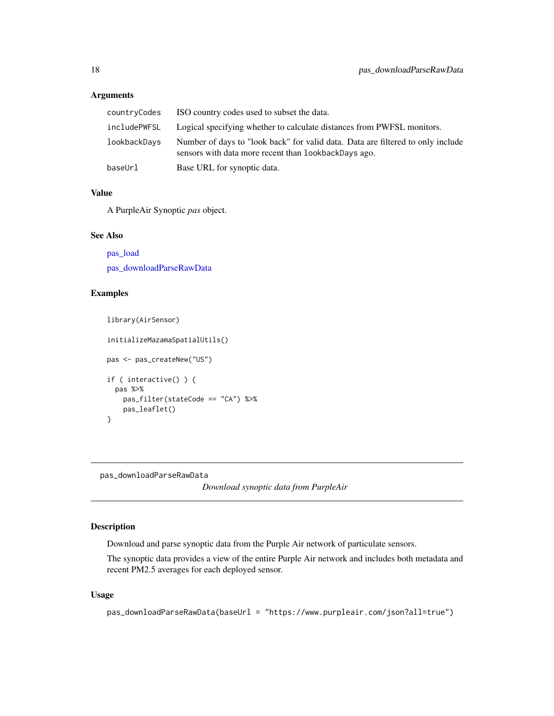# <span id="page-17-0"></span>Arguments

| countryCodes | ISO country codes used to subset the data.                                                                                              |
|--------------|-----------------------------------------------------------------------------------------------------------------------------------------|
|              | includePWFSL Logical specifying whether to calculate distances from PWFSL monitors.                                                     |
| lookbackDays | Number of days to "look back" for valid data. Data are filtered to only include<br>sensors with data more recent than lookbackDays ago. |
| baseUrl      | Base URL for synoptic data.                                                                                                             |

#### Value

A PurpleAir Synoptic *pas* object.

# See Also

[pas\\_load](#page-31-1) [pas\\_downloadParseRawData](#page-17-1)

# Examples

```
library(AirSensor)
initializeMazamaSpatialUtils()
pas <- pas_createNew("US")
if ( interactive() ) {
  pas %>%
   pas_filter(stateCode == "CA") %>%
   pas_leaflet()
}
```
<span id="page-17-1"></span>pas\_downloadParseRawData

*Download synoptic data from PurpleAir*

# Description

Download and parse synoptic data from the Purple Air network of particulate sensors.

The synoptic data provides a view of the entire Purple Air network and includes both metadata and recent PM2.5 averages for each deployed sensor.

#### Usage

```
pas_downloadParseRawData(baseUrl = "https://www.purpleair.com/json?all=true")
```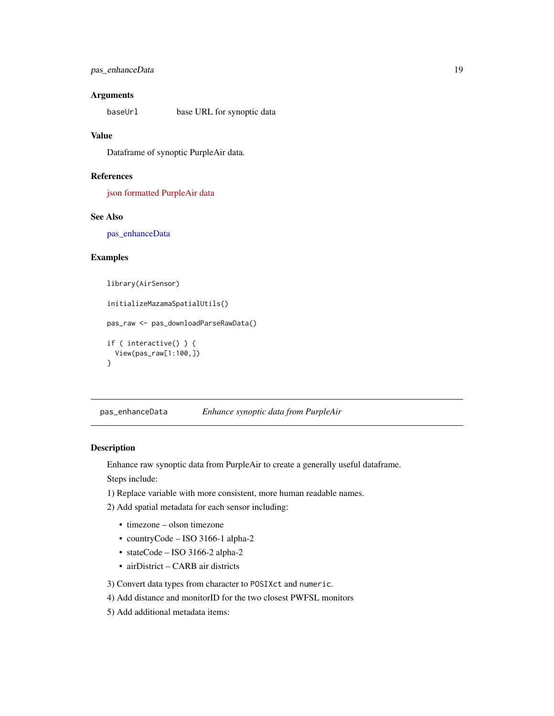# <span id="page-18-0"></span>pas\_enhanceData 19

# Arguments

baseUrl base URL for synoptic data

#### Value

Dataframe of synoptic PurpleAir data.

#### References

[json formatted PurpleAir data](https://www.purpleair.com/json?all=true)

# See Also

[pas\\_enhanceData](#page-18-1)

#### Examples

```
library(AirSensor)
```

```
initializeMazamaSpatialUtils()
pas_raw <- pas_downloadParseRawData()
if ( interactive() ) {
 View(pas_raw[1:100,])
}
```
<span id="page-18-1"></span>pas\_enhanceData *Enhance synoptic data from PurpleAir*

#### Description

Enhance raw synoptic data from PurpleAir to create a generally useful dataframe.

Steps include:

- 1) Replace variable with more consistent, more human readable names.
- 2) Add spatial metadata for each sensor including:
	- timezone olson timezone
	- countryCode ISO 3166-1 alpha-2
	- stateCode ISO 3166-2 alpha-2
	- airDistrict CARB air districts
- 3) Convert data types from character to POSIXct and numeric.
- 4) Add distance and monitorID for the two closest PWFSL monitors
- 5) Add additional metadata items: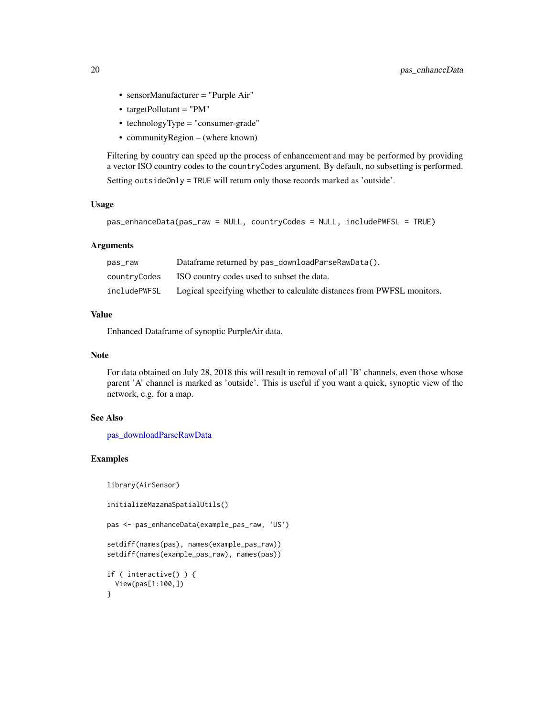- sensorManufacturer = "Purple Air"
- targetPollutant = "PM"
- technologyType = "consumer-grade"
- communityRegion (where known)

Filtering by country can speed up the process of enhancement and may be performed by providing a vector ISO country codes to the countryCodes argument. By default, no subsetting is performed. Setting outsideOnly = TRUE will return only those records marked as 'outside'.

#### Usage

```
pas_enhanceData(pas_raw = NULL, countryCodes = NULL, includePWFSL = TRUE)
```
#### Arguments

| pas_raw      | Dataframe returned by pas_downloadParseRawData().                      |
|--------------|------------------------------------------------------------------------|
| countryCodes | ISO country codes used to subset the data.                             |
| includePWFSL | Logical specifying whether to calculate distances from PWFSL monitors. |

# Value

Enhanced Dataframe of synoptic PurpleAir data.

#### Note

For data obtained on July 28, 2018 this will result in removal of all 'B' channels, even those whose parent 'A' channel is marked as 'outside'. This is useful if you want a quick, synoptic view of the network, e.g. for a map.

# See Also

[pas\\_downloadParseRawData](#page-17-1)

# Examples

library(AirSensor)

```
initializeMazamaSpatialUtils()
```
pas <- pas\_enhanceData(example\_pas\_raw, 'US')

```
setdiff(names(pas), names(example_pas_raw))
setdiff(names(example_pas_raw), names(pas))
```

```
if ( interactive() ) {
 View(pas[1:100,])
}
```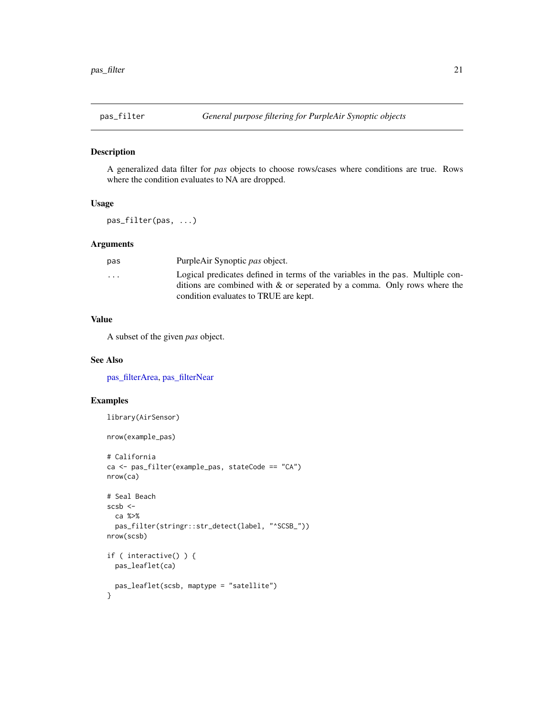<span id="page-20-1"></span><span id="page-20-0"></span>

A generalized data filter for *pas* objects to choose rows/cases where conditions are true. Rows where the condition evaluates to NA are dropped.

# Usage

pas\_filter(pas, ...)

# Arguments

| pas                     | PurpleAir Synoptic pas object.                                                 |
|-------------------------|--------------------------------------------------------------------------------|
| $\cdot$ $\cdot$ $\cdot$ | Logical predicates defined in terms of the variables in the pas. Multiple con- |
|                         | ditions are combined with $\&$ or seperated by a comma. Only rows where the    |
|                         | condition evaluates to TRUE are kept.                                          |
|                         |                                                                                |

# Value

A subset of the given *pas* object.

#### See Also

[pas\\_filterArea,](#page-21-1) [pas\\_filterNear](#page-22-1)

#### Examples

```
library(AirSensor)
```

```
nrow(example_pas)
```

```
# California
ca <- pas_filter(example_pas, stateCode == "CA")
nrow(ca)
```

```
# Seal Beach
scsb <-
  ca %>%
  pas_filter(stringr::str_detect(label, "^SCSB_"))
nrow(scsb)
if ( interactive() ) {
  pas_leaflet(ca)
  pas_leaflet(scsb, maptype = "satellite")
}
```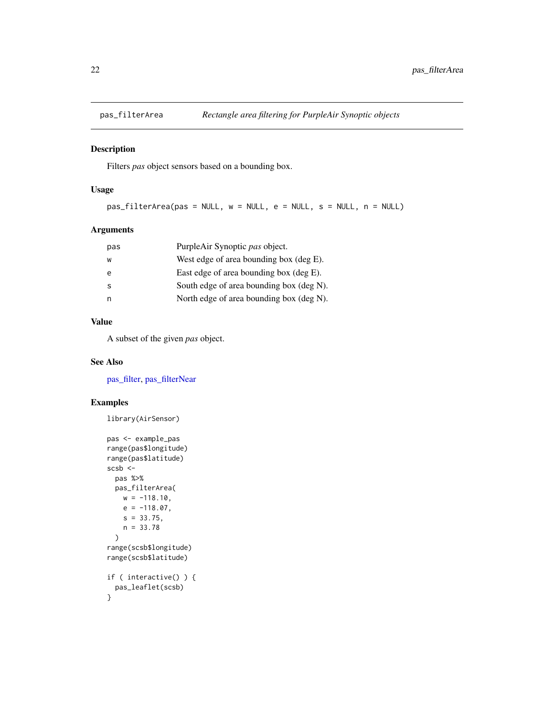<span id="page-21-1"></span><span id="page-21-0"></span>

Filters *pas* object sensors based on a bounding box.

# Usage

```
pas_filterArea(pas = NULL, w = NULL, e = NULL, s = NULL, n = NULL)
```
# Arguments

| pas | PurpleAir Synoptic pas object.             |
|-----|--------------------------------------------|
| w   | West edge of area bounding box (deg $E$ ). |
| e   | East edge of area bounding box (deg E).    |
| s   | South edge of area bounding box (deg N).   |
| n   | North edge of area bounding box (deg N).   |
|     |                                            |

#### Value

A subset of the given *pas* object.

#### See Also

[pas\\_filter,](#page-20-1) [pas\\_filterNear](#page-22-1)

# Examples

```
library(AirSensor)
```

```
pas <- example_pas
range(pas$longitude)
range(pas$latitude)
scsb <-
  pas %>%
  pas_filterArea(
   w = -118.10,
   e = -118.07,
   s = 33.75,
   n = 33.78
  )
range(scsb$longitude)
range(scsb$latitude)
if ( interactive() ) {
  pas_leaflet(scsb)
}
```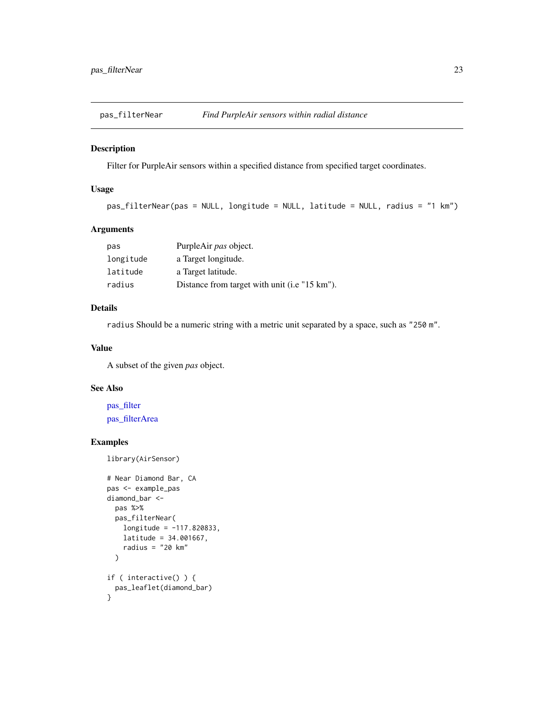<span id="page-22-1"></span><span id="page-22-0"></span>

Filter for PurpleAir sensors within a specified distance from specified target coordinates.

# Usage

```
pas_filterNear(pas = NULL, longitude = NULL, latitude = NULL, radius = "1 km")
```
# Arguments

| pas       | PurpleAir pas object.                         |
|-----------|-----------------------------------------------|
| longitude | a Target longitude.                           |
| latitude  | a Target latitude.                            |
| radius    | Distance from target with unit (i.e "15 km"). |

# Details

radius Should be a numeric string with a metric unit separated by a space, such as "250 m".

#### Value

A subset of the given *pas* object.

# See Also

[pas\\_filter](#page-20-1) [pas\\_filterArea](#page-21-1)

# Examples

library(AirSensor)

```
# Near Diamond Bar, CA
pas <- example_pas
diamond_bar <-
 pas %>%
  pas_filterNear(
   longitude = -117.820833,latitude = 34.001667,
   radius = "20 km"
  \lambdaif ( interactive() ) {
  pas_leaflet(diamond_bar)
}
```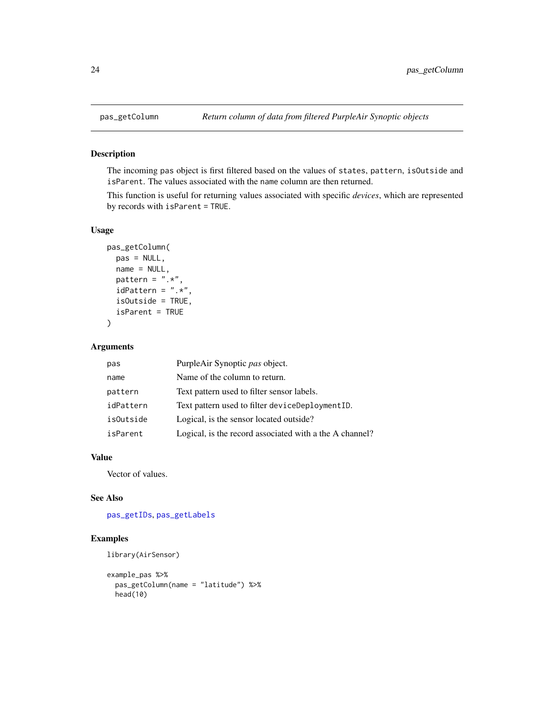<span id="page-23-1"></span><span id="page-23-0"></span>

The incoming pas object is first filtered based on the values of states, pattern, isOutside and isParent. The values associated with the name column are then returned.

This function is useful for returning values associated with specific *devices*, which are represented by records with isParent = TRUE.

# Usage

```
pas_getColumn(
  pas = NULL,
  name = NULL,pattern = ".**",
  idPattern = ".**",
  isOutside = TRUE,
  isParent = TRUE
\mathcal{L}
```
#### Arguments

| pas       | PurpleAir Synoptic pas object.                          |
|-----------|---------------------------------------------------------|
| name      | Name of the column to return.                           |
| pattern   | Text pattern used to filter sensor labels.              |
| idPattern | Text pattern used to filter deviceDeploymentID.         |
| isOutside | Logical, is the sensor located outside?                 |
| isParent  | Logical, is the record associated with a the A channel? |

# Value

Vector of values.

# See Also

[pas\\_getIDs](#page-25-1), [pas\\_getLabels](#page-26-1)

#### Examples

```
library(AirSensor)
```

```
example_pas %>%
 pas_getColumn(name = "latitude") %>%
 head(10)
```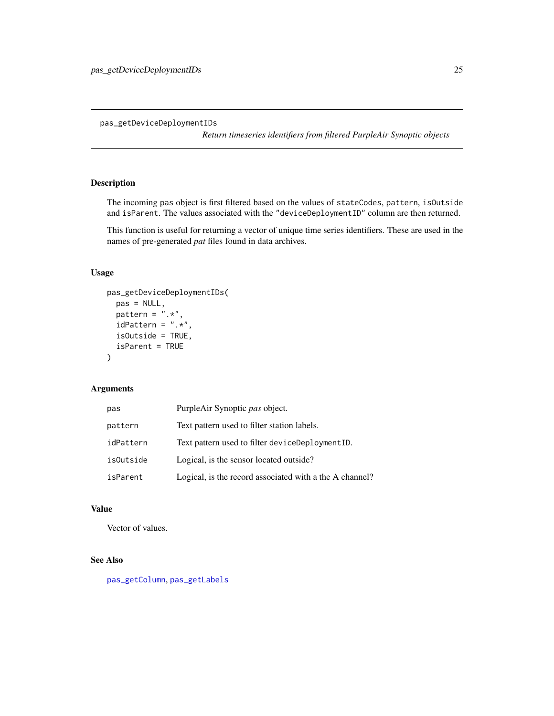<span id="page-24-1"></span><span id="page-24-0"></span>pas\_getDeviceDeploymentIDs

*Return timeseries identifiers from filtered PurpleAir Synoptic objects*

# Description

The incoming pas object is first filtered based on the values of stateCodes, pattern, isOutside and isParent. The values associated with the "deviceDeploymentID" column are then returned.

This function is useful for returning a vector of unique time series identifiers. These are used in the names of pre-generated *pat* files found in data archives.

# Usage

```
pas_getDeviceDeploymentIDs(
  pas = NULL,
  pattern = \hat{''}.*",
  idPattern = ".*",
  isOutside = TRUE,
  isParent = TRUE
\mathcal{L}
```
# Arguments

| pas              | PurpleAir Synoptic pas object.                          |
|------------------|---------------------------------------------------------|
| pattern          | Text pattern used to filter station labels.             |
| idPattern        | Text pattern used to filter deviceDeploymentID.         |
| <i>isOutside</i> | Logical, is the sensor located outside?                 |
| isParent         | Logical, is the record associated with a the A channel? |

#### Value

Vector of values.

# See Also

[pas\\_getColumn](#page-23-1), [pas\\_getLabels](#page-26-1)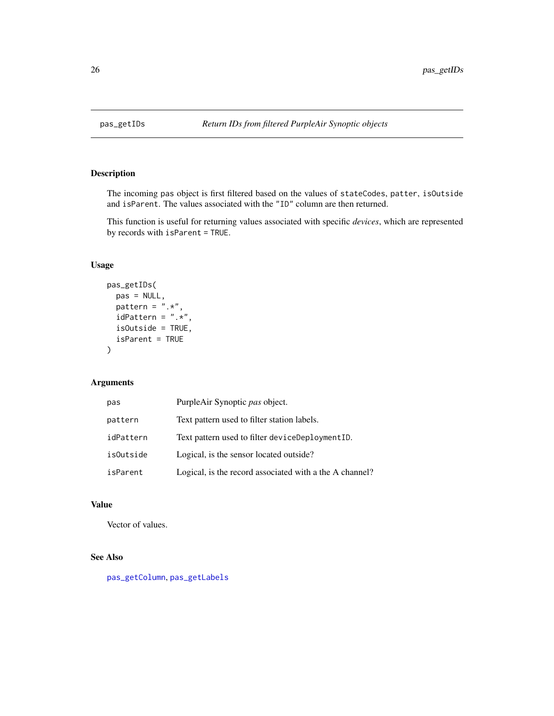<span id="page-25-1"></span><span id="page-25-0"></span>

The incoming pas object is first filtered based on the values of stateCodes, patter, isOutside and isParent. The values associated with the "ID" column are then returned.

This function is useful for returning values associated with specific *devices*, which are represented by records with isParent = TRUE.

#### Usage

```
pas_getIDs(
 pas = NULL,
 pattern = ".**",
  idPattern = ".**",
  isOutside = TRUE,
  isParent = TRUE
)
```
# Arguments

| pas       | PurpleAir Synoptic pas object.                          |
|-----------|---------------------------------------------------------|
| pattern   | Text pattern used to filter station labels.             |
| idPattern | Text pattern used to filter deviceDeploymentID.         |
| isOutside | Logical, is the sensor located outside?                 |
| isParent  | Logical, is the record associated with a the A channel? |

# Value

Vector of values.

# See Also

[pas\\_getColumn](#page-23-1), [pas\\_getLabels](#page-26-1)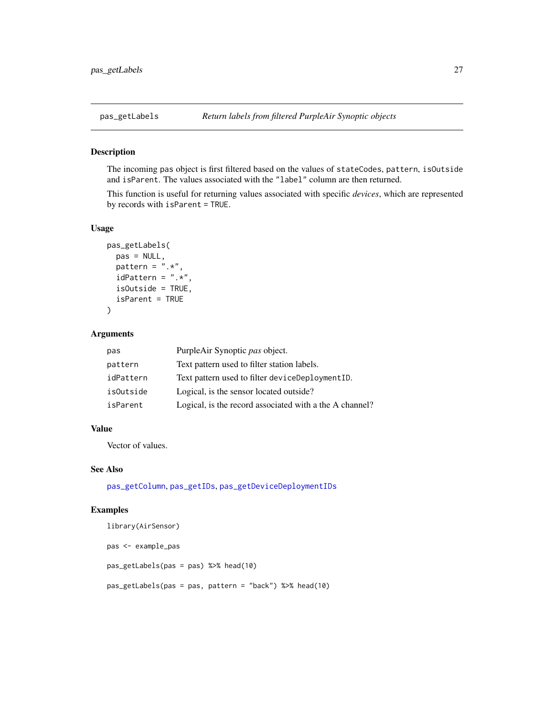<span id="page-26-1"></span><span id="page-26-0"></span>

The incoming pas object is first filtered based on the values of stateCodes, pattern, isOutside and isParent. The values associated with the "label" column are then returned.

This function is useful for returning values associated with specific *devices*, which are represented by records with isParent = TRUE.

# Usage

```
pas_getLabels(
 pas = NULL,
 pattern = ".*",
  idPattern = ".*",isOutside = TRUE,
  isParent = TRUE
)
```
# Arguments

| pas       | PurpleAir Synoptic pas object.                          |
|-----------|---------------------------------------------------------|
| pattern   | Text pattern used to filter station labels.             |
| idPattern | Text pattern used to filter deviceDeploymentID.         |
| isOutside | Logical, is the sensor located outside?                 |
| isParent  | Logical, is the record associated with a the A channel? |

#### Value

Vector of values.

#### See Also

[pas\\_getColumn](#page-23-1), [pas\\_getIDs](#page-25-1), [pas\\_getDeviceDeploymentIDs](#page-24-1)

#### Examples

```
library(AirSensor)
pas <- example_pas
pas_getLabels(pas = pas) %>% head(10)
pas_getLabels(pas = pas, pattern = "back") %>% head(10)
```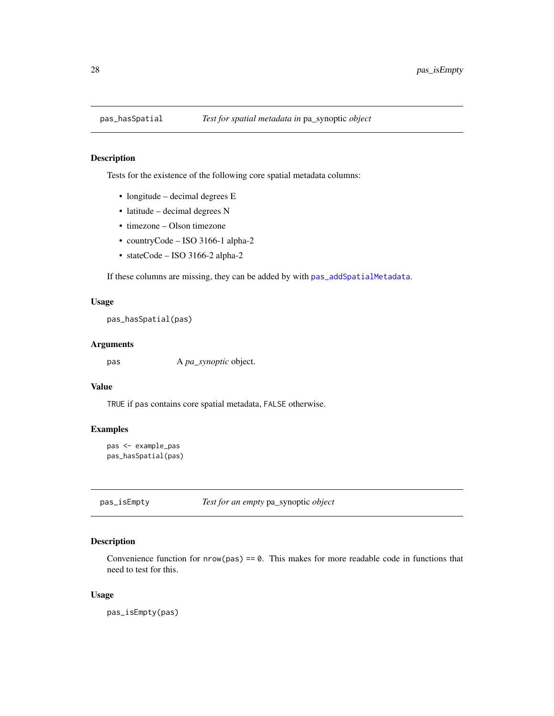<span id="page-27-0"></span>

Tests for the existence of the following core spatial metadata columns:

- longitude decimal degrees E
- latitude decimal degrees N
- timezone Olson timezone
- countryCode ISO 3166-1 alpha-2
- stateCode ISO 3166-2 alpha-2

If these columns are missing, they can be added by with [pas\\_addSpatialMetadata](#page-14-1).

#### Usage

pas\_hasSpatial(pas)

#### Arguments

pas A *pa\_synoptic* object.

#### Value

TRUE if pas contains core spatial metadata, FALSE otherwise.

#### Examples

```
pas <- example_pas
pas_hasSpatial(pas)
```
pas\_isEmpty *Test for an empty* pa\_synoptic *object*

#### Description

Convenience function for  $nrow(pas) == 0$ . This makes for more readable code in functions that need to test for this.

#### Usage

pas\_isEmpty(pas)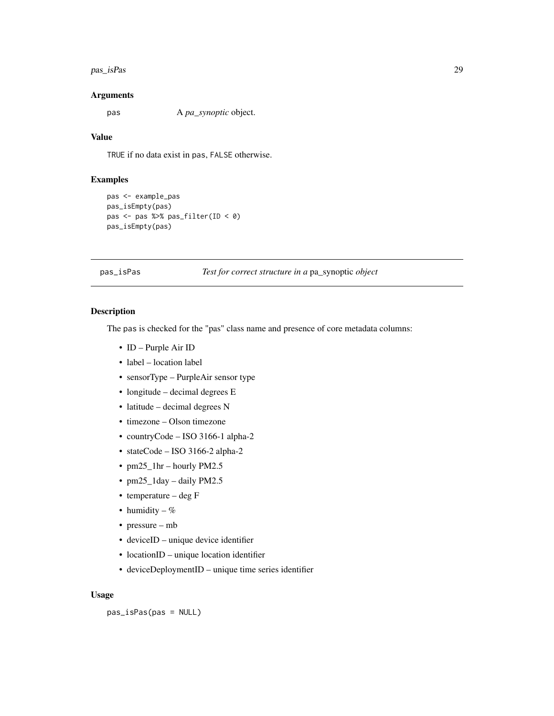#### <span id="page-28-0"></span>pas\_isPas 29

#### Arguments

pas A *pa\_synoptic* object.

# Value

TRUE if no data exist in pas, FALSE otherwise.

# Examples

```
pas <- example_pas
pas_isEmpty(pas)
pas <- pas %>% pas_filter(ID < 0)
pas_isEmpty(pas)
```
#### pas\_isPas *Test for correct structure in a* pa\_synoptic *object*

#### Description

The pas is checked for the "pas" class name and presence of core metadata columns:

- ID Purple Air ID
- label location label
- sensorType PurpleAir sensor type
- longitude decimal degrees E
- latitude decimal degrees N
- timezone Olson timezone
- countryCode ISO 3166-1 alpha-2
- stateCode ISO 3166-2 alpha-2
- pm25\_1hr hourly PM2.5
- pm25\_1day daily PM2.5
- temperature deg F
- humidity  $%$
- pressure mb
- deviceID unique device identifier
- locationID unique location identifier
- deviceDeploymentID unique time series identifier

#### Usage

pas\_isPas(pas = NULL)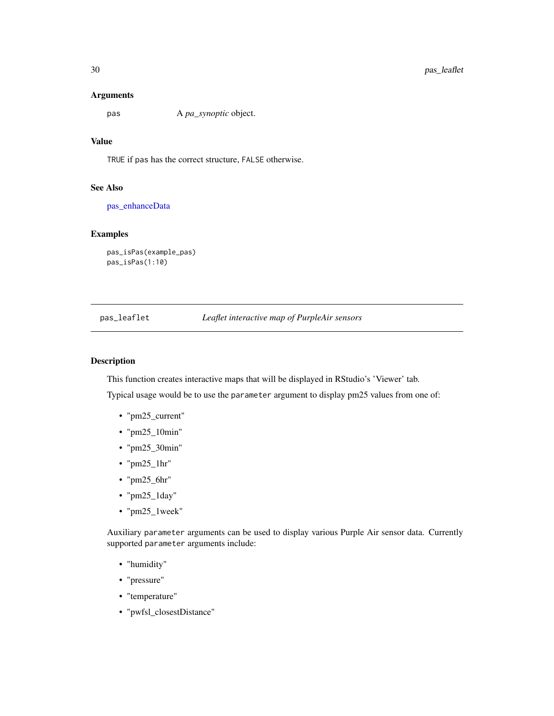#### <span id="page-29-0"></span>Arguments

pas A *pa\_synoptic* object.

# Value

TRUE if pas has the correct structure, FALSE otherwise.

# See Also

[pas\\_enhanceData](#page-18-1)

# Examples

```
pas_isPas(example_pas)
pas_isPas(1:10)
```
# pas\_leaflet *Leaflet interactive map of PurpleAir sensors*

# Description

This function creates interactive maps that will be displayed in RStudio's 'Viewer' tab.

Typical usage would be to use the parameter argument to display pm25 values from one of:

- "pm25\_current"
- "pm25\_10min"
- "pm25\_30min"
- " $pm25_lhr$ "
- "pm25\_6hr"
- "pm25\_1day"
- "pm25\_1week"

Auxiliary parameter arguments can be used to display various Purple Air sensor data. Currently supported parameter arguments include:

- "humidity"
- "pressure"
- "temperature"
- "pwfsl\_closestDistance"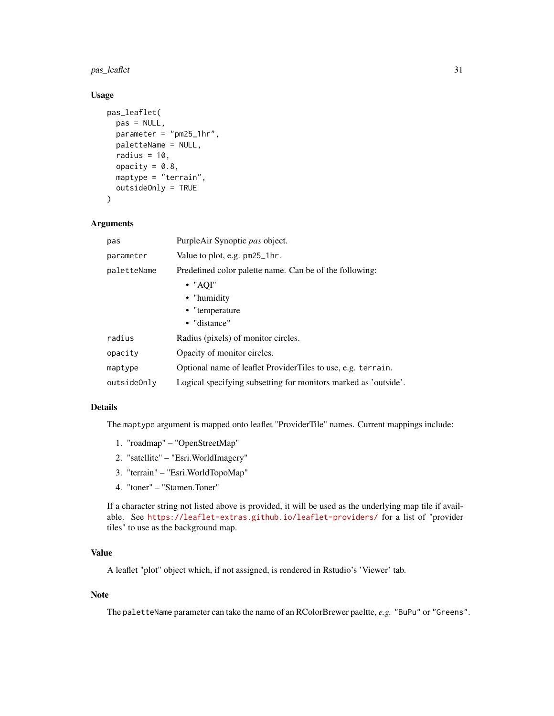# pas\_leaflet 31

# Usage

```
pas_leaflet(
 pas = NULL,
 parameter = "pm25_1hr",
 paletteName = NULL,
 radius = 10,
  opacity = 0.8,
 maptype = "terrain",
  outsideOnly = TRUE
\mathcal{L}
```
#### Arguments

| pas         | PurpleAir Synoptic pas object.                                  |
|-------------|-----------------------------------------------------------------|
| parameter   | Value to plot, e.g. pm25_1hr.                                   |
| paletteName | Predefined color palette name. Can be of the following:         |
|             | $\bullet$ "AQI"                                                 |
|             | • "humidity                                                     |
|             | • "temperature                                                  |
|             | • "distance"                                                    |
| radius      | Radius (pixels) of monitor circles.                             |
| opacity     | Opacity of monitor circles.                                     |
| maptype     | Optional name of leaflet ProviderTiles to use, e.g. terrain.    |
| outsideOnly | Logical specifying subsetting for monitors marked as 'outside'. |

# Details

The maptype argument is mapped onto leaflet "ProviderTile" names. Current mappings include:

- 1. "roadmap" "OpenStreetMap"
- 2. "satellite" "Esri.WorldImagery"
- 3. "terrain" "Esri.WorldTopoMap"
- 4. "toner" "Stamen.Toner"

If a character string not listed above is provided, it will be used as the underlying map tile if available. See <https://leaflet-extras.github.io/leaflet-providers/> for a list of "provider tiles" to use as the background map.

# Value

A leaflet "plot" object which, if not assigned, is rendered in Rstudio's 'Viewer' tab.

# Note

The paletteName parameter can take the name of an RColorBrewer paeltte, *e.g.* "BuPu" or "Greens".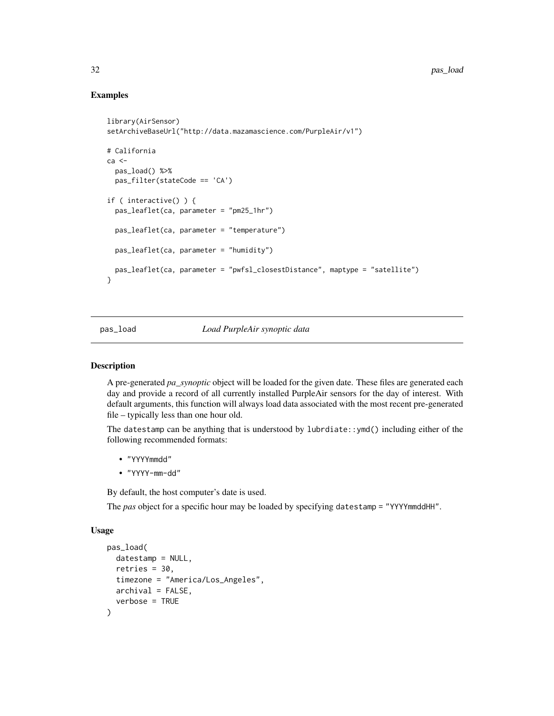# Examples

```
library(AirSensor)
setArchiveBaseUrl("http://data.mazamascience.com/PurpleAir/v1")
# California
ca <-
 pas_load() %>%
 pas_filter(stateCode == 'CA')
if ( interactive() ) {
 pas_leaflet(ca, parameter = "pm25_1hr")
 pas_leaflet(ca, parameter = "temperature")
 pas_leaflet(ca, parameter = "humidity")
 pas_leaflet(ca, parameter = "pwfsl_closestDistance", maptype = "satellite")
}
```
#### <span id="page-31-1"></span>pas\_load *Load PurpleAir synoptic data*

#### Description

A pre-generated *pa\_synoptic* object will be loaded for the given date. These files are generated each day and provide a record of all currently installed PurpleAir sensors for the day of interest. With default arguments, this function will always load data associated with the most recent pre-generated file – typically less than one hour old.

The datestamp can be anything that is understood by lubrdiate::ymd() including either of the following recommended formats:

- "YYYYmmdd"
- "YYYY-mm-dd"

By default, the host computer's date is used.

The *pas* object for a specific hour may be loaded by specifying datestamp = "YYYYmmddHH".

#### Usage

```
pas_load(
  datestamp = NULL,
  retries = 30,
  timezone = "America/Los_Angeles",
  archival = FALSE,verbose = TRUE
)
```
<span id="page-31-0"></span>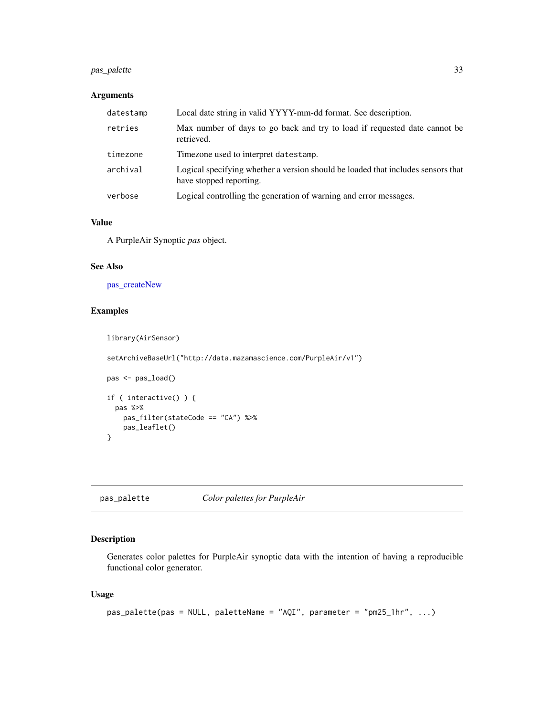# <span id="page-32-0"></span>pas\_palette 33

#### Arguments

| datestamp | Local date string in valid YYYY-mm-dd format. See description.                                              |
|-----------|-------------------------------------------------------------------------------------------------------------|
| retries   | Max number of days to go back and try to load if requested date cannot be<br>retrieved.                     |
| timezone  | Timezone used to interpret datestamp.                                                                       |
| archival  | Logical specifying whether a version should be loaded that includes sensors that<br>have stopped reporting. |
| verbose   | Logical controlling the generation of warning and error messages.                                           |

#### Value

A PurpleAir Synoptic *pas* object.

#### See Also

[pas\\_createNew](#page-16-1)

# Examples

```
library(AirSensor)
setArchiveBaseUrl("http://data.mazamascience.com/PurpleAir/v1")
pas <- pas_load()
if ( interactive() ) {
  pas %>%
   pas_filter(stateCode == "CA") %>%
   pas_leaflet()
```
pas\_palette *Color palettes for PurpleAir*

# Description

}

Generates color palettes for PurpleAir synoptic data with the intention of having a reproducible functional color generator.

#### Usage

```
pas\_palette(pas = NULL, paletteName = "AQI", parameter = "pm25_1hr", ...)
```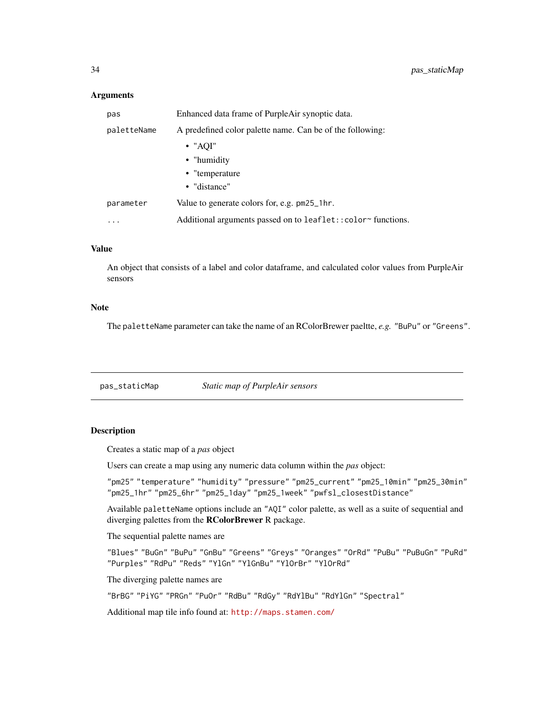#### <span id="page-33-0"></span>**Arguments**

| pas         | Enhanced data frame of PurpleAir synoptic data.             |
|-------------|-------------------------------------------------------------|
| paletteName | A predefined color palette name. Can be of the following:   |
|             | $\bullet$ "AOI"                                             |
|             | • "humidity                                                 |
|             | • "temperature"                                             |
|             | • "distance"                                                |
| parameter   | Value to generate colors for, e.g. pm25_1hr.                |
| .           | Additional arguments passed on to leaflet::color~functions. |

# Value

An object that consists of a label and color dataframe, and calculated color values from PurpleAir sensors

#### Note

The paletteName parameter can take the name of an RColorBrewer paeltte, *e.g.* "BuPu" or "Greens".

pas\_staticMap *Static map of PurpleAir sensors*

#### Description

Creates a static map of a *pas* object

Users can create a map using any numeric data column within the *pas* object:

"pm25" "temperature" "humidity" "pressure" "pm25\_current" "pm25\_10min" "pm25\_30min" "pm25\_1hr" "pm25\_6hr" "pm25\_1day" "pm25\_1week" "pwfsl\_closestDistance"

Available paletteName options include an "AQI" color palette, as well as a suite of sequential and diverging palettes from the **RColorBrewer** R package.

#### The sequential palette names are

"Blues" "BuGn" "BuPu" "GnBu" "Greens" "Greys" "Oranges" "OrRd" "PuBu" "PuBuGn" "PuRd" "Purples" "RdPu" "Reds" "YlGn" "YlGnBu" "YlOrBr" "YlOrRd"

The diverging palette names are

"BrBG" "PiYG" "PRGn" "PuOr" "RdBu" "RdGy" "RdYlBu" "RdYlGn" "Spectral"

Additional map tile info found at: <http://maps.stamen.com/>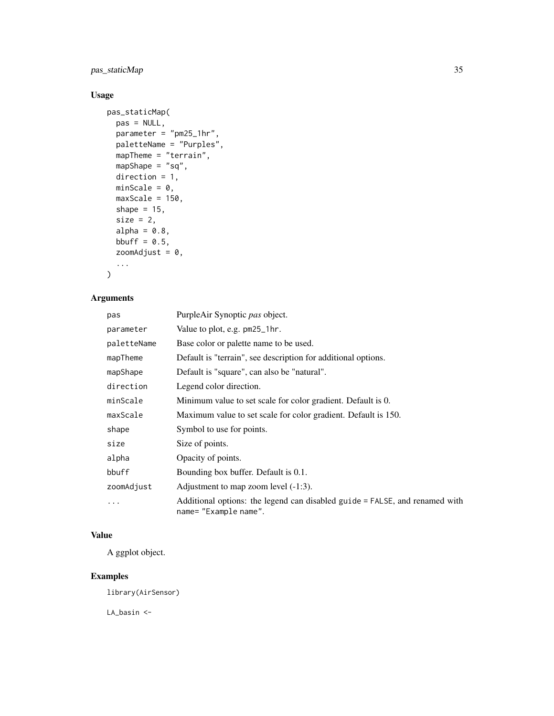# pas\_staticMap 35

# Usage

```
pas_staticMap(
  pas = NULL,
  \frac{1}{2} parameter = "pm25_1hr",
  paletteName = "Purples",
  mapTheme = "terrain",
  mapShape = "sq",
  direction = 1,
  minScale = 0,maxScale = 150,shape = 15,
  size = 2,alpha = 0.8,
  bbuff = 0.5,
  zoomAdjust = 0,
  ...
\mathcal{L}
```
# Arguments

| pas         | PurpleAir Synoptic pas object.                                                                       |
|-------------|------------------------------------------------------------------------------------------------------|
| parameter   | Value to plot, e.g. pm25_1hr.                                                                        |
| paletteName | Base color or palette name to be used.                                                               |
| mapTheme    | Default is "terrain", see description for additional options.                                        |
| mapShape    | Default is "square", can also be "natural".                                                          |
| direction   | Legend color direction.                                                                              |
| minScale    | Minimum value to set scale for color gradient. Default is 0.                                         |
| maxScale    | Maximum value to set scale for color gradient. Default is 150.                                       |
| shape       | Symbol to use for points.                                                                            |
| size        | Size of points.                                                                                      |
| alpha       | Opacity of points.                                                                                   |
| bbuff       | Bounding box buffer. Default is 0.1.                                                                 |
| zoomAdjust  | Adjustment to map zoom level $(-1:3)$ .                                                              |
| .           | Additional options: the legend can disabled guide = FALSE, and renamed with<br>name= "Example name". |

# Value

A ggplot object.

# Examples

library(AirSensor)

LA\_basin <-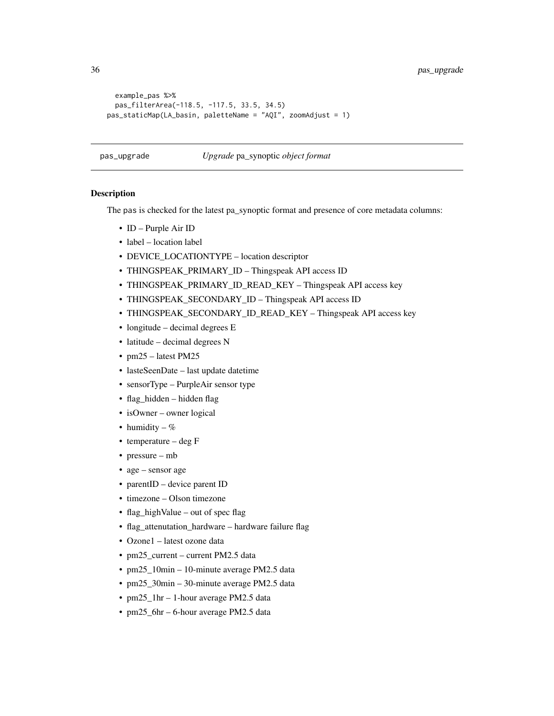```
example_pas %>%
 pas_filterArea(-118.5, -117.5, 33.5, 34.5)
pas_staticMap(LA_basin, paletteName = "AQI", zoomAdjust = 1)
```
#### pas\_upgrade *Upgrade* pa\_synoptic *object format*

# Description

The pas is checked for the latest pa\_synoptic format and presence of core metadata columns:

- ID Purple Air ID
- label location label
- DEVICE\_LOCATIONTYPE location descriptor
- THINGSPEAK\_PRIMARY\_ID Thingspeak API access ID
- THINGSPEAK\_PRIMARY\_ID\_READ\_KEY Thingspeak API access key
- THINGSPEAK\_SECONDARY\_ID Thingspeak API access ID
- THINGSPEAK\_SECONDARY\_ID\_READ\_KEY Thingspeak API access key
- longitude decimal degrees E
- latitude decimal degrees N
- pm25 latest PM25
- lasteSeenDate last update datetime
- sensorType PurpleAir sensor type
- flag\_hidden hidden flag
- isOwner owner logical
- humidity  $%$
- temperature deg F
- pressure mb
- age sensor age
- parentID device parent ID
- timezone Olson timezone
- flag\_highValue out of spec flag
- flag\_attenutation\_hardware hardware failure flag
- Ozone1 latest ozone data
- pm25\_current current PM2.5 data
- pm25\_10min 10-minute average PM2.5 data
- pm25\_30min 30-minute average PM2.5 data
- pm25\_1hr 1-hour average PM2.5 data
- pm25\_6hr 6-hour average PM2.5 data

<span id="page-35-0"></span>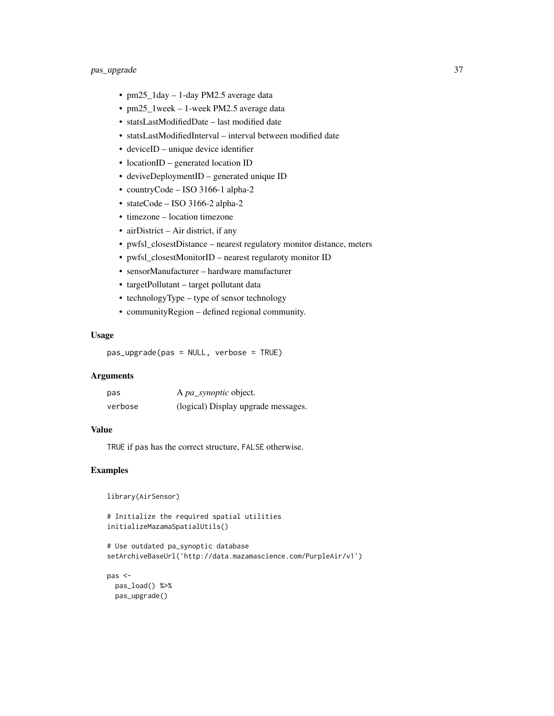- pm25\_1day 1-day PM2.5 average data
- pm25\_1week 1-week PM2.5 average data
- statsLastModifiedDate last modified date
- statsLastModifiedInterval interval between modified date
- deviceID unique device identifier
- locationID generated location ID
- deviveDeploymentID generated unique ID
- countryCode ISO 3166-1 alpha-2
- stateCode ISO 3166-2 alpha-2
- timezone location timezone
- airDistrict Air district, if any
- pwfsl\_closestDistance nearest regulatory monitor distance, meters
- pwfsl\_closestMonitorID nearest regularoty monitor ID
- sensorManufacturer hardware manufacturer
- targetPollutant target pollutant data
- technologyType type of sensor technology
- communityRegion defined regional community.

#### Usage

pas\_upgrade(pas = NULL, verbose = TRUE)

### Arguments

| pas     | A <i>pa_synoptic</i> object.        |
|---------|-------------------------------------|
| verbose | (logical) Display upgrade messages. |

#### Value

TRUE if pas has the correct structure, FALSE otherwise.

```
library(AirSensor)
```

```
# Initialize the required spatial utilities
initializeMazamaSpatialUtils()
```

```
# Use outdated pa_synoptic database
setArchiveBaseUrl('http://data.mazamascience.com/PurpleAir/v1')
```

```
pas <-
  pas_load() %>%
  pas_upgrade()
```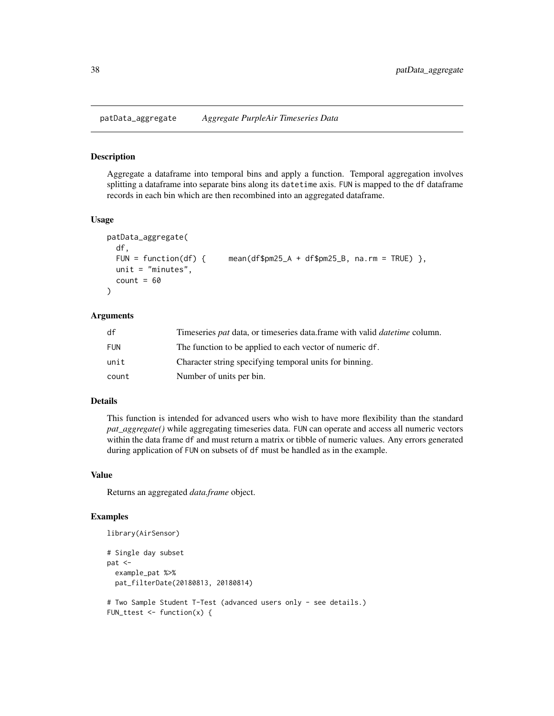patData\_aggregate *Aggregate PurpleAir Timeseries Data*

#### Description

Aggregate a dataframe into temporal bins and apply a function. Temporal aggregation involves splitting a dataframe into separate bins along its datetime axis. FUN is mapped to the df dataframe records in each bin which are then recombined into an aggregated dataframe.

#### Usage

```
patData_aggregate(
  df,
  FUN = function(df) { mean(df$pm25_A + df$pm25_B, na.rm = TRUE) },
 unit = "minutes",
  count = 60)
```
### Arguments

| df         | Timeseries <i>pat</i> data, or timeseries data.frame with valid <i>datetime</i> column. |
|------------|-----------------------------------------------------------------------------------------|
| <b>FUN</b> | The function to be applied to each vector of numeric df.                                |
| unit       | Character string specifying temporal units for binning.                                 |
| count      | Number of units per bin.                                                                |

#### Details

This function is intended for advanced users who wish to have more flexibility than the standard *pat\_aggregate()* while aggregating timeseries data. FUN can operate and access all numeric vectors within the data frame df and must return a matrix or tibble of numeric values. Any errors generated during application of FUN on subsets of df must be handled as in the example.

### Value

Returns an aggregated *data.frame* object.

```
library(AirSensor)
# Single day subset
pat <-
 example_pat %>%
 pat_filterDate(20180813, 20180814)
# Two Sample Student T-Test (advanced users only - see details.)
FUN_ttest \leq function(x) {
```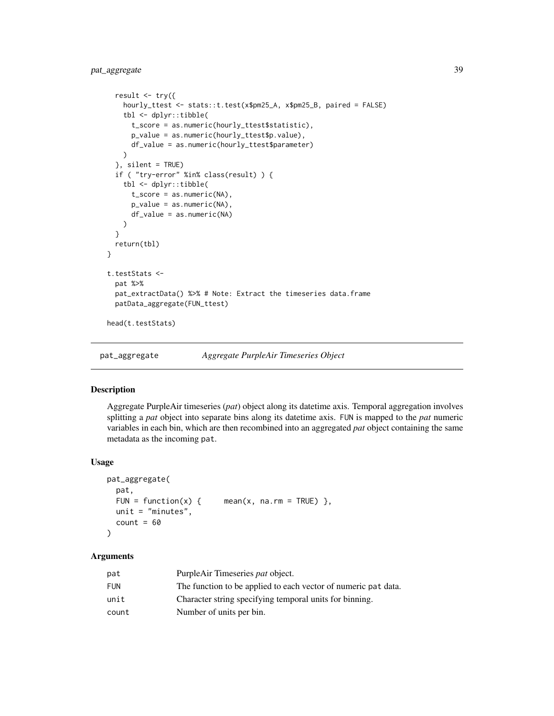```
result \leq - try({
   hourly_ttest <- stats::t.test(x$pm25_A, x$pm25_B, paired = FALSE)
   tbl <- dplyr::tibble(
     t_score = as.numeric(hourly_ttest$statistic),
      p_value = as.numeric(hourly_ttest$p.value),
      df_value = as.numeric(hourly_ttest$parameter)
   )
 }, silent = TRUE)
 if ( "try-error" %in% class(result) ) {
   tbl <- dplyr::tibble(
      t_score = as.numeric(NA),
      p_value = as.numeric(NA),
      df_value = as.numeric(NA)
   )
 }
 return(tbl)
}
t.testStats <-
 pat %>%
 pat_extractData() %>% # Note: Extract the timeseries data.frame
 patData_aggregate(FUN_ttest)
head(t.testStats)
```
<span id="page-38-0"></span>pat\_aggregate *Aggregate PurpleAir Timeseries Object*

### Description

Aggregate PurpleAir timeseries (*pat*) object along its datetime axis. Temporal aggregation involves splitting a *pat* object into separate bins along its datetime axis. FUN is mapped to the *pat* numeric variables in each bin, which are then recombined into an aggregated *pat* object containing the same metadata as the incoming pat.

#### Usage

```
pat_aggregate(
 pat,
 FUN = function(x) { mean(x, na.rm = TRUE) },
 unit = "minutes",
 count = 60)
```
## Arguments

| pat   | PurpleAir Timeseries pat object.                               |
|-------|----------------------------------------------------------------|
| FUN   | The function to be applied to each vector of numeric pat data. |
| unit  | Character string specifying temporal units for binning.        |
| count | Number of units per bin.                                       |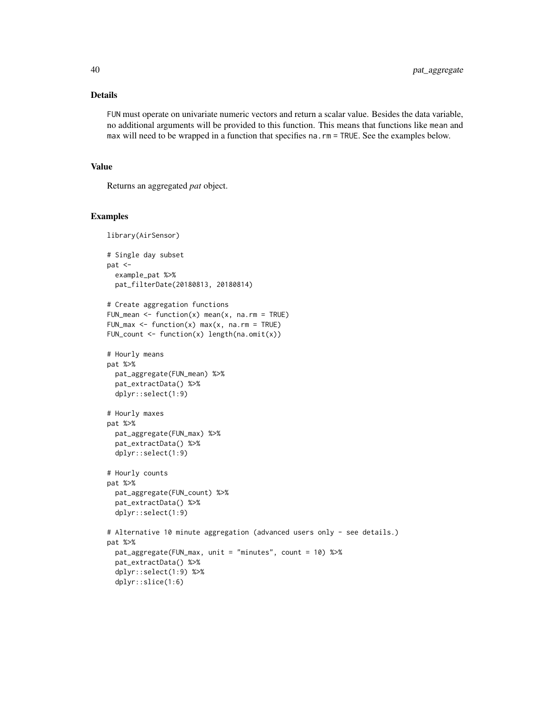## Details

FUN must operate on univariate numeric vectors and return a scalar value. Besides the data variable, no additional arguments will be provided to this function. This means that functions like mean and max will need to be wrapped in a function that specifies na. rm = TRUE. See the examples below.

#### Value

Returns an aggregated *pat* object.

```
library(AirSensor)
# Single day subset
pat <-
  example_pat %>%
  pat_filterDate(20180813, 20180814)
# Create aggregation functions
FUN_mean \leq function(x) mean(x, na.rm = TRUE)
FUN_max \leq function(x) max(x, na.rm = TRUE)
FUN_count <- function(x) length(na.omit(x))
# Hourly means
pat %>%
  pat_aggregate(FUN_mean) %>%
  pat_extractData() %>%
  dplyr::select(1:9)
# Hourly maxes
pat %>%
  pat_aggregate(FUN_max) %>%
  pat_extractData() %>%
  dplyr::select(1:9)
# Hourly counts
pat %>%
  pat_aggregate(FUN_count) %>%
  pat_extractData() %>%
  dplyr::select(1:9)
# Alternative 10 minute aggregation (advanced users only - see details.)
pat %>%
  pat_aggregate(FUN_max, unit = "minutes", count = 10) %>%
  pat_extractData() %>%
  dplyr::select(1:9) %>%
  dplyr::slice(1:6)
```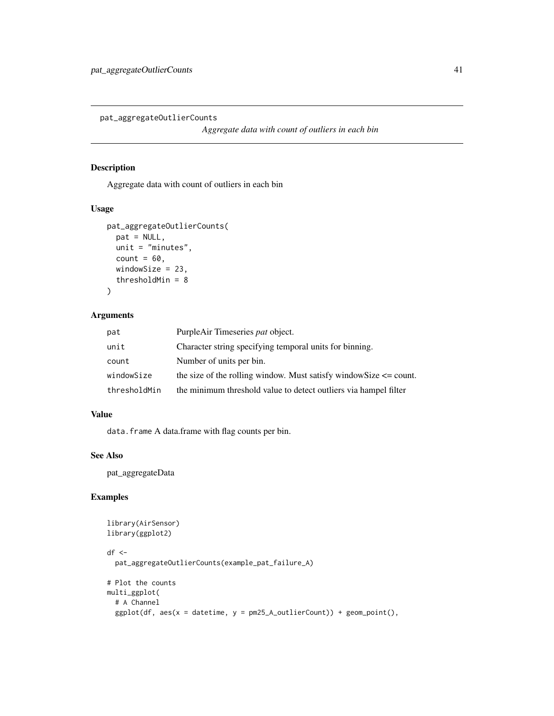pat\_aggregateOutlierCounts

*Aggregate data with count of outliers in each bin*

# Description

Aggregate data with count of outliers in each bin

# Usage

```
pat_aggregateOutlierCounts(
 pat = NULL,
 unit = "minutes",
 count = 60,
 windowSize = 23,
  thresholdMin = 8
\lambda
```
## Arguments

| pat          | PurpleAir Timeseries pat object.                                       |
|--------------|------------------------------------------------------------------------|
| unit         | Character string specifying temporal units for binning.                |
| count        | Number of units per bin.                                               |
| windowSize   | the size of the rolling window. Must satisfy window Size $\leq$ count. |
| thresholdMin | the minimum threshold value to detect outliers via hampel filter       |

## Value

data.frame A data.frame with flag counts per bin.

### See Also

pat\_aggregateData

```
library(AirSensor)
library(ggplot2)
df <-
  pat_aggregateOutlierCounts(example_pat_failure_A)
# Plot the counts
multi_ggplot(
  # A Channel
  ggplot(df, aes(x = datetime, y = pm25_A.outlierCount)) + geom-point(),
```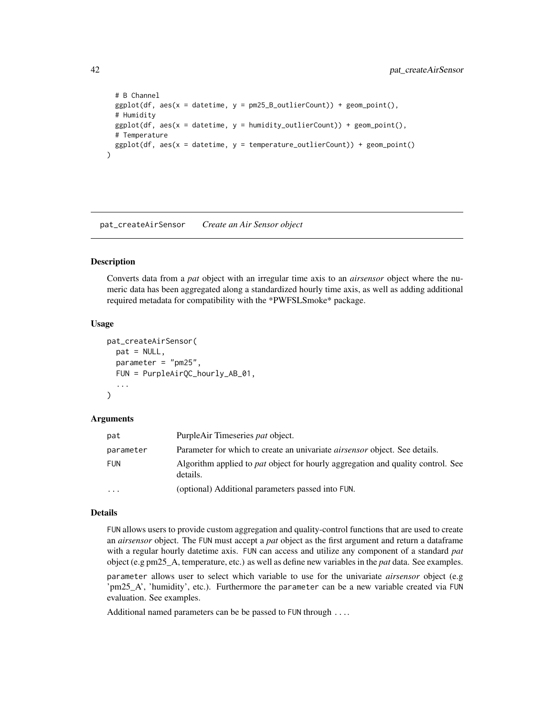```
# B Channel
 ggplot(df, aes(x = datetime, y = pm25_B.outlierCount)) + geom-point(),# Humidity
 ggplot(df, aes(x = datetime, y = humidity_outlierCount)) + geom\_point(),# Temperature
 ggplot(df, aes(x = datetime, y = temperature_countierCount)) + geom-point())
```
pat\_createAirSensor *Create an Air Sensor object*

## Description

Converts data from a *pat* object with an irregular time axis to an *airsensor* object where the numeric data has been aggregated along a standardized hourly time axis, as well as adding additional required metadata for compatibility with the \*PWFSLSmoke\* package.

#### Usage

```
pat_createAirSensor(
  pat = NULL,parameter = "pm25",
  FUN = PurpleAirQC_hourly_AB_01,
  ...
)
```
### **Arguments**

| pat        | PurpleAir Timeseries pat object.                                                                   |
|------------|----------------------------------------------------------------------------------------------------|
| parameter  | Parameter for which to create an univariate <i>airsensor</i> object. See details.                  |
| <b>FUN</b> | Algorithm applied to <i>pat</i> object for hourly aggregation and quality control. See<br>details. |
| $\cdots$   | (optional) Additional parameters passed into FUN.                                                  |

#### Details

FUN allows users to provide custom aggregation and quality-control functions that are used to create an *airsensor* object. The FUN must accept a *pat* object as the first argument and return a dataframe with a regular hourly datetime axis. FUN can access and utilize any component of a standard *pat* object (e.g pm25\_A, temperature, etc.) as well as define new variables in the *pat* data. See examples.

parameter allows user to select which variable to use for the univariate *airsensor* object (e.g 'pm25\_A', 'humidity', etc.). Furthermore the parameter can be a new variable created via FUN evaluation. See examples.

Additional named parameters can be be passed to FUN through ....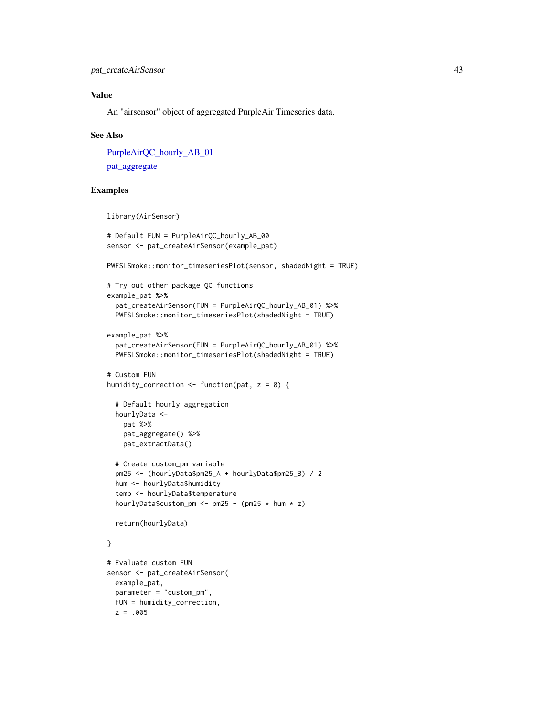# Value

An "airsensor" object of aggregated PurpleAir Timeseries data.

#### See Also

```
PurpleAirQC_hourly_AB_01
```
[pat\\_aggregate](#page-38-0)

z = .005

```
library(AirSensor)
# Default FUN = PurpleAirQC_hourly_AB_00
sensor <- pat_createAirSensor(example_pat)
PWFSLSmoke::monitor_timeseriesPlot(sensor, shadedNight = TRUE)
# Try out other package QC functions
example_pat %>%
 pat_createAirSensor(FUN = PurpleAirQC_hourly_AB_01) %>%
 PWFSLSmoke::monitor_timeseriesPlot(shadedNight = TRUE)
example_pat %>%
 pat_createAirSensor(FUN = PurpleAirQC_hourly_AB_01) %>%
 PWFSLSmoke::monitor_timeseriesPlot(shadedNight = TRUE)
# Custom FUN
humidity_correction <- function(pat, z = 0) {
 # Default hourly aggregation
 hourlyData <-
   pat %>%
   pat_aggregate() %>%
   pat_extractData()
 # Create custom_pm variable
 pm25 <- (hourlyData$pm25_A + hourlyData$pm25_B) / 2
 hum <- hourlyData$humidity
 temp <- hourlyData$temperature
 hourlyData$custom_pm <- pm25 - (pm25 * hum * z)
 return(hourlyData)
}
# Evaluate custom FUN
sensor <- pat_createAirSensor(
 example_pat,
 parameter = "custom_pm",
 FUN = humidity_correction,
```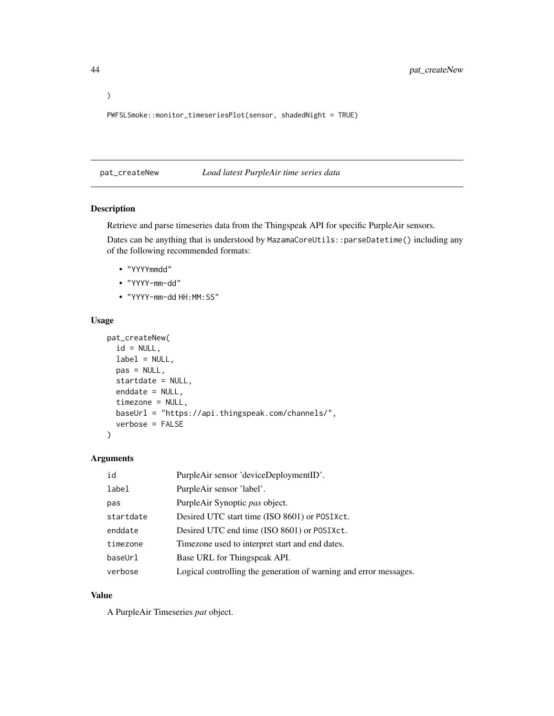PWFSLSmoke::monitor\_timeseriesPlot(sensor, shadedNight = TRUE)

<span id="page-43-0"></span>pat\_createNew *Load latest PurpleAir time series data*

# Description

Retrieve and parse timeseries data from the Thingspeak API for specific PurpleAir sensors.

Dates can be anything that is understood by MazamaCoreUtils::parseDatetime() including any of the following recommended formats:

- "YYYYmmdd"
- "YYYY-mm-dd"
- "YYYY-mm-dd HH:MM:SS"

#### Usage

```
pat_createNew(
  id = NULL,label = NULL,pas = NULL,
 startdate = NULL,
 enddate = NULL,
  timezone = NULL,
 baseUrl = "https://api.thingspeak.com/channels/",
  verbose = FALSE
)
```
# Arguments

| id        | PurpleAir sensor 'deviceDeploymentID'.                            |
|-----------|-------------------------------------------------------------------|
| label     | PurpleAir sensor 'label'.                                         |
| pas       | PurpleAir Synoptic pas object.                                    |
| startdate | Desired UTC start time (ISO 8601) or POSIXct.                     |
| enddate   | Desired UTC end time (ISO 8601) or POSIXct.                       |
| timezone  | Timezone used to interpret start and end dates.                   |
| baseUrl   | Base URL for Thingspeak API.                                      |
| verbose   | Logical controlling the generation of warning and error messages. |

### Value

A PurpleAir Timeseries *pat* object.

)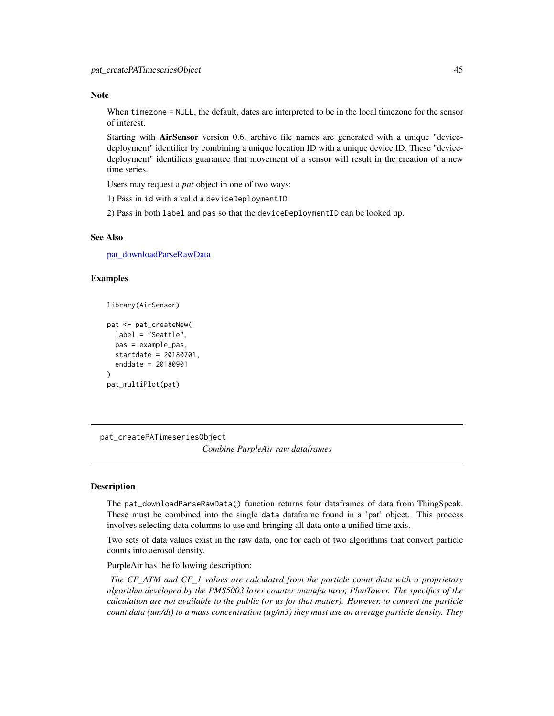#### **Note**

When timezone = NULL, the default, dates are interpreted to be in the local timezone for the sensor of interest.

Starting with **AirSensor** version 0.6, archive file names are generated with a unique "devicedeployment" identifier by combining a unique location ID with a unique device ID. These "devicedeployment" identifiers guarantee that movement of a sensor will result in the creation of a new time series.

Users may request a *pat* object in one of two ways:

1) Pass in id with a valid a deviceDeploymentID

2) Pass in both label and pas so that the deviceDeploymentID can be looked up.

# See Also

[pat\\_downloadParseRawData](#page-49-0)

### Examples

```
library(AirSensor)
```

```
pat <- pat_createNew(
 label = "Seattle",
 pas = example_pas,
 startdate = 20180701,
 enddate = 20180901
)
pat_multiPlot(pat)
```
pat\_createPATimeseriesObject *Combine PurpleAir raw dataframes*

### Description

The pat\_downloadParseRawData() function returns four dataframes of data from ThingSpeak. These must be combined into the single data dataframe found in a 'pat' object. This process involves selecting data columns to use and bringing all data onto a unified time axis.

Two sets of data values exist in the raw data, one for each of two algorithms that convert particle counts into aerosol density.

PurpleAir has the following description:

*The CF\_ATM and CF\_1 values are calculated from the particle count data with a proprietary algorithm developed by the PMS5003 laser counter manufacturer, PlanTower. The specifics of the calculation are not available to the public (or us for that matter). However, to convert the particle count data (um/dl) to a mass concentration (ug/m3) they must use an average particle density. They*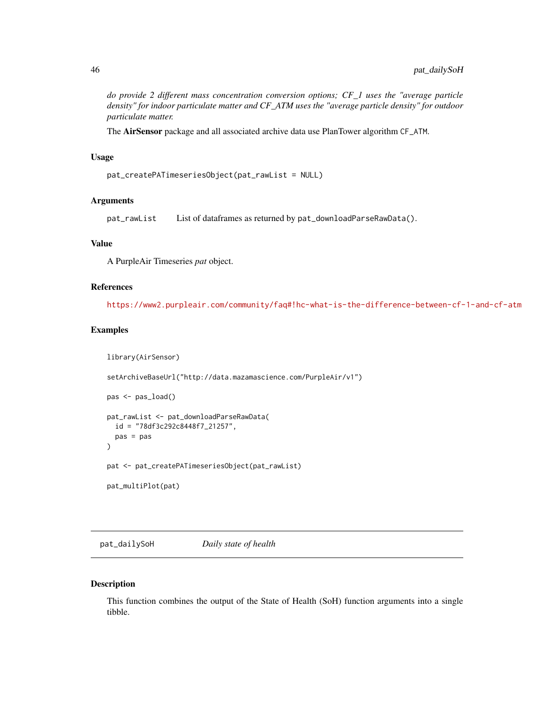*do provide 2 different mass concentration conversion options; CF\_1 uses the "average particle density" for indoor particulate matter and CF\_ATM uses the "average particle density" for outdoor particulate matter.*

The AirSensor package and all associated archive data use PlanTower algorithm CF\_ATM.

#### Usage

```
pat_createPATimeseriesObject(pat_rawList = NULL)
```
### **Arguments**

pat\_rawList List of dataframes as returned by pat\_downloadParseRawData().

## Value

A PurpleAir Timeseries *pat* object.

#### References

<https://www2.purpleair.com/community/faq#!hc-what-is-the-difference-between-cf-1-and-cf-atm>

#### Examples

```
library(AirSensor)
setArchiveBaseUrl("http://data.mazamascience.com/PurpleAir/v1")
pas <- pas_load()
pat_rawList <- pat_downloadParseRawData(
 id = "78df3c292c8448f7_21257",
 pas = pas
\mathcal{L}pat <- pat_createPATimeseriesObject(pat_rawList)
pat_multiPlot(pat)
```
<span id="page-45-0"></span>pat\_dailySoH *Daily state of health*

#### Description

This function combines the output of the State of Health (SoH) function arguments into a single tibble.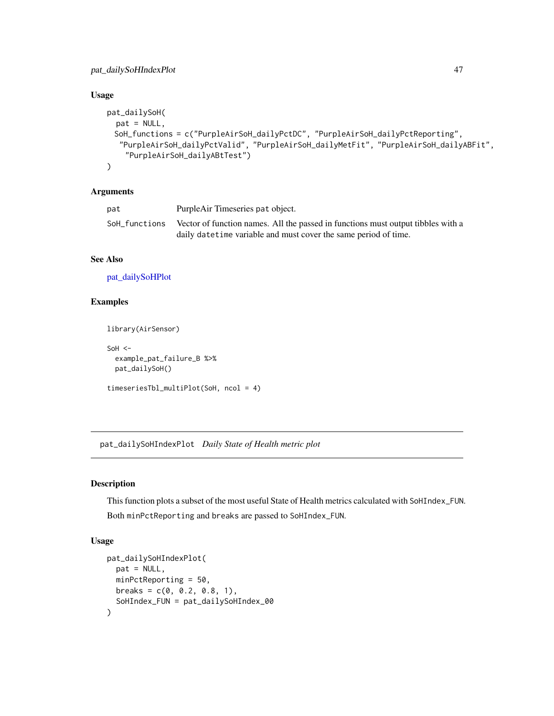# Usage

```
pat_dailySoH(
 pat = NULL,
 SoH_functions = c("PurpleAirSoH_dailyPctDC", "PurpleAirSoH_dailyPctReporting",
  "PurpleAirSoH_dailyPctValid", "PurpleAirSoH_dailyMetFit", "PurpleAirSoH_dailyABFit",
    "PurpleAirSoH_dailyABtTest")
\mathcal{L}
```
# Arguments

| pat           | PurpleAir Timeseries pat object.                                                                                                                     |
|---------------|------------------------------------------------------------------------------------------------------------------------------------------------------|
| SoH functions | Vector of function names. All the passed in functions must output tibbles with a<br>daily date time variable and must cover the same period of time. |
|               |                                                                                                                                                      |

# See Also

[pat\\_dailySoHPlot](#page-48-0)

### Examples

```
library(AirSensor)
```

```
SoH <-example_pat_failure_B %>%
 pat_dailySoH()
timeseriesTbl_multiPlot(SoH, ncol = 4)
```
pat\_dailySoHIndexPlot *Daily State of Health metric plot*

# Description

This function plots a subset of the most useful State of Health metrics calculated with SoHIndex\_FUN. Both minPctReporting and breaks are passed to SoHIndex\_FUN.

### Usage

```
pat_dailySoHIndexPlot(
 pat = NULL,
 minPctReporting = 50,
 breaks = c(0, 0.2, 0.8, 1),
  SoHIndex_FUN = pat_dailySoHIndex_00
\mathcal{E}
```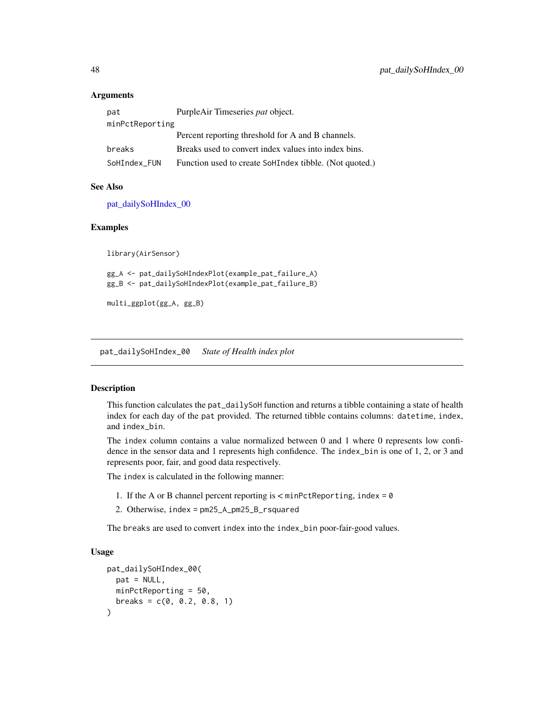### **Arguments**

| pat             | PurpleAir Timeseries pat object.                       |  |
|-----------------|--------------------------------------------------------|--|
| minPctReporting |                                                        |  |
|                 | Percent reporting threshold for A and B channels.      |  |
| breaks          | Breaks used to convert index values into index bins.   |  |
| SoHIndex FUN    | Function used to create SoHIndex tibble. (Not quoted.) |  |

### See Also

[pat\\_dailySoHIndex\\_00](#page-47-0)

#### Examples

library(AirSensor)

gg\_A <- pat\_dailySoHIndexPlot(example\_pat\_failure\_A) gg\_B <- pat\_dailySoHIndexPlot(example\_pat\_failure\_B)

multi\_ggplot(gg\_A, gg\_B)

<span id="page-47-0"></span>pat\_dailySoHIndex\_00 *State of Health index plot*

## Description

This function calculates the pat\_dailySoH function and returns a tibble containing a state of health index for each day of the pat provided. The returned tibble contains columns: datetime, index, and index\_bin.

The index column contains a value normalized between 0 and 1 where 0 represents low confidence in the sensor data and 1 represents high confidence. The index\_bin is one of 1, 2, or 3 and represents poor, fair, and good data respectively.

The index is calculated in the following manner:

- 1. If the A or B channel percent reporting is  $\lt$  minPctReporting, index = 0
- 2. Otherwise, index = pm25\_A\_pm25\_B\_rsquared

The breaks are used to convert index into the index\_bin poor-fair-good values.

# Usage

```
pat_dailySoHIndex_00(
 pat = NULL,minPctReporting = 50,
 breaks = c(0, 0.2, 0.8, 1))
```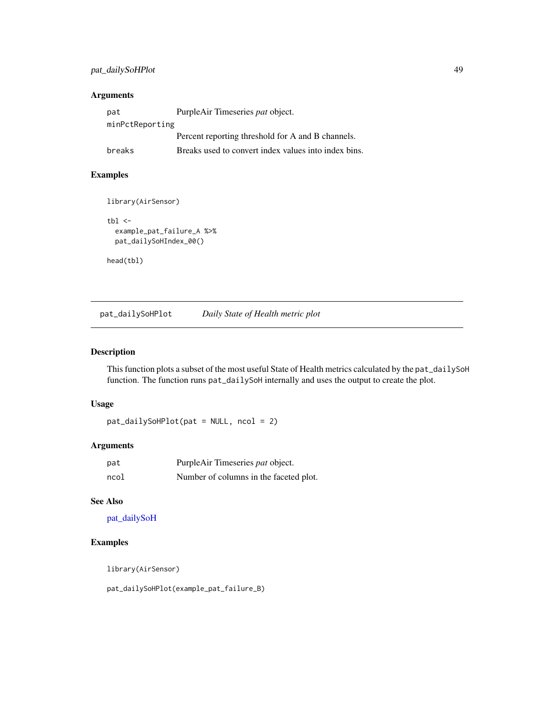# pat\_dailySoHPlot 49

### Arguments

| pat             | PurpleAir Timeseries pat object.                     |
|-----------------|------------------------------------------------------|
| minPctReporting |                                                      |
|                 | Percent reporting threshold for A and B channels.    |
| breaks          | Breaks used to convert index values into index bins. |

# Examples

```
library(AirSensor)
```

```
tbl \leftarrowexample_pat_failure_A %>%
  pat_dailySoHIndex_00()
```
head(tbl)

<span id="page-48-0"></span>pat\_dailySoHPlot *Daily State of Health metric plot*

# Description

This function plots a subset of the most useful State of Health metrics calculated by the pat\_dailySoH function. The function runs pat\_dailySoH internally and uses the output to create the plot.

## Usage

```
pat_dailySoHPlot(pat = NULL, ncol = 2)
```
# Arguments

| pat  | PurpleAir Timeseries pat object.       |
|------|----------------------------------------|
| ncol | Number of columns in the faceted plot. |

# See Also

[pat\\_dailySoH](#page-45-0)

# Examples

library(AirSensor)

pat\_dailySoHPlot(example\_pat\_failure\_B)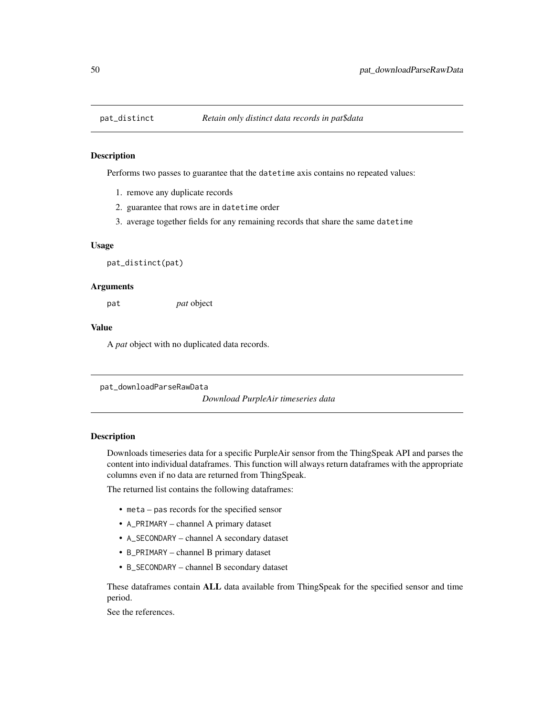### Description

Performs two passes to guarantee that the datetime axis contains no repeated values:

- 1. remove any duplicate records
- 2. guarantee that rows are in datetime order
- 3. average together fields for any remaining records that share the same datetime

#### Usage

pat\_distinct(pat)

#### Arguments

pat *pat* object

### Value

A *pat* object with no duplicated data records.

<span id="page-49-0"></span>pat\_downloadParseRawData

*Download PurpleAir timeseries data*

#### Description

Downloads timeseries data for a specific PurpleAir sensor from the ThingSpeak API and parses the content into individual dataframes. This function will always return dataframes with the appropriate columns even if no data are returned from ThingSpeak.

The returned list contains the following dataframes:

- meta pas records for the specified sensor
- A\_PRIMARY channel A primary dataset
- A\_SECONDARY channel A secondary dataset
- B\_PRIMARY channel B primary dataset
- B\_SECONDARY channel B secondary dataset

These dataframes contain ALL data available from ThingSpeak for the specified sensor and time period.

See the references.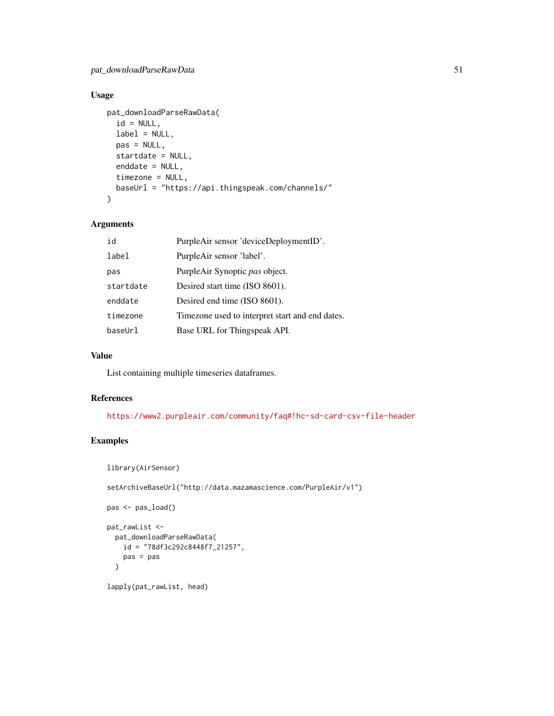# Usage

```
pat_downloadParseRawData(
  id = NULL,label = NULL,
 pas = NULL,startdate = NULL,
 enddate = NULL,
 timezone = NULL,
 baseUrl = "https://api.thingspeak.com/channels/"
)
```
# Arguments

| id        | PurpleAir sensor 'deviceDeploymentID'.          |
|-----------|-------------------------------------------------|
| label     | PurpleAir sensor 'label'.                       |
| pas       | PurpleAir Synoptic pas object.                  |
| startdate | Desired start time (ISO 8601).                  |
| enddate   | Desired end time (ISO 8601).                    |
| timezone  | Timezone used to interpret start and end dates. |
| baseUrl   | Base URL for Thingspeak API.                    |

### Value

List containing multiple timeseries dataframes.

### References

<https://www2.purpleair.com/community/faq#!hc-sd-card-csv-file-header>

### Examples

```
library(AirSensor)
```
setArchiveBaseUrl("http://data.mazamascience.com/PurpleAir/v1")

```
pas <- pas_load()
```

```
pat_rawList <-
  pat_downloadParseRawData(
    id = "78df3c292c8448f7_21257",
    pas = pas
  \mathcal{L}
```

```
lapply(pat_rawList, head)
```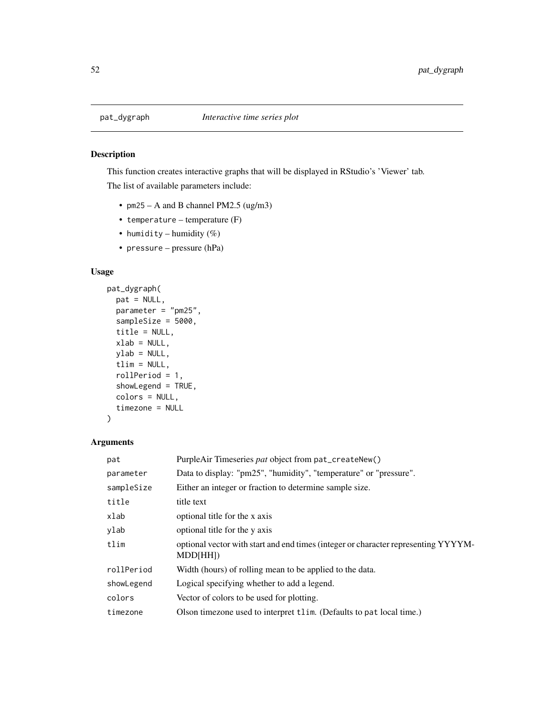# Description

This function creates interactive graphs that will be displayed in RStudio's 'Viewer' tab. The list of available parameters include:

- $pm25 A$  and B channel PM2.5 (ug/m3)
- temperature temperature (F)
- humidity humidity  $(\%)$
- pressure pressure (hPa)

### Usage

```
pat_dygraph(
  pat = NULL,
 parameter = "pm25",
  sampleSize = 5000,
  title = NULL,
  xlab = NULL,
 ylab = NULL,
  tlim = NULL,
  rollPeriod = 1,
  showLegend = TRUE,
  colors = NULL,
  timezone = NULL
\mathcal{L}
```
# Arguments

| pat        | PurpleAir Timeseries pat object from pat_createNew()                                           |
|------------|------------------------------------------------------------------------------------------------|
| parameter  | Data to display: "pm25", "humidity", "temperature" or "pressure".                              |
| sampleSize | Either an integer or fraction to determine sample size.                                        |
| title      | title text                                                                                     |
| xlab       | optional title for the x axis                                                                  |
| ylab       | optional title for the y axis                                                                  |
| tlim       | optional vector with start and end times (integer or character representing YYYYM-<br>MDD[HH]) |
| rollPeriod | Width (hours) of rolling mean to be applied to the data.                                       |
| showLegend | Logical specifying whether to add a legend.                                                    |
| colors     | Vector of colors to be used for plotting.                                                      |
| timezone   | Olson timezone used to interpret tlim. (Defaults to pat local time.)                           |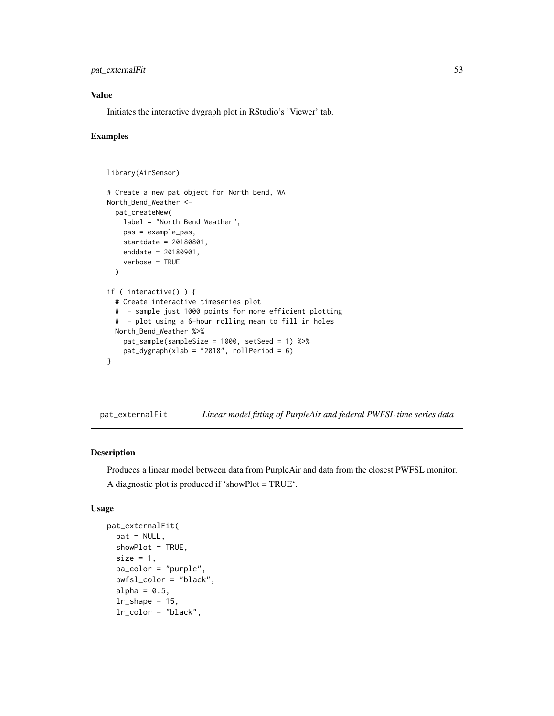# pat\_externalFit 53

## Value

Initiates the interactive dygraph plot in RStudio's 'Viewer' tab.

### Examples

```
library(AirSensor)
# Create a new pat object for North Bend, WA
North_Bend_Weather <-
  pat_createNew(
   label = "North Bend Weather",
   pas = example_pas,
   startdate = 20180801,
   enddate = 20180901,
    verbose = TRUE
  )
if ( interactive() ) {
  # Create interactive timeseries plot
  # - sample just 1000 points for more efficient plotting
  # - plot using a 6-hour rolling mean to fill in holes
  North_Bend_Weather %>%
   pat_sample(sampleSize = 1000, setSeed = 1) %>%
   pat_dygraph(xlab = "2018", rollPeriod = 6)}
```
pat\_externalFit *Linear model fitting of PurpleAir and federal PWFSL time series data*

# Description

Produces a linear model between data from PurpleAir and data from the closest PWFSL monitor.

A diagnostic plot is produced if 'showPlot = TRUE'.

#### Usage

```
pat_externalFit(
  pat = NULL,
  showPlot = TRUE,
  size = 1,
  pa_color = "purple",
  pwfsl_color = "black",
  alpha = 0.5,
  lr\_shape = 15,
  lr_color = "black",
```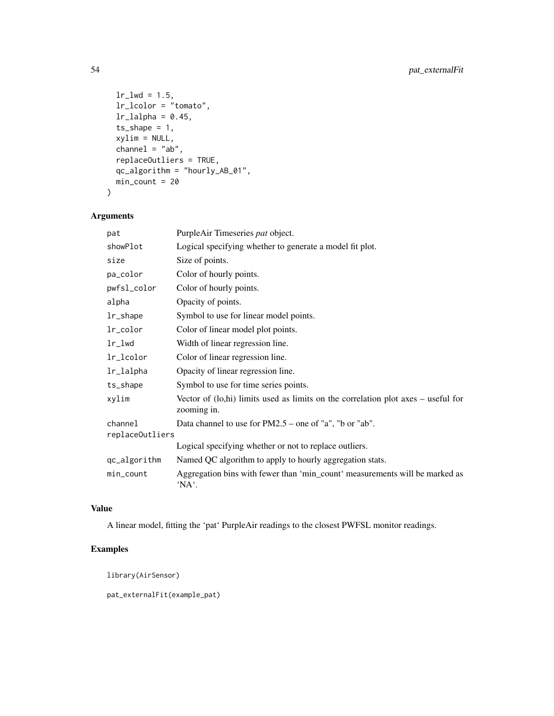```
lr\_lwd = 1.5,lr_lcolor = "tomato",
 lr<sup>1</sup>alpha = 0.45,
 ts_{shape} = 1,
 xylim = NULL,
  channel = "ab",replaceOutliers = TRUE,
 qc_algorithm = "hourly_AB_01",
 min_count = 20
)
```
# Arguments

| pat             | PurpleAir Timeseries pat object.                                                                   |
|-----------------|----------------------------------------------------------------------------------------------------|
| showPlot        | Logical specifying whether to generate a model fit plot.                                           |
| size            | Size of points.                                                                                    |
| pa_color        | Color of hourly points.                                                                            |
| pwfsl_color     | Color of hourly points.                                                                            |
| alpha           | Opacity of points.                                                                                 |
| lr_shape        | Symbol to use for linear model points.                                                             |
| lr_color        | Color of linear model plot points.                                                                 |
| $lr$ _ $l$ wd   | Width of linear regression line.                                                                   |
| lr_lcolor       | Color of linear regression line.                                                                   |
| lr_lalpha       | Opacity of linear regression line.                                                                 |
| ts_shape        | Symbol to use for time series points.                                                              |
| xylim           | Vector of $(lo,hi)$ limits used as limits on the correlation plot axes – useful for<br>zooming in. |
| channel         | Data channel to use for $PM2.5$ – one of "a", "b or "ab".                                          |
| replaceOutliers |                                                                                                    |
|                 | Logical specifying whether or not to replace outliers.                                             |
| qc_algorithm    | Named QC algorithm to apply to hourly aggregation stats.                                           |
| min_count       | Aggregation bins with fewer than 'min_count' measurements will be marked as<br>'NA'.               |

# Value

A linear model, fitting the 'pat' PurpleAir readings to the closest PWFSL monitor readings.

# Examples

library(AirSensor)

pat\_externalFit(example\_pat)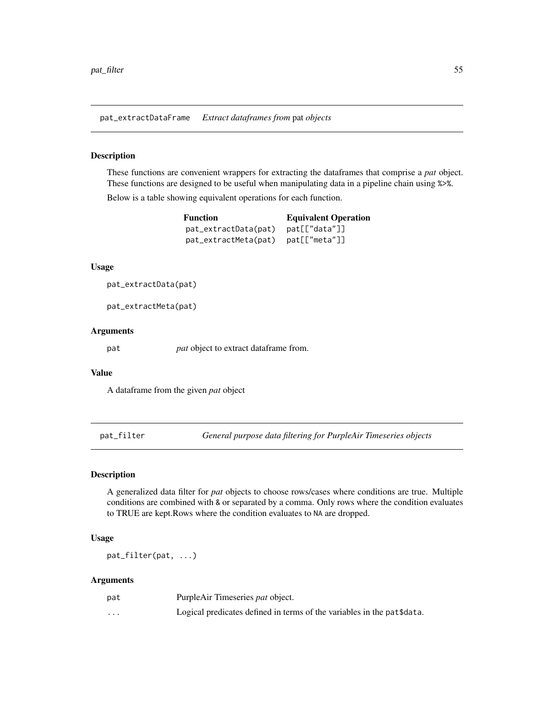pat\_extractDataFrame *Extract dataframes from* pat *objects*

## Description

These functions are convenient wrappers for extracting the dataframes that comprise a *pat* object. These functions are designed to be useful when manipulating data in a pipeline chain using %>%.

Below is a table showing equivalent operations for each function.

| <b>Function</b>      | <b>Equivalent Operation</b> |  |
|----------------------|-----------------------------|--|
| pat_extractData(pat) | pat[["data"]]               |  |
| pat_extractMeta(pat) | pat[["meta"]]               |  |

#### Usage

```
pat_extractData(pat)
```
pat\_extractMeta(pat)

#### Arguments

pat *pat* object to extract dataframe from.

#### Value

A dataframe from the given *pat* object

<span id="page-54-0"></span>pat\_filter *General purpose data filtering for PurpleAir Timeseries objects*

#### Description

A generalized data filter for *pat* objects to choose rows/cases where conditions are true. Multiple conditions are combined with & or separated by a comma. Only rows where the condition evaluates to TRUE are kept.Rows where the condition evaluates to NA are dropped.

## Usage

pat\_filter(pat, ...)

#### Arguments

| pat      | PurpleAir Timeseries <i>pat</i> object.                                |
|----------|------------------------------------------------------------------------|
| $\cdots$ | Logical predicates defined in terms of the variables in the pat\$data. |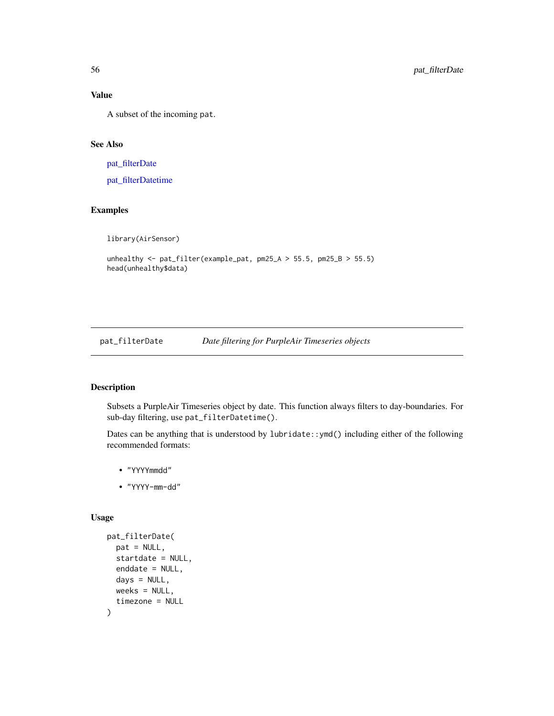### Value

A subset of the incoming pat.

## See Also

[pat\\_filterDate](#page-55-0)

[pat\\_filterDatetime](#page-56-0)

# Examples

library(AirSensor)

```
unhealthy \le pat_filter(example_pat, pm25_A > 55.5, pm25_B > 55.5)
head(unhealthy$data)
```
<span id="page-55-0"></span>pat\_filterDate *Date filtering for PurpleAir Timeseries objects*

# Description

Subsets a PurpleAir Timeseries object by date. This function always filters to day-boundaries. For sub-day filtering, use pat\_filterDatetime().

Dates can be anything that is understood by lubridate::ymd() including either of the following recommended formats:

- "YYYYmmdd"
- "YYYY-mm-dd"

### Usage

```
pat_filterDate(
  pat = NULL,
  startdate = NULL,
  enddate = NULL,
  days = NULL,weeks = NULL,
  timezone = NULL
\mathcal{E}
```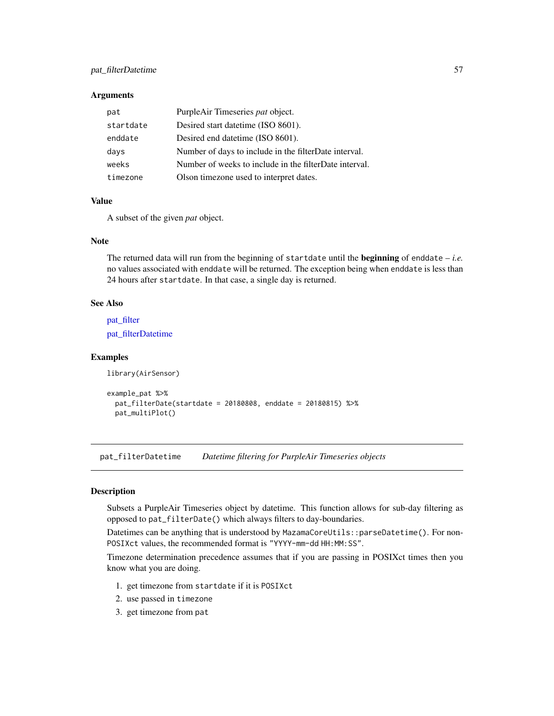# pat\_filterDatetime 57

#### **Arguments**

| pat       | PurpleAir Timeseries pat object.                       |
|-----------|--------------------------------------------------------|
| startdate | Desired start date time (ISO 8601).                    |
| enddate   | Desired end date time (ISO 8601).                      |
| days      | Number of days to include in the filterDate interval.  |
| weeks     | Number of weeks to include in the filterDate interval. |
| timezone  | Olson timezone used to interpret dates.                |

### Value

A subset of the given *pat* object.

### Note

The returned data will run from the beginning of startdate until the beginning of enddate – *i.e.* no values associated with enddate will be returned. The exception being when enddate is less than 24 hours after startdate. In that case, a single day is returned.

## See Also

pat filter

[pat\\_filterDatetime](#page-56-0)

#### Examples

```
library(AirSensor)
```

```
example_pat %>%
 pat_filterDate(startdate = 20180808, enddate = 20180815) %>%
 pat_multiPlot()
```
<span id="page-56-0"></span>pat\_filterDatetime *Datetime filtering for PurpleAir Timeseries objects*

## Description

Subsets a PurpleAir Timeseries object by datetime. This function allows for sub-day filtering as opposed to pat\_filterDate() which always filters to day-boundaries.

Datetimes can be anything that is understood by MazamaCoreUtils::parseDatetime(). For non-POSIXct values, the recommended format is "YYYY-mm-dd HH:MM:SS".

Timezone determination precedence assumes that if you are passing in POSIXct times then you know what you are doing.

- 1. get timezone from startdate if it is POSIXct
- 2. use passed in timezone
- 3. get timezone from pat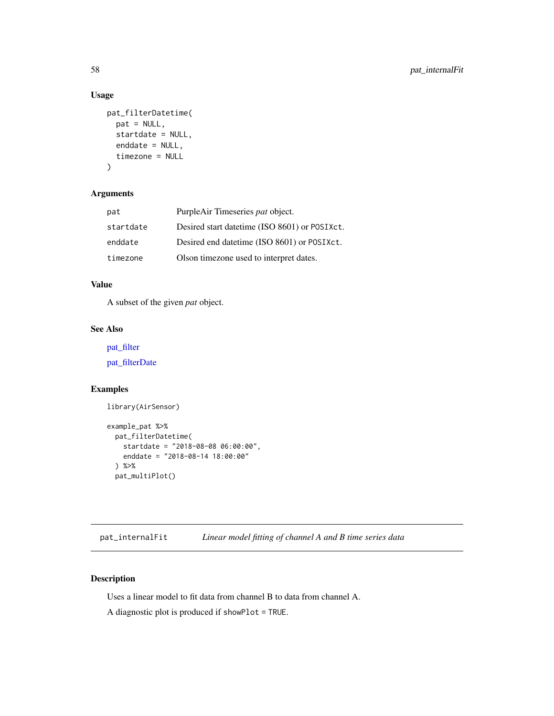## Usage

```
pat_filterDatetime(
 pat = NULL,
  startdate = NULL,
 enddate = NULL,
  timezone = NULL
\lambda
```
# Arguments

| pat       | PurpleAir Timeseries pat object.              |
|-----------|-----------------------------------------------|
| startdate | Desired start datetime (ISO 8601) or POSIXct. |
| enddate   | Desired end datetime (ISO 8601) or POSIXct.   |
| timezone  | Olson timezone used to interpret dates.       |

# Value

A subset of the given *pat* object.

### See Also

[pat\\_filter](#page-54-0)

[pat\\_filterDate](#page-55-0)

### Examples

```
library(AirSensor)
```

```
example_pat %>%
 pat_filterDatetime(
   startdate = "2018-08-08 06:00:00",
   enddate = "2018-08-14 18:00:00"
 ) %>%
 pat_multiPlot()
```
pat\_internalFit *Linear model fitting of channel A and B time series data*

# Description

Uses a linear model to fit data from channel B to data from channel A.

A diagnostic plot is produced if showPlot = TRUE.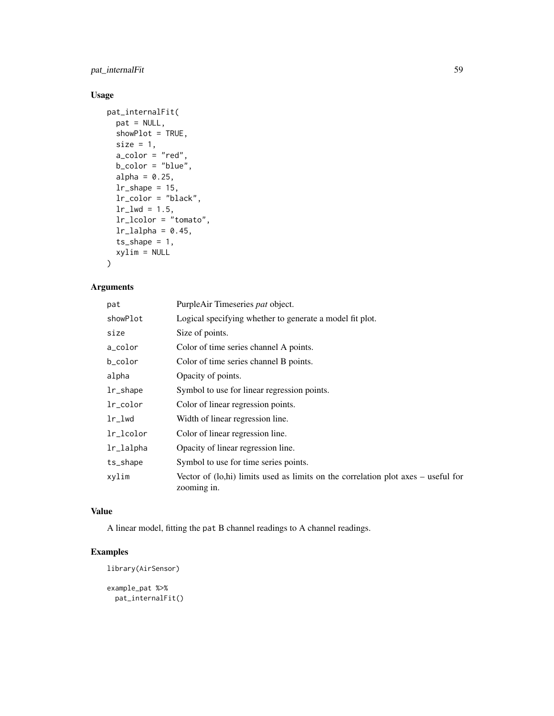pat\_internalFit 59

# Usage

```
pat_internalFit(
  pat = NULL,
  showPlot = TRUE,
  size = 1,a_{\text{color}} = "red",b_color = "blue",
  alpha = 0.25,
  lr\_shape = 15,
  lr_color = "black",
  lr\_lwd = 1.5,lr_lcolor = "tomato",
  lr\_lalpha = 0.45,ts\_shape = 1,
  xylim = NULL
)
```
# Arguments

| pat        | PurpleAir Timeseries pat object.                                                                   |
|------------|----------------------------------------------------------------------------------------------------|
| showPlot   | Logical specifying whether to generate a model fit plot.                                           |
| size       | Size of points.                                                                                    |
| a_color    | Color of time series channel A points.                                                             |
| b_color    | Color of time series channel B points.                                                             |
| alpha      | Opacity of points.                                                                                 |
| lr_shape   | Symbol to use for linear regression points.                                                        |
| lr_color   | Color of linear regression points.                                                                 |
| $lr\_1$ wd | Width of linear regression line.                                                                   |
| lr_lcolor  | Color of linear regression line.                                                                   |
| lr_lalpha  | Opacity of linear regression line.                                                                 |
| ts_shape   | Symbol to use for time series points.                                                              |
| xylim      | Vector of $(lo,hi)$ limits used as limits on the correlation plot axes – useful for<br>zooming in. |

# Value

A linear model, fitting the pat B channel readings to A channel readings.

# Examples

```
library(AirSensor)
```
example\_pat %>% pat\_internalFit()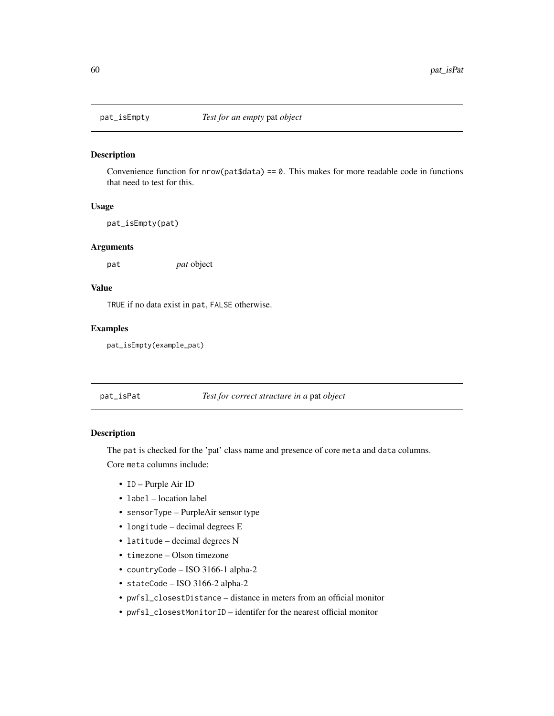## Description

Convenience function for  $nrow(pat$data) == 0$ . This makes for more readable code in functions that need to test for this.

## Usage

pat\_isEmpty(pat)

#### Arguments

pat *pat* object

# Value

TRUE if no data exist in pat, FALSE otherwise.

## Examples

pat\_isEmpty(example\_pat)

#### pat\_isPat *Test for correct structure in a* pat *object*

## Description

The pat is checked for the 'pat' class name and presence of core meta and data columns. Core meta columns include:

- ID Purple Air ID
- label location label
- sensorType PurpleAir sensor type
- longitude decimal degrees E
- latitude decimal degrees N
- timezone Olson timezone
- countryCode ISO 3166-1 alpha-2
- stateCode ISO 3166-2 alpha-2
- pwfsl\_closestDistance distance in meters from an official monitor
- pwfsl\_closestMonitorID identifer for the nearest official monitor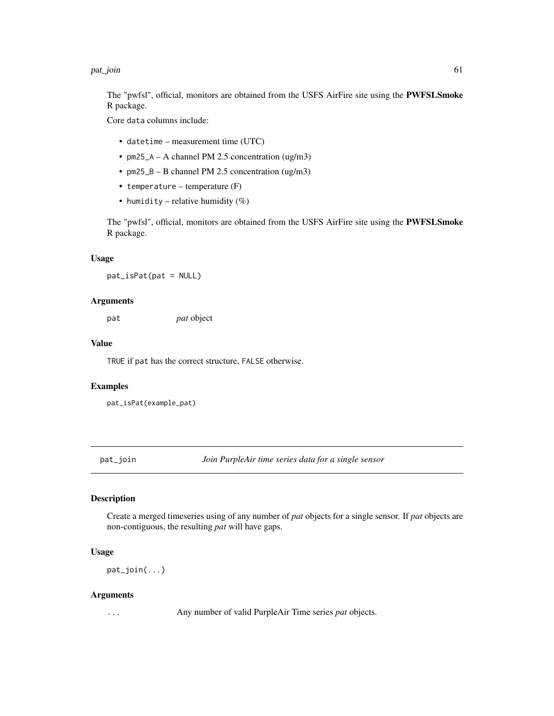#### pat\_join 61

The "pwfsl", official, monitors are obtained from the USFS AirFire site using the PWFSLSmoke R package.

Core data columns include:

- datetime measurement time (UTC)
- pm25\_A A channel PM 2.5 concentration (ug/m3)
- pm25\_B B channel PM 2.5 concentration (ug/m3)
- temperature temperature  $(F)$
- humidity relative humidity  $(\%)$

The "pwfsl", official, monitors are obtained from the USFS AirFire site using the PWFSLSmoke R package.

# Usage

pat\_isPat(pat = NULL)

#### Arguments

pat *pat* object

## Value

TRUE if pat has the correct structure, FALSE otherwise.

#### Examples

```
pat_isPat(example_pat)
```
pat\_join *Join PurpleAir time series data for a single sensor*

### Description

Create a merged timeseries using of any number of *pat* objects for a single sensor. If *pat* objects are non-contiguous, the resulting *pat* will have gaps.

### Usage

pat\_join(...)

#### Arguments

... Any number of valid PurpleAir Time series *pat* objects.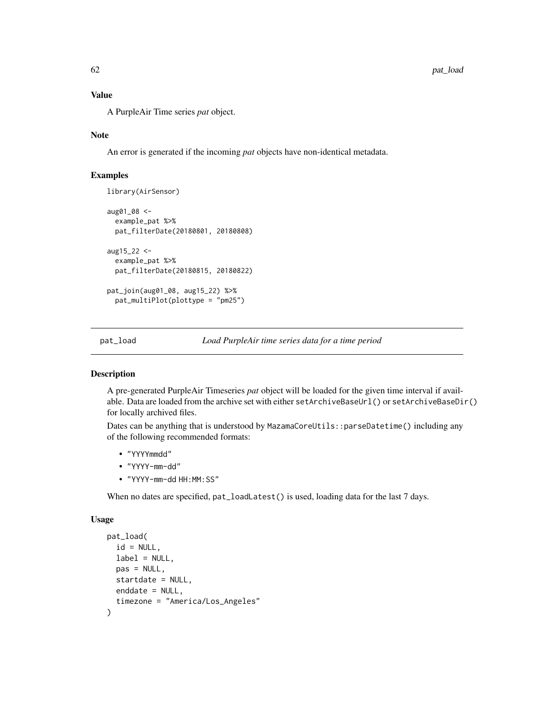## Value

A PurpleAir Time series *pat* object.

### Note

An error is generated if the incoming *pat* objects have non-identical metadata.

### Examples

```
library(AirSensor)
aug01_08 <-
  example_pat %>%
  pat_filterDate(20180801, 20180808)
aug15_22 <-
  example_pat %>%
  pat_filterDate(20180815, 20180822)
pat_join(aug01_08, aug15_22) %>%
  pat_multiPlot(plottype = "pm25")
```
<span id="page-61-0"></span>pat\_load *Load PurpleAir time series data for a time period*

### Description

A pre-generated PurpleAir Timeseries *pat* object will be loaded for the given time interval if available. Data are loaded from the archive set with either setArchiveBaseUrl() or setArchiveBaseDir() for locally archived files.

Dates can be anything that is understood by MazamaCoreUtils::parseDatetime() including any of the following recommended formats:

- "YYYYmmdd"
- "YYYY-mm-dd"
- "YYYY-mm-dd HH:MM:SS"

When no dates are specified,  $pat\_loadLast()$  is used, loading data for the last 7 days.

#### Usage

```
pat_load(
  id = NULL,label = NULL,
 pas = NULL,
 startdate = NULL,
 enddate = NULL,
  timezone = "America/Los_Angeles"
)
```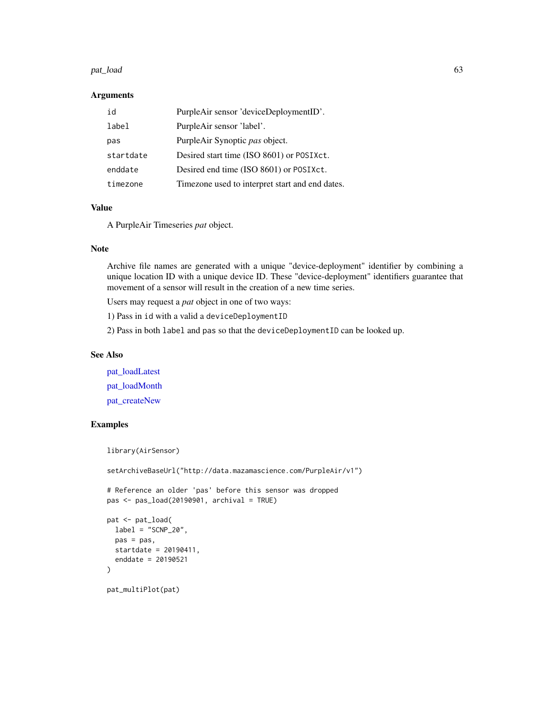#### pat\_load 63 to 63 and 63 and 63 and 63 and 63 and 63 and 63 and 63 and 63 and 63 and 63 and 63 and 63 and 63 and 63 and 63 and 63 and 63 and 63 and 63 and 63 and 63 and 63 and 63 and 63 and 63 and 63 and 63 and 63 and 63 a

### Arguments

| id        | PurpleAir sensor 'deviceDeploymentID'.          |
|-----------|-------------------------------------------------|
| label     | PurpleAir sensor 'label'.                       |
| pas       | PurpleAir Synoptic pas object.                  |
| startdate | Desired start time (ISO 8601) or POSIXct.       |
| enddate   | Desired end time (ISO 8601) or POSIXct.         |
| timezone  | Timezone used to interpret start and end dates. |

### Value

A PurpleAir Timeseries *pat* object.

## Note

Archive file names are generated with a unique "device-deployment" identifier by combining a unique location ID with a unique device ID. These "device-deployment" identifiers guarantee that movement of a sensor will result in the creation of a new time series.

Users may request a *pat* object in one of two ways:

1) Pass in id with a valid a deviceDeploymentID

2) Pass in both label and pas so that the deviceDeploymentID can be looked up.

### See Also

[pat\\_loadLatest](#page-63-0) [pat\\_loadMonth](#page-64-0) [pat\\_createNew](#page-43-0)

```
library(AirSensor)
setArchiveBaseUrl("http://data.mazamascience.com/PurpleAir/v1")
# Reference an older 'pas' before this sensor was dropped
pas <- pas_load(20190901, archival = TRUE)
pat <- pat_load(
 label = "SCNP_20".pas = pas,
 startdate = 20190411,
 enddate = 20190521
)
pat_multiPlot(pat)
```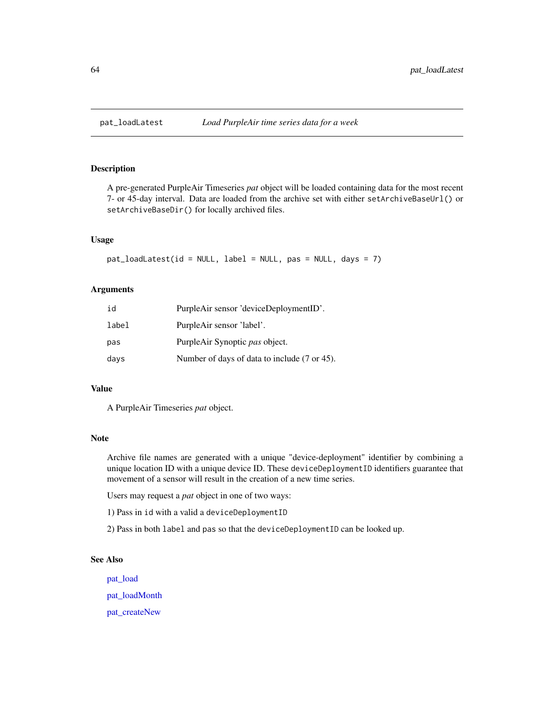<span id="page-63-0"></span>

# Description

A pre-generated PurpleAir Timeseries *pat* object will be loaded containing data for the most recent 7- or 45-day interval. Data are loaded from the archive set with either setArchiveBaseUrl() or setArchiveBaseDir() for locally archived files.

#### Usage

```
pat_loadLatest(id = NULL, label = NULL, pas = NULL, days = 7)
```
### Arguments

| id    | PurpleAir sensor 'deviceDeploymentID'.       |
|-------|----------------------------------------------|
| label | PurpleAir sensor 'label'.                    |
| pas   | PurpleAir Synoptic pas object.               |
| days  | Number of days of data to include (7 or 45). |

### Value

A PurpleAir Timeseries *pat* object.

# Note

Archive file names are generated with a unique "device-deployment" identifier by combining a unique location ID with a unique device ID. These deviceDeploymentID identifiers guarantee that movement of a sensor will result in the creation of a new time series.

Users may request a *pat* object in one of two ways:

- 1) Pass in id with a valid a deviceDeploymentID
- 2) Pass in both label and pas so that the deviceDeploymentID can be looked up.

## See Also

[pat\\_load](#page-61-0) [pat\\_loadMonth](#page-64-0) [pat\\_createNew](#page-43-0)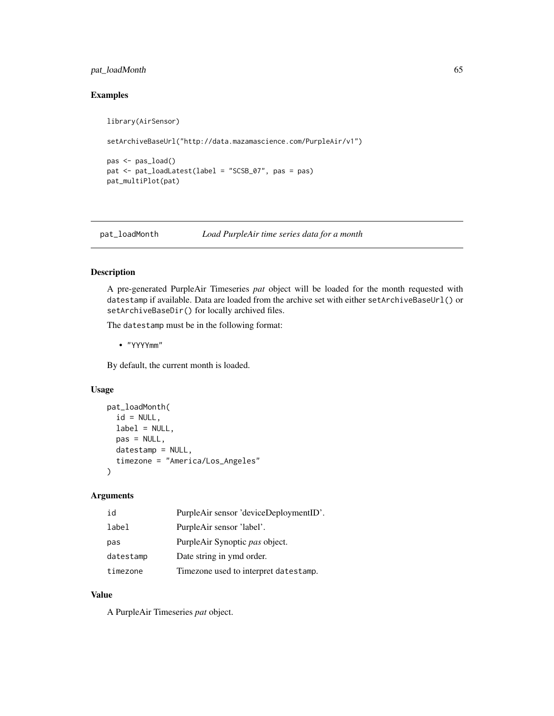# pat\_loadMonth 65

# Examples

```
library(AirSensor)
```

```
setArchiveBaseUrl("http://data.mazamascience.com/PurpleAir/v1")
```

```
pas <- pas_load()
pat <- pat_loadLatest(label = "SCSB_07", pas = pas)
pat_multiPlot(pat)
```
<span id="page-64-0"></span>pat\_loadMonth *Load PurpleAir time series data for a month*

### Description

A pre-generated PurpleAir Timeseries *pat* object will be loaded for the month requested with datestamp if available. Data are loaded from the archive set with either setArchiveBaseUrl() or setArchiveBaseDir() for locally archived files.

The datestamp must be in the following format:

• "YYYYmm"

By default, the current month is loaded.

## Usage

```
pat_loadMonth(
  id = NULL,label = NULL,pas = NULL,
  datestamp = NULL,
  timezone = "America/Los_Angeles"
)
```
### Arguments

| id        | PurpleAir sensor 'deviceDeploymentID'. |
|-----------|----------------------------------------|
| label     | PurpleAir sensor 'label'.              |
| pas       | PurpleAir Synoptic pas object.         |
| datestamp | Date string in ymd order.              |
| timezone  | Timezone used to interpret datestamp.  |

# Value

A PurpleAir Timeseries *pat* object.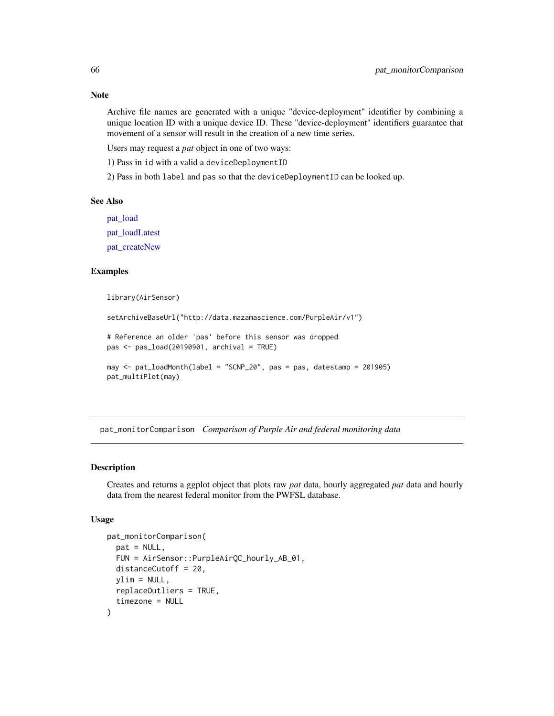### Note

Archive file names are generated with a unique "device-deployment" identifier by combining a unique location ID with a unique device ID. These "device-deployment" identifiers guarantee that movement of a sensor will result in the creation of a new time series.

Users may request a *pat* object in one of two ways:

1) Pass in id with a valid a deviceDeploymentID

2) Pass in both label and pas so that the deviceDeploymentID can be looked up.

### See Also

[pat\\_load](#page-61-0)

[pat\\_loadLatest](#page-63-0)

[pat\\_createNew](#page-43-0)

### Examples

library(AirSensor)

```
setArchiveBaseUrl("http://data.mazamascience.com/PurpleAir/v1")
```
# Reference an older 'pas' before this sensor was dropped pas <- pas\_load(20190901, archival = TRUE)

```
may <- pat_loadMonth(label = "SCNP_20", pas = pas, datestamp = 201905)
pat_multiPlot(may)
```
pat\_monitorComparison *Comparison of Purple Air and federal monitoring data*

## **Description**

Creates and returns a ggplot object that plots raw *pat* data, hourly aggregated *pat* data and hourly data from the nearest federal monitor from the PWFSL database.

### Usage

```
pat_monitorComparison(
 pat = NULL,FUN = AirSensor::PurpleAirQC_hourly_AB_01,
 distanceCutoff = 20,
 vlim = NULL,replaceOutliers = TRUE,
  timezone = NULL
)
```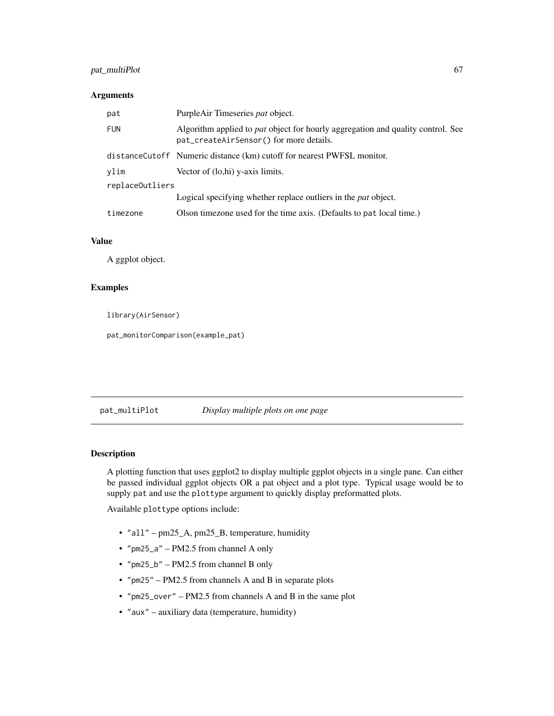# pat\_multiPlot 67

### Arguments

| pat             | PurpleAir Timeseries pat object.                                                                                                  |  |
|-----------------|-----------------------------------------------------------------------------------------------------------------------------------|--|
| <b>FUN</b>      | Algorithm applied to <i>pat</i> object for hourly aggregation and quality control. See<br>pat_createAirSensor() for more details. |  |
|                 | distanceCutoff Numeric distance (km) cutoff for nearest PWFSL monitor.                                                            |  |
| ylim            | Vector of (lo,hi) y-axis limits.                                                                                                  |  |
| replaceOutliers |                                                                                                                                   |  |
|                 | Logical specifying whether replace outliers in the <i>pat</i> object.                                                             |  |
| timezone        | Olson timezone used for the time axis. (Defaults to pat local time.)                                                              |  |

#### Value

A ggplot object.

#### Examples

library(AirSensor)

pat\_monitorComparison(example\_pat)

| pat_multiPlot | Display multiple plots on one page |  |
|---------------|------------------------------------|--|
|               |                                    |  |

### Description

A plotting function that uses ggplot2 to display multiple ggplot objects in a single pane. Can either be passed individual ggplot objects OR a pat object and a plot type. Typical usage would be to supply pat and use the plottype argument to quickly display preformatted plots.

Available plottype options include:

- "all" pm25\_A, pm25\_B, temperature, humidity
- "pm25\_a" PM2.5 from channel A only
- "pm25\_b" PM2.5 from channel B only
- "pm25" PM2.5 from channels A and B in separate plots
- "pm25\_over" PM2.5 from channels A and B in the same plot
- "aux" auxiliary data (temperature, humidity)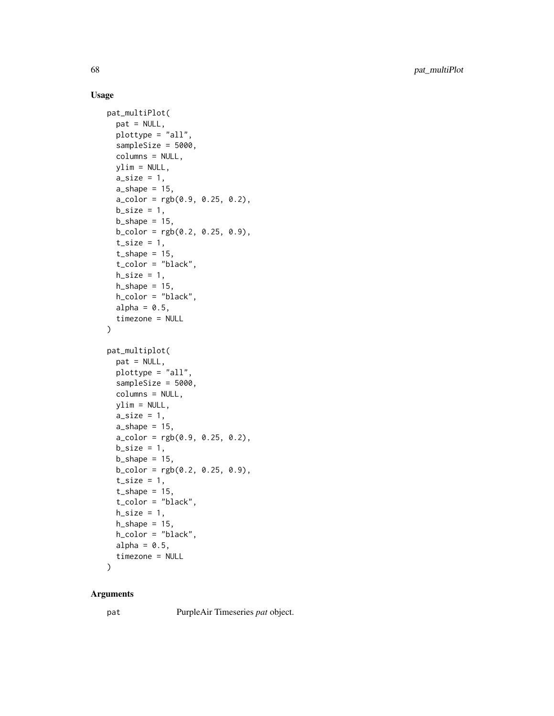# Usage

```
pat_multiPlot(
  pat = NULL,
  plottype = "all",
  sampleSize = 5000,
  columns = NULL,
  ylim = NULL,
  a\_size = 1,
  a_shape = 15,
  a_{\text{color}} = \text{rgb}(0.9, 0.25, 0.2),
  b_size = 1,
  b_shape = 15,
  b_{\text{color}} = \text{rgb}(0.2, 0.25, 0.9),t<sub>size</sub> = 1,
  t_shape = 15,
  t_color = "black",
  h\_size = 1,
  h_{\text{}}shape = 15,
  h_color = "black",
  alpha = 0.5,
  timezone = NULL
\lambdapat_multiplot(
  pat = NULL,
  plottype = "all",
  sampleSize = 5000,
  columns = NULL,
  ylim = NULL,
  a\_size = 1,
  a_shape = 15,
  a_color = rgb(0.9, 0.25, 0.2),
  b_size = 1,
  b_{\text{-}}shape = 15,
  b_{\text{color}} = \text{rgb}(0.2, 0.25, 0.9),
  t<sub>size</sub> = 1,
  t_{shape} = 15,
  t_color = "black",
  h\_size = 1,
  h_{\text{}}shape = 15,
  h_color = "black",
  alpha = 0.5,
  timezone = NULL
```
# $\mathcal{L}$

### Arguments

pat PurpleAir Timeseries *pat* object.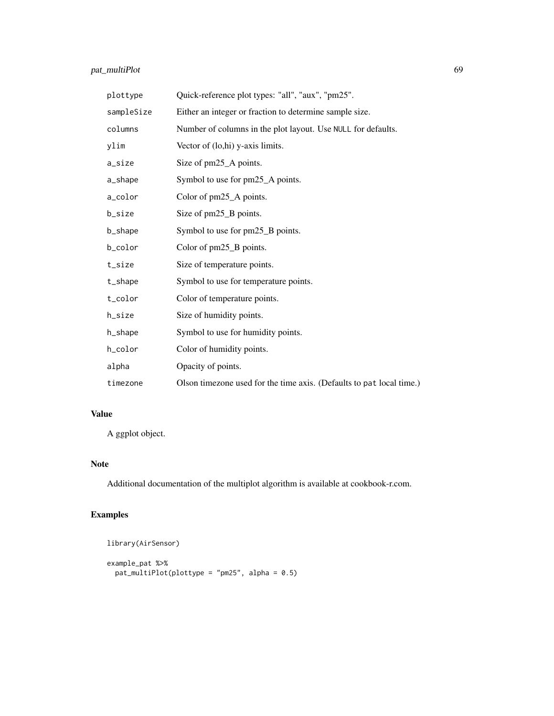# pat\_multiPlot 69

| plottype   | Quick-reference plot types: "all", "aux", "pm25".                    |
|------------|----------------------------------------------------------------------|
| sampleSize | Either an integer or fraction to determine sample size.              |
| columns    | Number of columns in the plot layout. Use NULL for defaults.         |
| ylim       | Vector of (lo,hi) y-axis limits.                                     |
| a_size     | Size of pm25_A points.                                               |
| a_shape    | Symbol to use for pm25_A points.                                     |
| a_color    | Color of pm25_A points.                                              |
| b_size     | Size of pm25_B points.                                               |
| b_shape    | Symbol to use for pm25_B points.                                     |
| b_color    | Color of pm25_B points.                                              |
| t_size     | Size of temperature points.                                          |
| t_shape    | Symbol to use for temperature points.                                |
| t_color    | Color of temperature points.                                         |
| h_size     | Size of humidity points.                                             |
| h_shape    | Symbol to use for humidity points.                                   |
| h_color    | Color of humidity points.                                            |
| alpha      | Opacity of points.                                                   |
| timezone   | Olson timezone used for the time axis. (Defaults to pat local time.) |

# Value

A ggplot object.

# Note

Additional documentation of the multiplot algorithm is available at cookbook-r.com.

```
library(AirSensor)
example_pat %>%
  pat_multiPlot(plottype = "pm25", alpha = 0.5)
```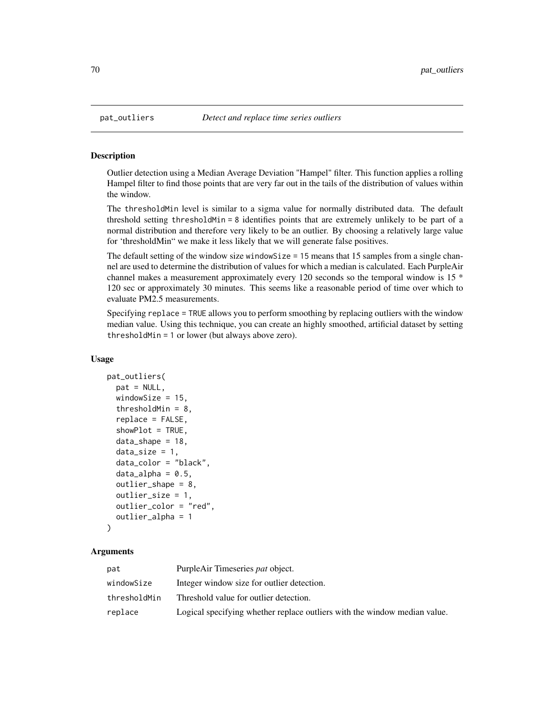#### Description

Outlier detection using a Median Average Deviation "Hampel" filter. This function applies a rolling Hampel filter to find those points that are very far out in the tails of the distribution of values within the window.

The thresholdMin level is similar to a sigma value for normally distributed data. The default threshold setting thresholdMin = 8 identifies points that are extremely unlikely to be part of a normal distribution and therefore very likely to be an outlier. By choosing a relatively large value for 'thresholdMin" we make it less likely that we will generate false positives.

The default setting of the window size windowSize = 15 means that 15 samples from a single channel are used to determine the distribution of values for which a median is calculated. Each PurpleAir channel makes a measurement approximately every 120 seconds so the temporal window is 15 \* 120 sec or approximately 30 minutes. This seems like a reasonable period of time over which to evaluate PM2.5 measurements.

Specifying replace = TRUE allows you to perform smoothing by replacing outliers with the window median value. Using this technique, you can create an highly smoothed, artificial dataset by setting thresholdMin = 1 or lower (but always above zero).

#### Usage

```
pat_outliers(
  pat = NULL,
 windowSize = 15,
  thresholdMin = 8,
  replace = FALSE,showPlot = TRUE,
  data_{shape} = 18,
  data_size = 1,
  data_color = "black",
  data_alpha = 0.5,
  outlier_shape = 8,
  outlier_size = 1,
  outlier_color = "red",
  outlier_alpha = 1
)
```
### Arguments

| pat          | PurpleAir Timeseries pat object.                                          |
|--------------|---------------------------------------------------------------------------|
| windowSize   | Integer window size for outlier detection.                                |
| thresholdMin | Threshold value for outlier detection.                                    |
| replace      | Logical specifying whether replace outliers with the window median value. |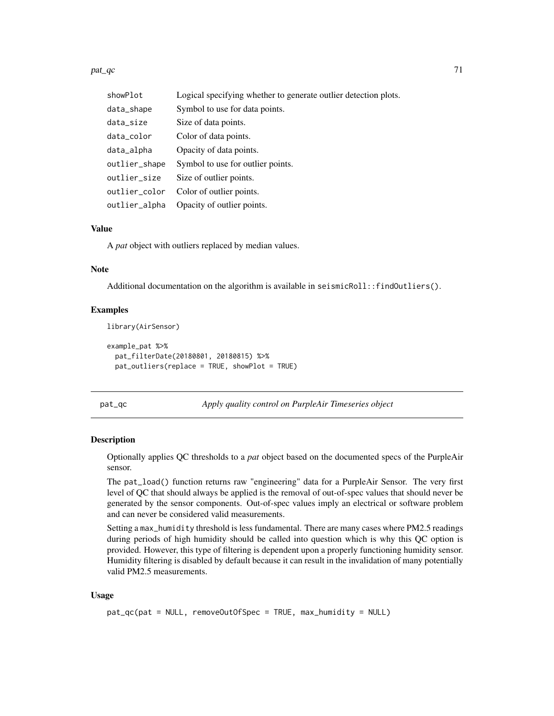$p$ at\_qc  $\qquad \qquad$  71

| showPlot      | Logical specifying whether to generate outlier detection plots. |
|---------------|-----------------------------------------------------------------|
| data_shape    | Symbol to use for data points.                                  |
| data_size     | Size of data points.                                            |
| data_color    | Color of data points.                                           |
| data_alpha    | Opacity of data points.                                         |
| outlier_shape | Symbol to use for outlier points.                               |
| outlier_size  | Size of outlier points.                                         |
| outlier_color | Color of outlier points.                                        |
| outlier_alpha | Opacity of outlier points.                                      |

#### Value

A *pat* object with outliers replaced by median values.

#### Note

Additional documentation on the algorithm is available in seismicRoll::findOutliers().

#### Examples

library(AirSensor)

```
example_pat %>%
 pat_filterDate(20180801, 20180815) %>%
 pat_outliers(replace = TRUE, showPlot = TRUE)
```
pat\_qc *Apply quality control on PurpleAir Timeseries object*

#### Description

Optionally applies QC thresholds to a *pat* object based on the documented specs of the PurpleAir sensor.

The pat\_load() function returns raw "engineering" data for a PurpleAir Sensor. The very first level of QC that should always be applied is the removal of out-of-spec values that should never be generated by the sensor components. Out-of-spec values imply an electrical or software problem and can never be considered valid measurements.

Setting a max\_humidity threshold is less fundamental. There are many cases where PM2.5 readings during periods of high humidity should be called into question which is why this QC option is provided. However, this type of filtering is dependent upon a properly functioning humidity sensor. Humidity filtering is disabled by default because it can result in the invalidation of many potentially valid PM2.5 measurements.

#### Usage

```
pat_qc(pat = NULL, removeOutOfSpec = TRUE, max_humidity = NULL)
```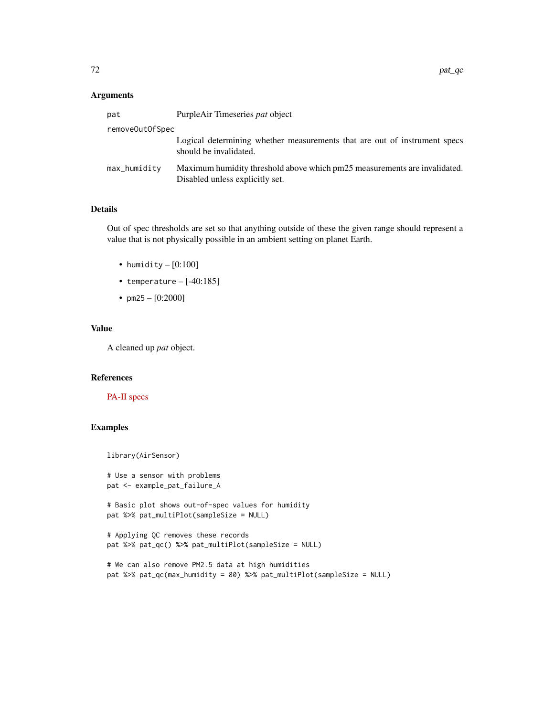#### Arguments

| pat             | PurpleAir Timeseries pat object                                                                              |  |
|-----------------|--------------------------------------------------------------------------------------------------------------|--|
| removeOutOfSpec |                                                                                                              |  |
|                 | Logical determining whether measurements that are out of instrument specs<br>should be invalidated.          |  |
| max_humidity    | Maximum humidity threshold above which pm25 measurements are invalidated.<br>Disabled unless explicitly set. |  |

# Details

Out of spec thresholds are set so that anything outside of these the given range should represent a value that is not physically possible in an ambient setting on planet Earth.

- humidity  $-[0:100]$
- temperature  $-[ -40:185]$
- pm25  $[0:2000]$

# Value

A cleaned up *pat* object.

# References

# [PA-II specs](https://www2.purpleair.com/products/purpleair-pa-ii)

```
library(AirSensor)
```

```
# Use a sensor with problems
pat <- example_pat_failure_A
```

```
# Basic plot shows out-of-spec values for humidity
pat %>% pat_multiPlot(sampleSize = NULL)
```

```
# Applying QC removes these records
pat %>% pat_qc() %>% pat_multiPlot(sampleSize = NULL)
```

```
# We can also remove PM2.5 data at high humidities
pat %>% pat_qc(max_humidity = 80) %>% pat_multiPlot(sampleSize = NULL)
```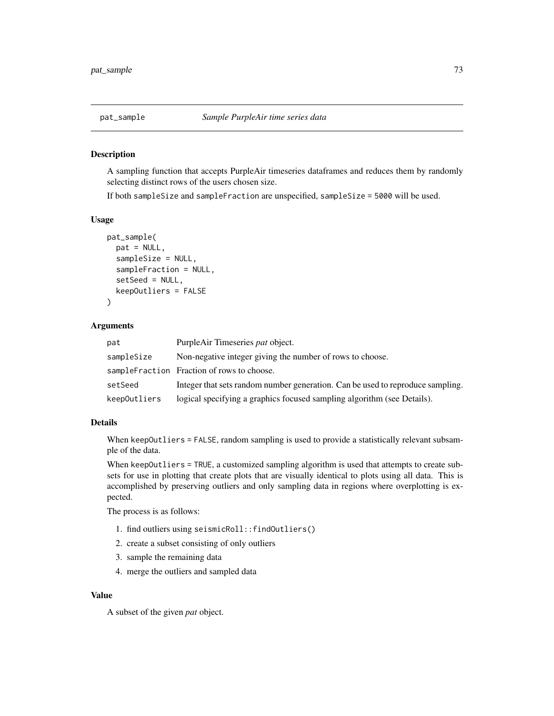A sampling function that accepts PurpleAir timeseries dataframes and reduces them by randomly selecting distinct rows of the users chosen size.

If both sampleSize and sampleFraction are unspecified, sampleSize = 5000 will be used.

#### Usage

```
pat_sample(
  pat = NULL,sampleSize = NULL,
  sampleFraction = NULL,
  setSeed = NULL,
  keepOutliers = FALSE
)
```
#### Arguments

| pat          | PurpleAir Timeseries pat object.                                               |
|--------------|--------------------------------------------------------------------------------|
| sampleSize   | Non-negative integer giving the number of rows to choose.                      |
|              | sampleFraction Fraction of rows to choose.                                     |
| setSeed      | Integer that sets random number generation. Can be used to reproduce sampling. |
| keepOutliers | logical specifying a graphics focused sampling algorithm (see Details).        |

## Details

When keepOutliers = FALSE, random sampling is used to provide a statistically relevant subsample of the data.

When keepOutliers = TRUE, a customized sampling algorithm is used that attempts to create subsets for use in plotting that create plots that are visually identical to plots using all data. This is accomplished by preserving outliers and only sampling data in regions where overplotting is expected.

The process is as follows:

- 1. find outliers using seismicRoll::findOutliers()
- 2. create a subset consisting of only outliers
- 3. sample the remaining data
- 4. merge the outliers and sampled data

#### Value

A subset of the given *pat* object.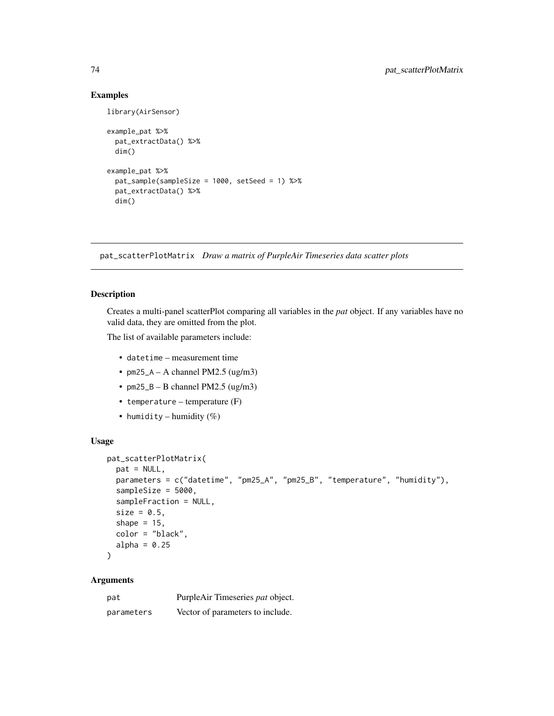library(AirSensor)

```
example_pat %>%
 pat_extractData() %>%
 dim()
example_pat %>%
 pat_sample(sampleSize = 1000, setSeed = 1) %>%
 pat_extractData() %>%
 dim()
```
pat\_scatterPlotMatrix *Draw a matrix of PurpleAir Timeseries data scatter plots*

# Description

Creates a multi-panel scatterPlot comparing all variables in the *pat* object. If any variables have no valid data, they are omitted from the plot.

The list of available parameters include:

- datetime measurement time
- $pm25_A A$  channel PM2.5 (ug/m3)
- $pm25_B B$  channel PM2.5 (ug/m3)
- temperature temperature (F)
- humidity humidity  $(\%)$

#### Usage

```
pat_scatterPlotMatrix(
 pat = NULL,parameters = c("datetime", "pm25_A", "pm25_B", "temperature", "humidity"),
  sampleSize = 5000,
  sampleFraction = NULL,
  size = 0.5,
  shape = 15,
 color = "black",
 alpha = 0.25)
```
## Arguments

| pat        | PurpleAir Timeseries pat object. |
|------------|----------------------------------|
| parameters | Vector of parameters to include. |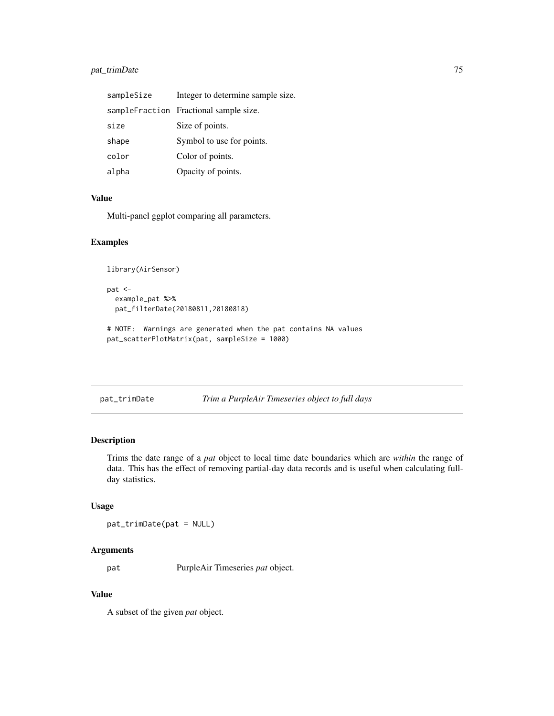## pat\_trimDate 75

| sampleSize | Integer to determine sample size.      |
|------------|----------------------------------------|
|            | sampleFraction Fractional sample size. |
| size       | Size of points.                        |
| shape      | Symbol to use for points.              |
| color      | Color of points.                       |
| alpha      | Opacity of points.                     |

#### Value

Multi-panel ggplot comparing all parameters.

## Examples

```
library(AirSensor)
pat <-
  example_pat %>%
  pat_filterDate(20180811,20180818)
# NOTE: Warnings are generated when the pat contains NA values
pat_scatterPlotMatrix(pat, sampleSize = 1000)
```

```
pat_trimDate Trim a PurpleAir Timeseries object to full days
```
## Description

Trims the date range of a *pat* object to local time date boundaries which are *within* the range of data. This has the effect of removing partial-day data records and is useful when calculating fullday statistics.

#### Usage

pat\_trimDate(pat = NULL)

#### Arguments

pat PurpleAir Timeseries *pat* object.

#### Value

A subset of the given *pat* object.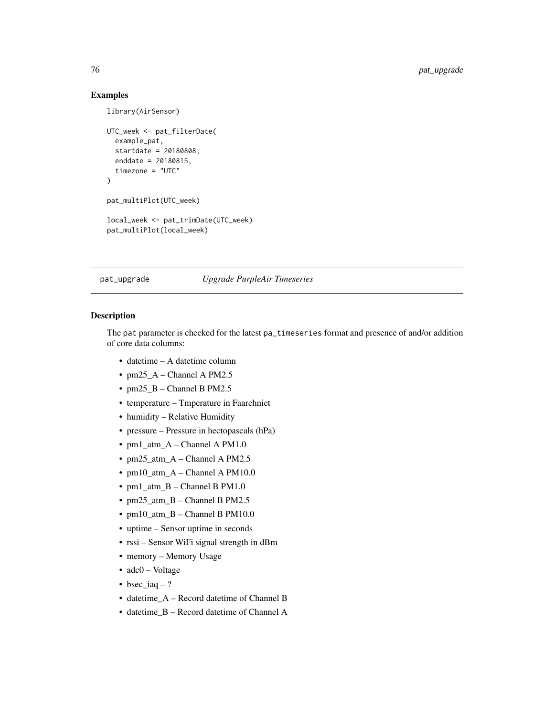)

```
library(AirSensor)
UTC_week <- pat_filterDate(
  example_pat,
  startdate = 20180808,
  enddate = 20180815,
  timezone = "UTC"
```
pat\_multiPlot(UTC\_week)

local\_week <- pat\_trimDate(UTC\_week) pat\_multiPlot(local\_week)

#### pat\_upgrade *Upgrade PurpleAir Timeseries*

## Description

The pat parameter is checked for the latest pa\_timeseries format and presence of and/or addition of core data columns:

- datetime A datetime column
- pm25 $A$  Channel A PM2.5
- pm25 $B -$ Channel B PM2.5
- temperature Tmperature in Faarehniet
- humidity Relative Humidity
- pressure Pressure in hectopascals (hPa)
- pm1\_atm\_A Channel A PM1.0
- pm25\_atm\_A Channel A PM2.5
- pm10\_atm\_A Channel A PM10.0
- pm1\_atm\_B Channel B PM1.0
- pm25\_atm\_B Channel B PM2.5
- pm10\_atm\_B Channel B PM10.0
- uptime Sensor uptime in seconds
- rssi Sensor WiFi signal strength in dBm
- memory Memory Usage
- adc0 Voltage
- bsec iaq  $-$  ?
- datetime\_A Record datetime of Channel B
- datetime\_B Record datetime of Channel A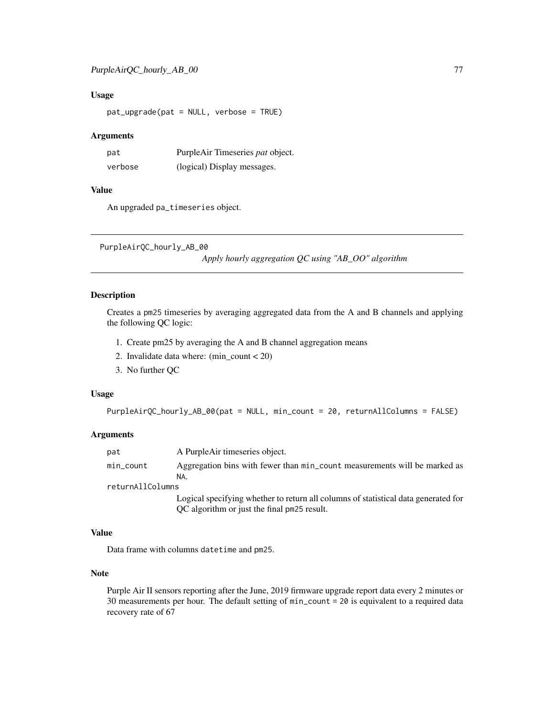## Usage

pat\_upgrade(pat = NULL, verbose = TRUE)

#### **Arguments**

| pat     | PurpleAir Timeseries pat object. |
|---------|----------------------------------|
| verbose | (logical) Display messages.      |

## Value

An upgraded pa\_timeseries object.

```
PurpleAirQC_hourly_AB_00
```
*Apply hourly aggregation QC using "AB\_OO" algorithm*

## Description

Creates a pm25 timeseries by averaging aggregated data from the A and B channels and applying the following QC logic:

- 1. Create pm25 by averaging the A and B channel aggregation means
- 2. Invalidate data where: (min\_count < 20)
- 3. No further QC

#### Usage

```
PurpleAirQC_hourly_AB_00(pat = NULL, min_count = 20, returnAllColumns = FALSE)
```
#### Arguments

| pat              | A PurpleAir timeseries object.                                                   |  |
|------------------|----------------------------------------------------------------------------------|--|
| min_count        | Aggregation bins with fewer than min_count measurements will be marked as<br>NA. |  |
| returnAllColumns |                                                                                  |  |

Logical specifying whether to return all columns of statistical data generated for QC algorithm or just the final pm25 result.

## Value

Data frame with columns datetime and pm25.

#### Note

Purple Air II sensors reporting after the June, 2019 firmware upgrade report data every 2 minutes or 30 measurements per hour. The default setting of min\_count = 20 is equivalent to a required data recovery rate of 67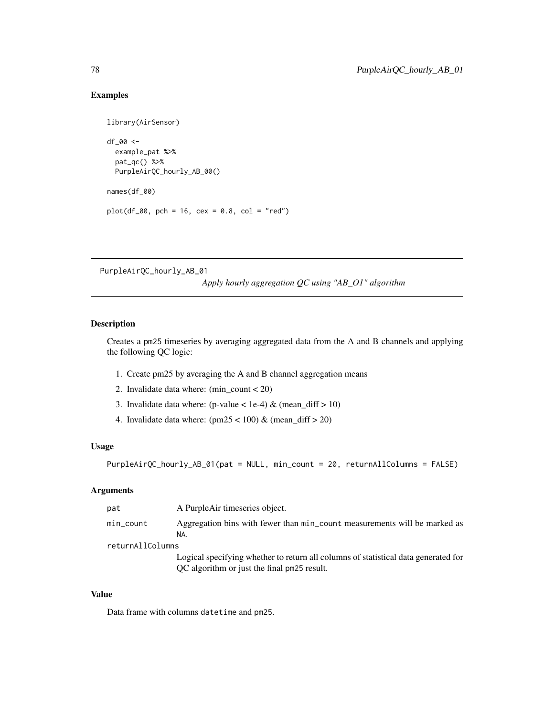```
library(AirSensor)
df_00 <-
  example_pat %>%
  pat_qc() %>%
  PurpleAirQC_hourly_AB_00()
names(df_00)
plot(df_00, pch = 16, cex = 0.8, col = "red")
```
PurpleAirQC\_hourly\_AB\_01

*Apply hourly aggregation QC using "AB\_O1" algorithm*

## Description

Creates a pm25 timeseries by averaging aggregated data from the A and B channels and applying the following QC logic:

- 1. Create pm25 by averaging the A and B channel aggregation means
- 2. Invalidate data where: (min\_count < 20)
- 3. Invalidate data where: (p-value < 1e-4) & (mean\_diff > 10)
- 4. Invalidate data where:  $(pm25 < 100)$  &  $(mean\_diff > 20)$

## Usage

PurpleAirQC\_hourly\_AB\_01(pat = NULL, min\_count = 20, returnAllColumns = FALSE)

## Arguments

| pat              | A PurpleAir timeseries object.                                                                                                    |
|------------------|-----------------------------------------------------------------------------------------------------------------------------------|
| min_count        | Aggregation bins with fewer than min_count measurements will be marked as<br>NA.                                                  |
| returnAllColumns |                                                                                                                                   |
|                  | Logical specifying whether to return all columns of statistical data generated for<br>OC algorithm or just the final pm25 result. |

## Value

Data frame with columns datetime and pm25.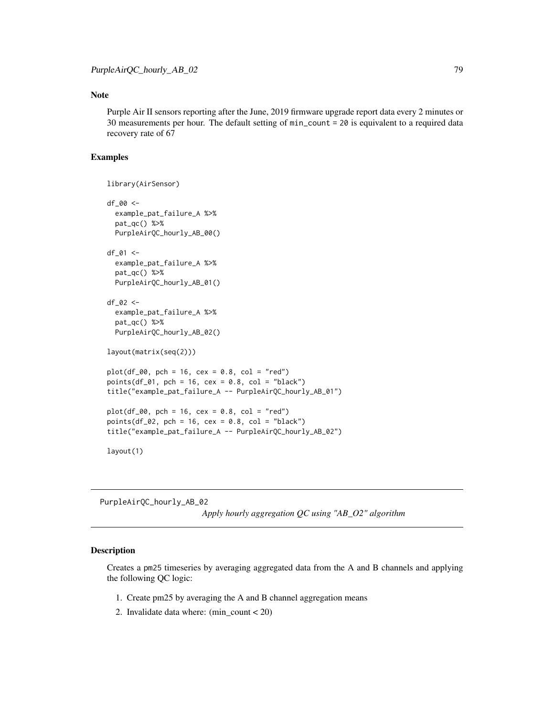## Note

Purple Air II sensors reporting after the June, 2019 firmware upgrade report data every 2 minutes or 30 measurements per hour. The default setting of min\_count = 20 is equivalent to a required data recovery rate of 67

## Examples

```
library(AirSensor)
df_00 <-
 example_pat_failure_A %>%
 pat_qc() %>%
 PurpleAirQC_hourly_AB_00()
df_01 <-
 example_pat_failure_A %>%
 pat_qc() %>%
 PurpleAirQC_hourly_AB_01()
df_02 < -example_pat_failure_A %>%
 pat_qc() %>%
 PurpleAirQC_hourly_AB_02()
layout(matrix(seq(2)))
plot(df_00, pch = 16, cex = 0.8, col = "red")points(df_01, pch = 16, cex = 0.8, col = "black")
title("example_pat_failure_A -- PurpleAirQC_hourly_AB_01")
plot(df_00, pch = 16, cex = 0.8, col = "red")points(df_02, pch = 16, cex = 0.8, col = "black")title("example_pat_failure_A -- PurpleAirQC_hourly_AB_02")
layout(1)
```
PurpleAirQC\_hourly\_AB\_02

*Apply hourly aggregation QC using "AB\_O2" algorithm*

## Description

Creates a pm25 timeseries by averaging aggregated data from the A and B channels and applying the following QC logic:

- 1. Create pm25 by averaging the A and B channel aggregation means
- 2. Invalidate data where: (min\_count < 20)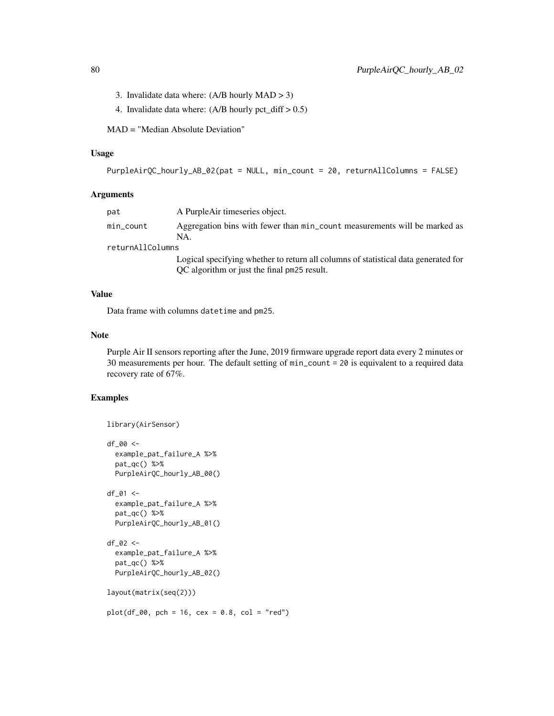- 3. Invalidate data where: (A/B hourly MAD > 3)
- 4. Invalidate data where:  $(A/B$  hourly pct\_diff  $> 0.5$ )

MAD = "Median Absolute Deviation"

# Usage

```
PurpleAirQC_hourly_AB_02(pat = NULL, min_count = 20, returnAllColumns = FALSE)
```
## Arguments

| pat              | A PurpleAir timeseries object.                                                     |
|------------------|------------------------------------------------------------------------------------|
| min_count        | Aggregation bins with fewer than min_count measurements will be marked as<br>NA.   |
| returnAllColumns |                                                                                    |
|                  | Logical specifying whether to return all columns of statistical data generated for |

QC algorithm or just the final pm25 result.

#### Value

Data frame with columns datetime and pm25.

#### Note

Purple Air II sensors reporting after the June, 2019 firmware upgrade report data every 2 minutes or 30 measurements per hour. The default setting of min\_count = 20 is equivalent to a required data recovery rate of 67%.

```
library(AirSensor)
df_00 <-
  example_pat_failure_A %>%
  pat_qc() %>%
  PurpleAirQC_hourly_AB_00()
df_01 <-
  example_pat_failure_A %>%
  pat_qc() %>%
  PurpleAirQC_hourly_AB_01()
df_02 <-
  example_pat_failure_A %>%
  pat_qc() %>%
  PurpleAirQC_hourly_AB_02()
layout(matrix(seq(2)))
plot(df_00, pch = 16, cex = 0.8, col = "red")
```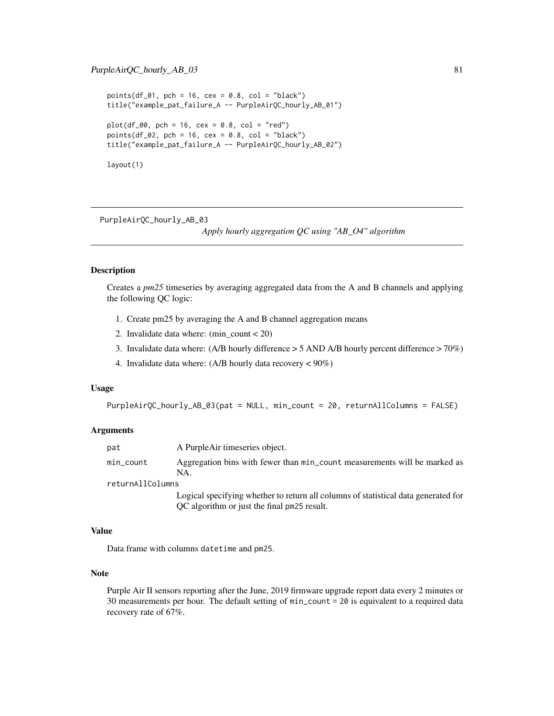```
points(df_01, pch = 16, cex = 0.8, col = "black")title("example_pat_failure_A -- PurpleAirQC_hourly_AB_01")
plot(df_00, pch = 16, cex = 0.8, col = "red")points(df_02, pch = 16, cex = 0.8, col = "black")title("example_pat_failure_A -- PurpleAirQC_hourly_AB_02")
layout(1)
```
PurpleAirQC\_hourly\_AB\_03

*Apply hourly aggregation QC using "AB\_O4" algorithm*

#### Description

Creates a *pm25* timeseries by averaging aggregated data from the A and B channels and applying the following QC logic:

- 1. Create pm25 by averaging the A and B channel aggregation means
- 2. Invalidate data where: (min\_count < 20)
- 3. Invalidate data where: (A/B hourly difference > 5 AND A/B hourly percent difference > 70%)
- 4. Invalidate data where: (A/B hourly data recovery < 90%)

### Usage

```
PurpleAirQC_hourly_AB_03(pat = NULL, min_count = 20, returnAllColumns = FALSE)
```
#### Arguments

| pat              | A PurpleAir timeseries object.                                                     |
|------------------|------------------------------------------------------------------------------------|
| min_count        | Aggregation bins with fewer than min_count measurements will be marked as<br>NA    |
| returnAllColumns |                                                                                    |
|                  | Logical enocitying whether to return all columns of statistical data generated for |

Logical specifying whether to return all columns of statistical data generated for QC algorithm or just the final pm25 result.

## Value

Data frame with columns datetime and pm25.

#### Note

Purple Air II sensors reporting after the June, 2019 firmware upgrade report data every 2 minutes or 30 measurements per hour. The default setting of min\_count = 20 is equivalent to a required data recovery rate of 67%.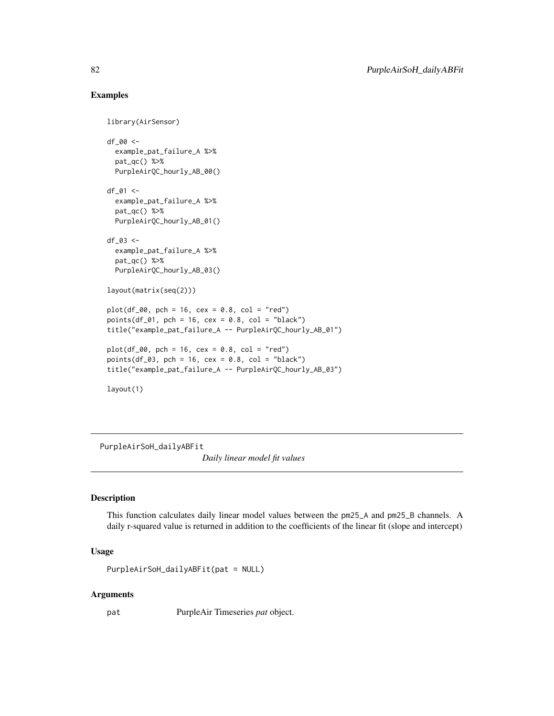```
library(AirSensor)
df_00 <-
 example_pat_failure_A %>%
 pat_qc() %>%
 PurpleAirQC_hourly_AB_00()
df_01 <-
 example_pat_failure_A %>%
 pat_qc() %>%
 PurpleAirQC_hourly_AB_01()
df_03 <-
 example_pat_failure_A %>%
 pat_qc() %>%
 PurpleAirQC_hourly_AB_03()
layout(matrix(seq(2)))
plot(df_00, pch = 16, cex = 0.8, col = "red")points(df_01, pch = 16, cex = 0.8, col = "black")title("example_pat_failure_A -- PurpleAirQC_hourly_AB_01")
plot(df_00, pch = 16, cex = 0.8, col = "red")points(df_03, pch = 16, cex = 0.8, col = "black")title("example_pat_failure_A -- PurpleAirQC_hourly_AB_03")
layout(1)
```
PurpleAirSoH\_dailyABFit

*Daily linear model fit values*

#### Description

This function calculates daily linear model values between the pm25\_A and pm25\_B channels. A daily r-squared value is returned in addition to the coefficients of the linear fit (slope and intercept)

# Usage

```
PurpleAirSoH_dailyABFit(pat = NULL)
```
#### Arguments

pat PurpleAir Timeseries *pat* object.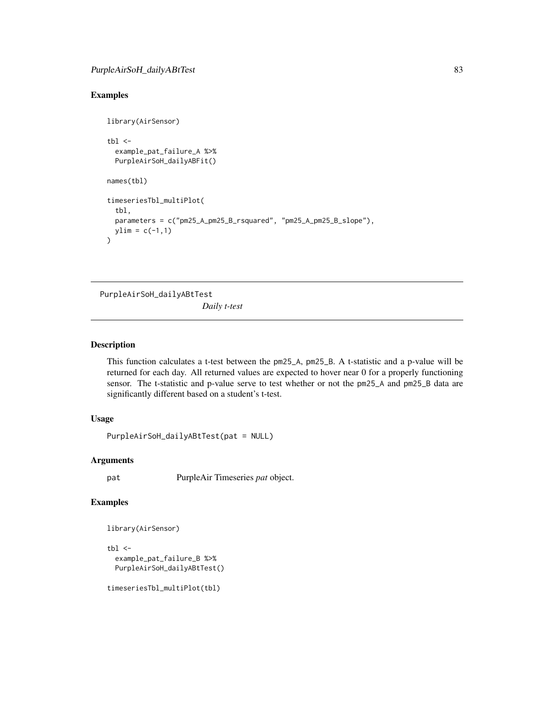```
library(AirSensor)
tb1 < -example_pat_failure_A %>%
 PurpleAirSoH_dailyABFit()
names(tbl)
timeseriesTbl_multiPlot(
 tbl,
 parameters = c("pm25_A_pm25_B_rsquared", "pm25_A_pm25_B_slope"),
 ylim = c(-1,1)\overline{)}
```
PurpleAirSoH\_dailyABtTest

*Daily t-test*

## Description

This function calculates a t-test between the pm25\_A, pm25\_B. A t-statistic and a p-value will be returned for each day. All returned values are expected to hover near 0 for a properly functioning sensor. The t-statistic and p-value serve to test whether or not the pm25\_A and pm25\_B data are significantly different based on a student's t-test.

# Usage

```
PurpleAirSoH_dailyABtTest(pat = NULL)
```
## Arguments

pat PurpleAir Timeseries *pat* object.

# Examples

```
library(AirSensor)
```

```
tbl \leftarrowexample_pat_failure_B %>%
  PurpleAirSoH_dailyABtTest()
```
timeseriesTbl\_multiPlot(tbl)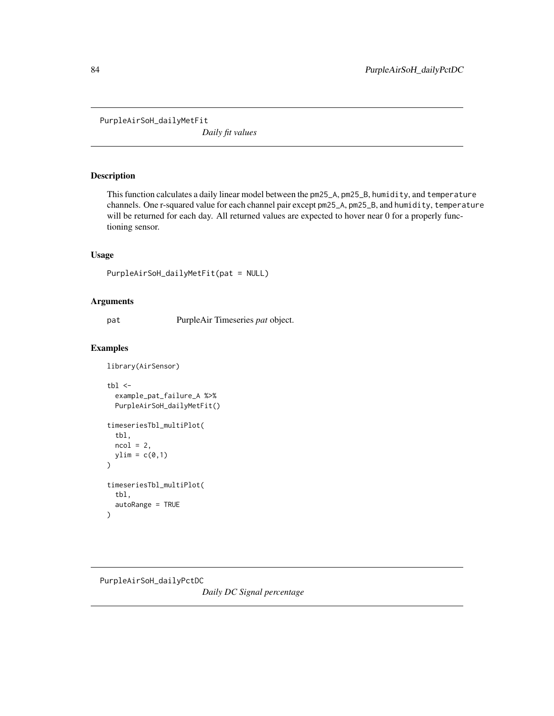PurpleAirSoH\_dailyMetFit

*Daily fit values*

## Description

This function calculates a daily linear model between the pm25\_A, pm25\_B, humidity, and temperature channels. One r-squared value for each channel pair except pm25\_A, pm25\_B, and humidity, temperature will be returned for each day. All returned values are expected to hover near 0 for a properly functioning sensor.

## Usage

```
PurpleAirSoH_dailyMetFit(pat = NULL)
```
#### Arguments

pat PurpleAir Timeseries *pat* object.

## Examples

```
library(AirSensor)
tb1 < -example_pat_failure_A %>%
  PurpleAirSoH_dailyMetFit()
timeseriesTbl_multiPlot(
  tbl,
  ncol = 2,
  ylim = c(0,1))
timeseriesTbl_multiPlot(
  tbl,
  autoRange = TRUE
\mathcal{L}
```
PurpleAirSoH\_dailyPctDC

*Daily DC Signal percentage*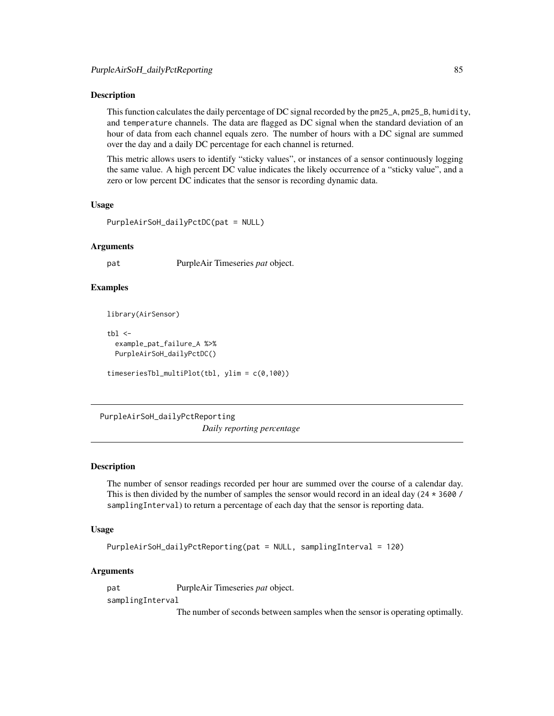This function calculates the daily percentage of DC signal recorded by the pm25\_A, pm25\_B, humidity, and temperature channels. The data are flagged as DC signal when the standard deviation of an hour of data from each channel equals zero. The number of hours with a DC signal are summed over the day and a daily DC percentage for each channel is returned.

This metric allows users to identify "sticky values", or instances of a sensor continuously logging the same value. A high percent DC value indicates the likely occurrence of a "sticky value", and a zero or low percent DC indicates that the sensor is recording dynamic data.

#### Usage

```
PurpleAirSoH_dailyPctDC(pat = NULL)
```
#### Arguments

pat PurpleAir Timeseries *pat* object.

## Examples

```
library(AirSensor)
```

```
th1 < -example_pat_failure_A %>%
 PurpleAirSoH_dailyPctDC()
```

```
timeseriesTbl_multiPlot(tbl, ylim = c(0,100))
```
PurpleAirSoH\_dailyPctReporting *Daily reporting percentage*

#### Description

The number of sensor readings recorded per hour are summed over the course of a calendar day. This is then divided by the number of samples the sensor would record in an ideal day ( $24 \times 3600$  / samplingInterval) to return a percentage of each day that the sensor is reporting data.

#### Usage

```
PurpleAirSoH_dailyPctReporting(pat = NULL, samplingInterval = 120)
```
#### Arguments

pat PurpleAir Timeseries *pat* object.

samplingInterval

The number of seconds between samples when the sensor is operating optimally.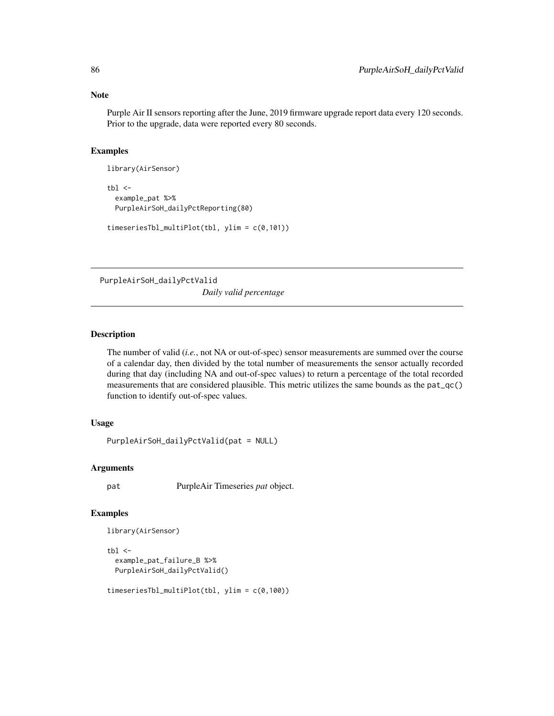#### Note

Purple Air II sensors reporting after the June, 2019 firmware upgrade report data every 120 seconds. Prior to the upgrade, data were reported every 80 seconds.

#### Examples

```
library(AirSensor)
tb1 < -example_pat %>%
  PurpleAirSoH_dailyPctReporting(80)
timeseriesTbl_multiPlot(tbl, ylim = c(0,101))
```
PurpleAirSoH\_dailyPctValid

*Daily valid percentage*

## Description

The number of valid (*i.e.*, not NA or out-of-spec) sensor measurements are summed over the course of a calendar day, then divided by the total number of measurements the sensor actually recorded during that day (including NA and out-of-spec values) to return a percentage of the total recorded measurements that are considered plausible. This metric utilizes the same bounds as the pat\_qc() function to identify out-of-spec values.

# Usage

```
PurpleAirSoH_dailyPctValid(pat = NULL)
```
## Arguments

pat PurpleAir Timeseries *pat* object.

## Examples

```
library(AirSensor)
```

```
tb1 < -example_pat_failure_B %>%
 PurpleAirSoH_dailyPctValid()
```
timeseriesTbl\_multiPlot(tbl, ylim = c(0,100))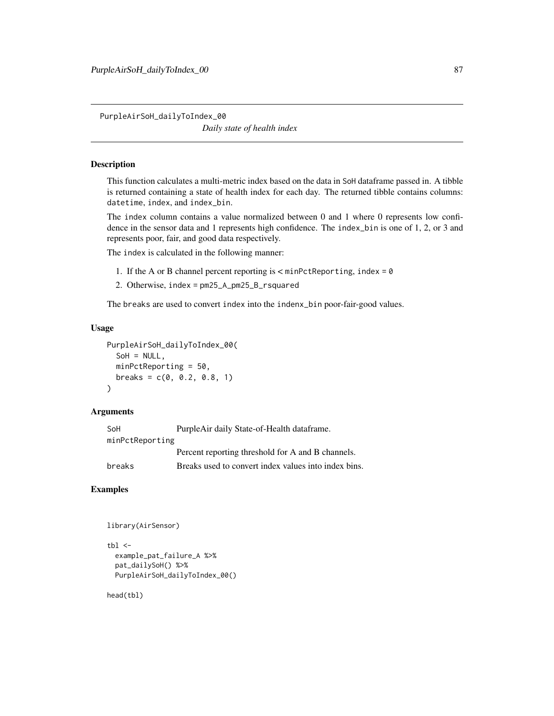PurpleAirSoH\_dailyToIndex\_00 *Daily state of health index*

# Description

This function calculates a multi-metric index based on the data in SoH dataframe passed in. A tibble is returned containing a state of health index for each day. The returned tibble contains columns: datetime, index, and index\_bin.

The index column contains a value normalized between 0 and 1 where 0 represents low confidence in the sensor data and 1 represents high confidence. The index\_bin is one of 1, 2, or 3 and represents poor, fair, and good data respectively.

The index is calculated in the following manner:

- 1. If the A or B channel percent reporting is < minPctReporting, index = 0
- 2. Otherwise, index = pm25\_A\_pm25\_B\_rsquared

The breaks are used to convert index into the indenx\_bin poor-fair-good values.

## Usage

```
PurpleAirSoH_dailyToIndex_00(
  SOH = NULL,minPctReporting = 50,
 breaks = c(0, 0.2, 0.8, 1))
```
## Arguments

| SoH             | PurpleAir daily State-of-Health dataframe.           |
|-----------------|------------------------------------------------------|
| minPctReporting |                                                      |
|                 | Percent reporting threshold for A and B channels.    |
| breaks          | Breaks used to convert index values into index bins. |

#### Examples

```
library(AirSensor)
```

```
thl < -example_pat_failure_A %>%
 pat_dailySoH() %>%
 PurpleAirSoH_dailyToIndex_00()
```
head(tbl)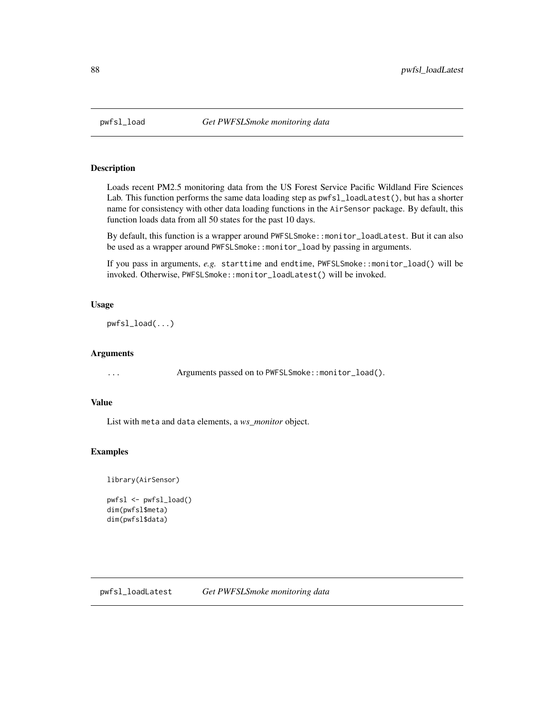Loads recent PM2.5 monitoring data from the US Forest Service Pacific Wildland Fire Sciences Lab. This function performs the same data loading step as pwfsl\_loadLatest(), but has a shorter name for consistency with other data loading functions in the AirSensor package. By default, this function loads data from all 50 states for the past 10 days.

By default, this function is a wrapper around PWFSLSmoke::monitor\_loadLatest. But it can also be used as a wrapper around PWFSLSmoke::monitor\_load by passing in arguments.

If you pass in arguments, *e.g.* starttime and endtime, PWFSLSmoke::monitor\_load() will be invoked. Otherwise, PWFSLSmoke::monitor\_loadLatest() will be invoked.

## Usage

pwfsl\_load(...)

## Arguments

... Arguments passed on to PWFSLSmoke::monitor\_load().

## Value

List with meta and data elements, a *ws\_monitor* object.

## Examples

library(AirSensor)

```
pwfsl <- pwfsl_load()
dim(pwfsl$meta)
dim(pwfsl$data)
```
pwfsl\_loadLatest *Get PWFSLSmoke monitoring data*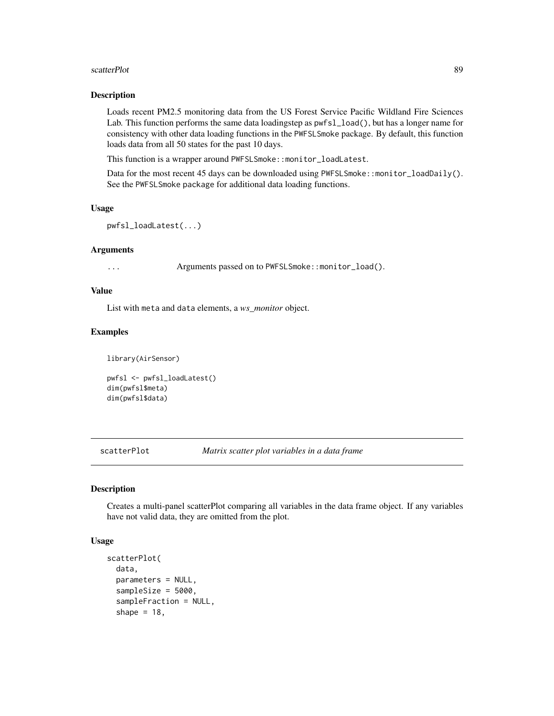#### scatterPlot 89

#### Description

Loads recent PM2.5 monitoring data from the US Forest Service Pacific Wildland Fire Sciences Lab. This function performs the same data loadingstep as pwfsl\_load(), but has a longer name for consistency with other data loading functions in the PWFSLSmoke package. By default, this function loads data from all 50 states for the past 10 days.

This function is a wrapper around PWFSLSmoke::monitor\_loadLatest.

Data for the most recent 45 days can be downloaded using PWFSLSmoke::monitor\_loadDaily(). See the PWFSLSmoke package for additional data loading functions.

#### Usage

```
pwfsl_loadLatest(...)
```
#### Arguments

... Arguments passed on to PWFSLSmoke::monitor\_load().

#### Value

List with meta and data elements, a *ws\_monitor* object.

#### Examples

```
library(AirSensor)
```

```
pwfsl <- pwfsl_loadLatest()
dim(pwfsl$meta)
dim(pwfsl$data)
```
scatterPlot *Matrix scatter plot variables in a data frame*

#### Description

Creates a multi-panel scatterPlot comparing all variables in the data frame object. If any variables have not valid data, they are omitted from the plot.

#### Usage

```
scatterPlot(
  data,
  parameters = NULL,
  sampleSize = 5000,
  sampleFraction = NULL,
  shape = 18,
```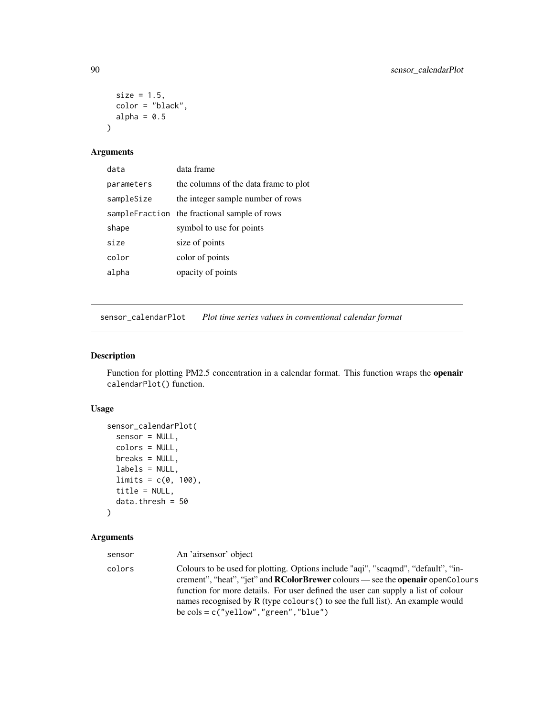```
size = 1.5,
  color = "black",
  alpha = 0.5\mathcal{L}
```
# Arguments

| data       | data frame                                    |
|------------|-----------------------------------------------|
| parameters | the columns of the data frame to plot         |
| sampleSize | the integer sample number of rows             |
|            | sample Fraction the fractional sample of rows |
| shape      | symbol to use for points                      |
| size       | size of points                                |
| color      | color of points                               |
| alpha      | opacity of points                             |

sensor\_calendarPlot *Plot time series values in conventional calendar format*

## Description

Function for plotting PM2.5 concentration in a calendar format. This function wraps the openair calendarPlot() function.

## Usage

```
sensor_calendarPlot(
 sensor = NULL,
 colors = NULL,
 breaks = NULL,
 labels = NULL,
 limits = c(0, 100),
  title = NULL,
 data.thresh = 50\mathcal{L}
```
# Arguments

| sensor | An 'airsensor' object                                                                                                                                                                                                                                                                                                                                                                                       |
|--------|-------------------------------------------------------------------------------------------------------------------------------------------------------------------------------------------------------------------------------------------------------------------------------------------------------------------------------------------------------------------------------------------------------------|
| colors | Colours to be used for plotting. Options include "aqi", "scaqmd", "default", "in-<br>crement", "heat", "jet" and <b>RColorBrewer</b> colours — see the <b>openair</b> openColours<br>function for more details. For user defined the user can supply a list of colour<br>names recognised by R (type colours () to see the full list). An example would<br>be $\text{cols} = c$ ("yellow", "green", "blue") |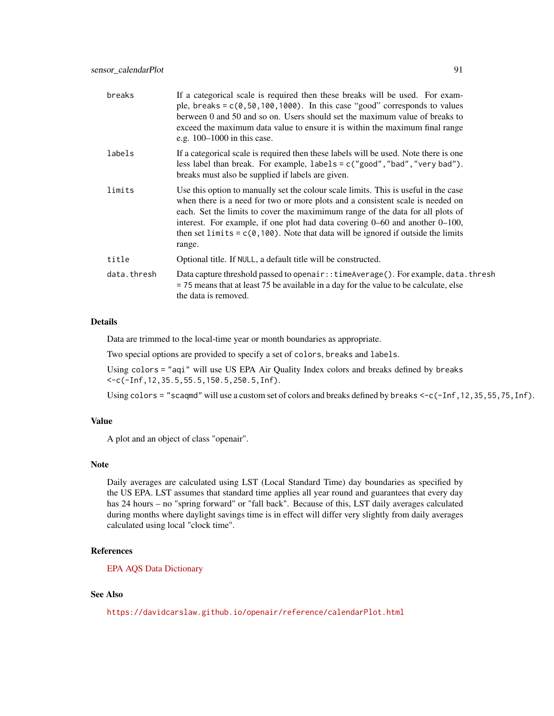| If a categorical scale is required then these breaks will be used. For exam-<br>ple, breaks = $c(0, 50, 100, 1000)$ . In this case "good" corresponds to values<br>berween 0 and 50 and so on. Users should set the maximum value of breaks to<br>exceed the maximum data value to ensure it is within the maximum final range<br>e.g. $100-1000$ in this case.                                                                                |
|------------------------------------------------------------------------------------------------------------------------------------------------------------------------------------------------------------------------------------------------------------------------------------------------------------------------------------------------------------------------------------------------------------------------------------------------|
| If a categorical scale is required then these labels will be used. Note there is one<br>less label than break. For example, $labels = c("good", "bad", "very bad").$<br>breaks must also be supplied if labels are given.                                                                                                                                                                                                                      |
| Use this option to manually set the colour scale limits. This is useful in the case<br>when there is a need for two or more plots and a consistent scale is needed on<br>each. Set the limits to cover the maximimum range of the data for all plots of<br>interest. For example, if one plot had data covering $0-60$ and another $0-100$ ,<br>then set limits = $c(0, 100)$ . Note that data will be ignored if outside the limits<br>range. |
| Optional title. If NULL, a default title will be constructed.                                                                                                                                                                                                                                                                                                                                                                                  |
| Data capture threshold passed to openair::timeAverage(). For example, data.thresh<br>$=$ 75 means that at least 75 be available in a day for the value to be calculate, else<br>the data is removed.                                                                                                                                                                                                                                           |
|                                                                                                                                                                                                                                                                                                                                                                                                                                                |

#### Details

Data are trimmed to the local-time year or month boundaries as appropriate.

Two special options are provided to specify a set of colors, breaks and labels.

Using colors = "aqi" will use US EPA Air Quality Index colors and breaks defined by breaks <-c(-Inf,12,35.5,55.5,150.5,250.5,Inf).

Using colors = "scaqmd" will use a custom set of colors and breaks defined by breaks <-c(-Inf,12,35,55,75,Inf).

#### Value

A plot and an object of class "openair".

#### Note

Daily averages are calculated using LST (Local Standard Time) day boundaries as specified by the US EPA. LST assumes that standard time applies all year round and guarantees that every day has 24 hours – no "spring forward" or "fall back". Because of this, LST daily averages calculated during months where daylight savings time is in effect will differ very slightly from daily averages calculated using local "clock time".

#### References

[EPA AQS Data Dictionary](https://aqs.epa.gov/aqsweb/documents/AQS_Data_Dictionary.html)

## See Also

<https://davidcarslaw.github.io/openair/reference/calendarPlot.html>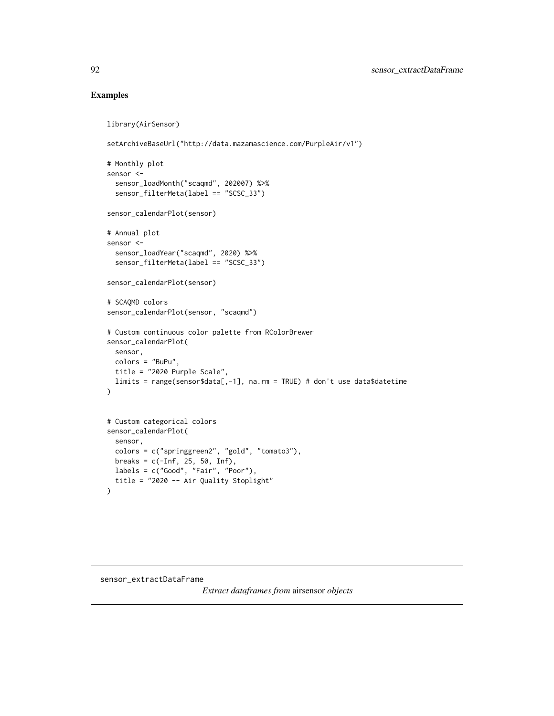```
library(AirSensor)
setArchiveBaseUrl("http://data.mazamascience.com/PurpleAir/v1")
# Monthly plot
sensor <-
  sensor_loadMonth("scaqmd", 202007) %>%
  sensor_filterMeta(label == "SCSC_33")
sensor_calendarPlot(sensor)
# Annual plot
sensor <-
  sensor_loadYear("scaqmd", 2020) %>%
  sensor_filterMeta(label == "SCSC_33")
sensor_calendarPlot(sensor)
# SCAQMD colors
sensor_calendarPlot(sensor, "scaqmd")
# Custom continuous color palette from RColorBrewer
sensor_calendarPlot(
  sensor,
  colors = "BuPu",
  title = "2020 Purple Scale",
  limits = range(sensor$data[,-1], na.rm = TRUE) # don't use data$datetime
)
# Custom categorical colors
sensor_calendarPlot(
 sensor,
  colors = c("springgreen2", "gold", "tomato3"),
  breaks = c(-Inf, 25, 50, Inf),
 labels = c("Good", "Fair", "Poor"),
  title = "2020 -- Air Quality Stoplight"
\lambda
```
sensor\_extractDataFrame

*Extract dataframes from* airsensor *objects*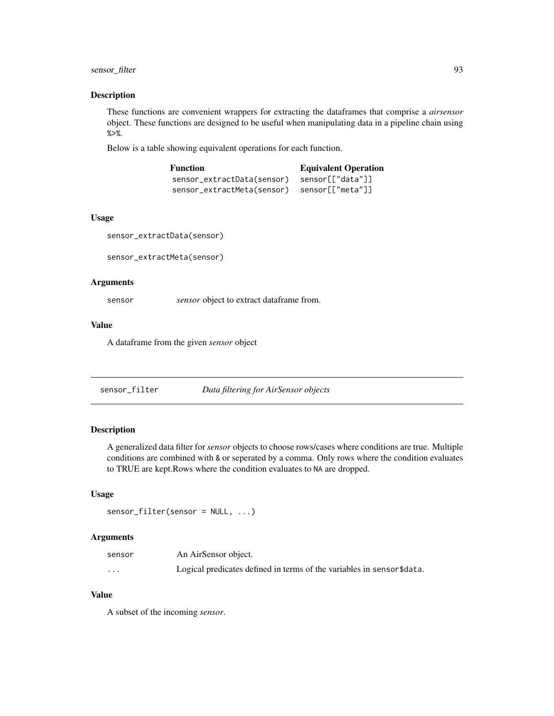## sensor\_filter 93

#### Description

These functions are convenient wrappers for extracting the dataframes that comprise a *airsensor* object. These functions are designed to be useful when manipulating data in a pipeline chain using %>%.

Below is a table showing equivalent operations for each function.

| <b>Function</b>            | <b>Equivalent Operation</b> |
|----------------------------|-----------------------------|
| sensor_extractData(sensor) | sensor[["data"]]            |
| sensor_extractMeta(sensor) | sensor[["meta"]]            |

## Usage

```
sensor_extractData(sensor)
```
sensor\_extractMeta(sensor)

## Arguments

sensor *sensor* object to extract dataframe from.

## Value

A dataframe from the given *sensor* object

<span id="page-92-0"></span>sensor\_filter *Data filtering for AirSensor objects*

## Description

A generalized data filter for *sensor* objects to choose rows/cases where conditions are true. Multiple conditions are combined with & or seperated by a comma. Only rows where the condition evaluates to TRUE are kept.Rows where the condition evaluates to NA are dropped.

#### Usage

```
sensor_filter(sensor = NULL, ...)
```
#### Arguments

| sensor   | An AirSensor object.                                                  |
|----------|-----------------------------------------------------------------------|
| $\cdots$ | Logical predicates defined in terms of the variables in sensor\$data. |

#### Value

A subset of the incoming *sensor*.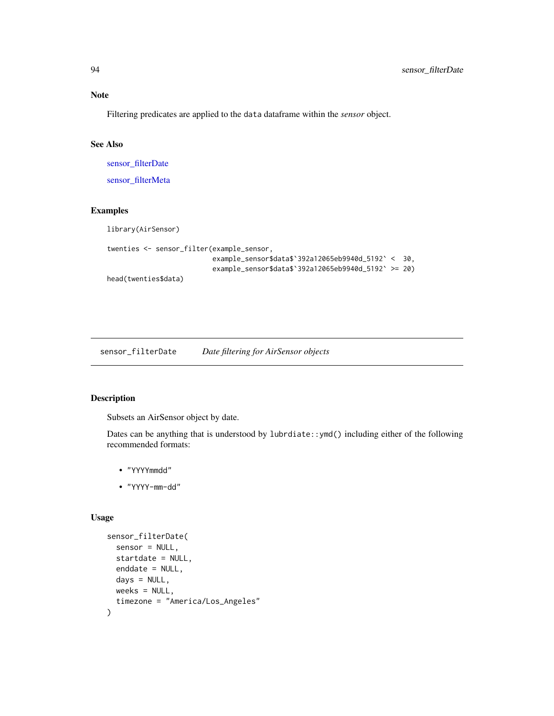# Note

Filtering predicates are applied to the data dataframe within the *sensor* object.

## See Also

[sensor\\_filterDate](#page-93-0)

[sensor\\_filterMeta](#page-96-0)

## Examples

library(AirSensor)

```
twenties <- sensor_filter(example_sensor,
                         example_sensor$data$`392a12065eb9940d_5192` < 30,
                          example_sensor$data$`392a12065eb9940d_5192` >= 20)
head(twenties$data)
```
<span id="page-93-0"></span>sensor\_filterDate *Date filtering for AirSensor objects*

# Description

Subsets an AirSensor object by date.

Dates can be anything that is understood by lubrdiate::ymd() including either of the following recommended formats:

- "YYYYmmdd"
- "YYYY-mm-dd"

# Usage

```
sensor_filterDate(
  sensor = NULL,
  startdate = NULL,
 enddate = NULL,
 days = NULL,weeks = NULL,
  timezone = "America/Los_Angeles"
)
```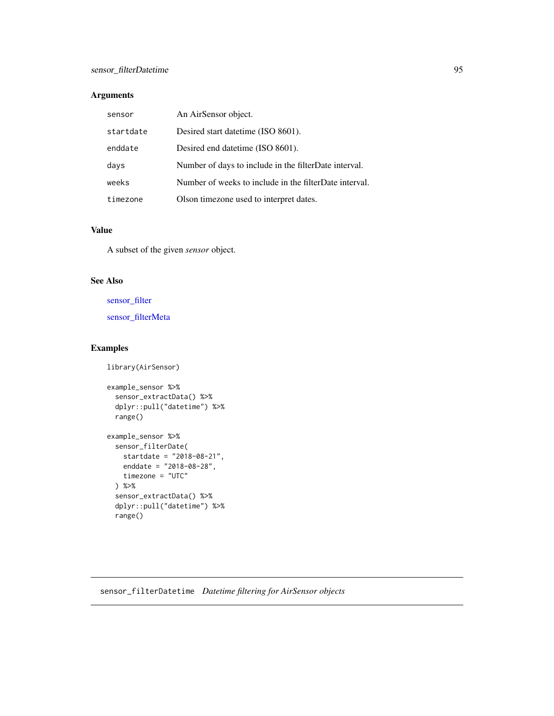# Arguments

| sensor    | An AirSensor object.                                   |
|-----------|--------------------------------------------------------|
| startdate | Desired start date time (ISO 8601).                    |
| enddate   | Desired end date time (ISO 8601).                      |
| days      | Number of days to include in the filterDate interval.  |
| weeks     | Number of weeks to include in the filterDate interval. |
| timezone  | Olson timezone used to interpret dates.                |

# Value

A subset of the given *sensor* object.

## See Also

[sensor\\_filter](#page-92-0)

[sensor\\_filterMeta](#page-96-0)

## Examples

library(AirSensor)

```
example_sensor %>%
  sensor_extractData() %>%
  dplyr::pull("datetime") %>%
  range()
example_sensor %>%
  sensor_filterDate(
   startdate = "2018-08-21",
   enddate = "2018-08-28",
   timezone = "UTC"
  ) %>%
  sensor_extractData() %>%
  dplyr::pull("datetime") %>%
  range()
```
sensor\_filterDatetime *Datetime filtering for AirSensor objects*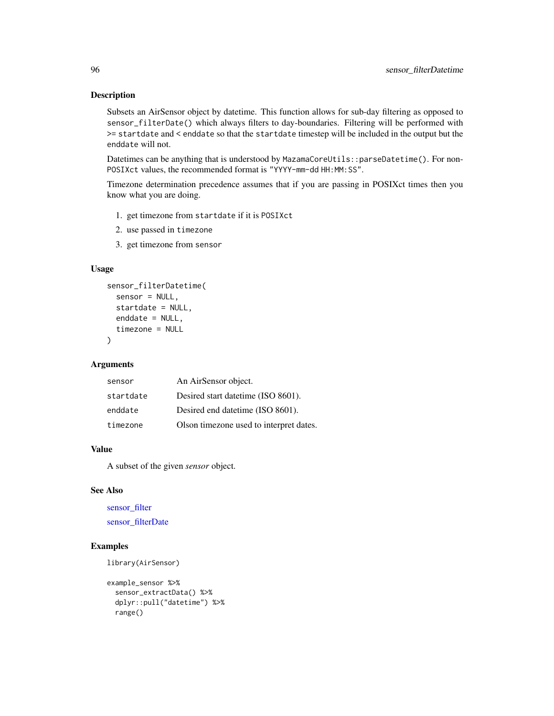Subsets an AirSensor object by datetime. This function allows for sub-day filtering as opposed to sensor\_filterDate() which always filters to day-boundaries. Filtering will be performed with >= startdate and < enddate so that the startdate timestep will be included in the output but the enddate will not.

Datetimes can be anything that is understood by MazamaCoreUtils::parseDatetime(). For non-POSIXct values, the recommended format is "YYYY-mm-dd HH:MM:SS".

Timezone determination precedence assumes that if you are passing in POSIXct times then you know what you are doing.

- 1. get timezone from startdate if it is POSIXct
- 2. use passed in timezone
- 3. get timezone from sensor

## Usage

```
sensor_filterDatetime(
  sensor = NULL,
  startdate = NULL,
 enddate = NULL,
  timezone = NULL
)
```
#### Arguments

| sensor    | An AirSensor object.                    |
|-----------|-----------------------------------------|
| startdate | Desired start datetime (ISO 8601).      |
| enddate   | Desired end datetime (ISO 8601).        |
| timezone  | Olson timezone used to interpret dates. |

## Value

A subset of the given *sensor* object.

## See Also

[sensor\\_filter](#page-92-0) [sensor\\_filterDate](#page-93-0)

```
library(AirSensor)
```

```
example_sensor %>%
 sensor_extractData() %>%
 dplyr::pull("datetime") %>%
 range()
```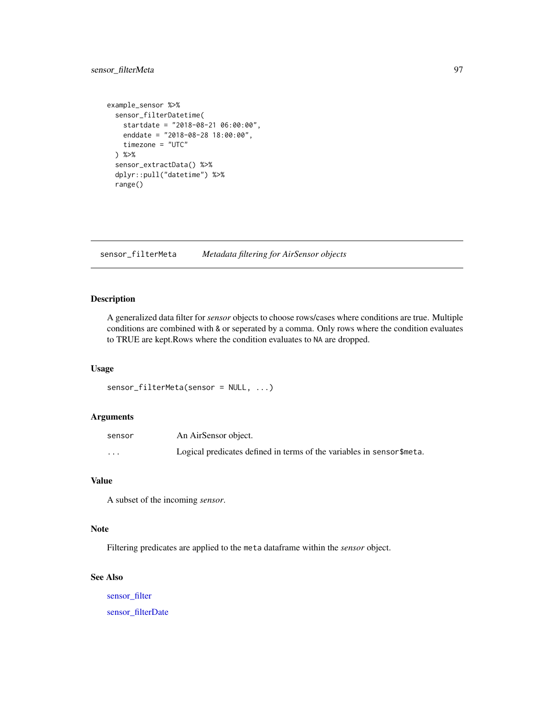## sensor\_filterMeta 97

```
example_sensor %>%
 sensor_filterDatetime(
   startdate = "2018-08-21 06:00:00",
   enddate = "2018-08-28 18:00:00",
   timezone = "UTC"
 ) %>%
 sensor_extractData() %>%
 dplyr::pull("datetime") %>%
 range()
```
<span id="page-96-0"></span>sensor\_filterMeta *Metadata filtering for AirSensor objects*

## Description

A generalized data filter for *sensor* objects to choose rows/cases where conditions are true. Multiple conditions are combined with & or seperated by a comma. Only rows where the condition evaluates to TRUE are kept.Rows where the condition evaluates to NA are dropped.

## Usage

sensor\_filterMeta(sensor = NULL, ...)

## Arguments

| sensor   | An AirSensor object.                                                   |
|----------|------------------------------------------------------------------------|
| $\cdots$ | Logical predicates defined in terms of the variables in sensor \$meta. |

# Value

A subset of the incoming *sensor*.

#### Note

Filtering predicates are applied to the meta dataframe within the *sensor* object.

# See Also

[sensor\\_filter](#page-92-0) [sensor\\_filterDate](#page-93-0)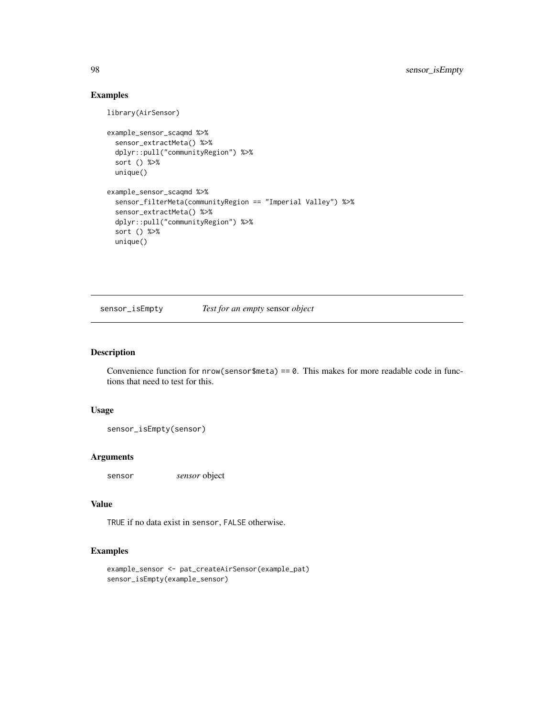```
library(AirSensor)
```

```
example_sensor_scaqmd %>%
 sensor_extractMeta() %>%
 dplyr::pull("communityRegion") %>%
 sort () %>%
 unique()
example_sensor_scaqmd %>%
 sensor_filterMeta(communityRegion == "Imperial Valley") %>%
 sensor_extractMeta() %>%
 dplyr::pull("communityRegion") %>%
 sort () %>%
 unique()
```
sensor\_isEmpty *Test for an empty* sensor *object*

## Description

Convenience function for  $nrow(sensor$$ meta) == 0. This makes for more readable code in functions that need to test for this.

#### Usage

sensor\_isEmpty(sensor)

## Arguments

sensor *sensor* object

#### Value

TRUE if no data exist in sensor, FALSE otherwise.

```
example_sensor <- pat_createAirSensor(example_pat)
sensor_isEmpty(example_sensor)
```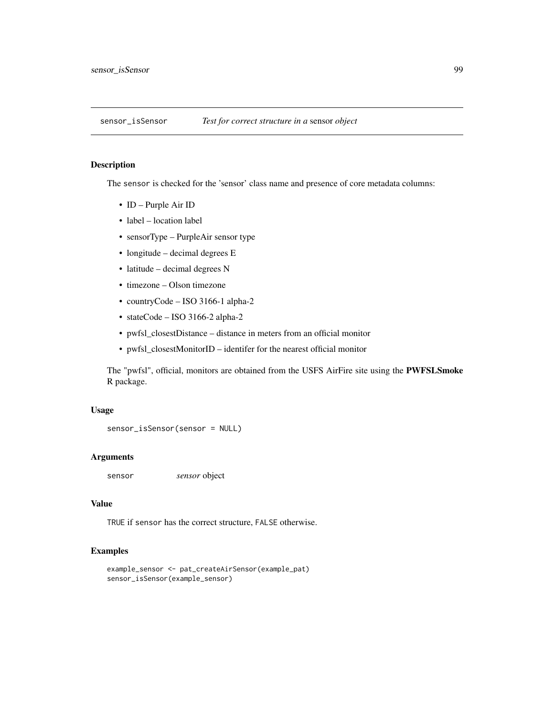The sensor is checked for the 'sensor' class name and presence of core metadata columns:

- ID Purple Air ID
- label location label
- sensorType PurpleAir sensor type
- longitude decimal degrees E
- latitude decimal degrees N
- timezone Olson timezone
- countryCode ISO 3166-1 alpha-2
- stateCode ISO 3166-2 alpha-2
- pwfsl\_closestDistance distance in meters from an official monitor
- pwfsl\_closestMonitorID identifer for the nearest official monitor

The "pwfsl", official, monitors are obtained from the USFS AirFire site using the PWFSLSmoke R package.

#### Usage

```
sensor_isSensor(sensor = NULL)
```
## Arguments

sensor *sensor* object

## Value

TRUE if sensor has the correct structure, FALSE otherwise.

```
example_sensor <- pat_createAirSensor(example_pat)
sensor_isSensor(example_sensor)
```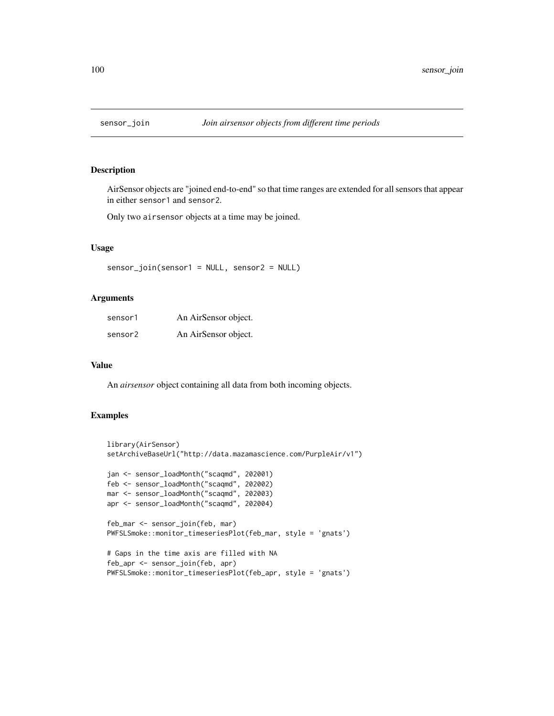AirSensor objects are "joined end-to-end" so that time ranges are extended for all sensors that appear in either sensor1 and sensor2.

Only two airsensor objects at a time may be joined.

## Usage

sensor\_join(sensor1 = NULL, sensor2 = NULL)

## Arguments

| sensor1 | An AirSensor object. |
|---------|----------------------|
| sensor2 | An AirSensor object. |

#### Value

An *airsensor* object containing all data from both incoming objects.

```
library(AirSensor)
setArchiveBaseUrl("http://data.mazamascience.com/PurpleAir/v1")
jan <- sensor_loadMonth("scaqmd", 202001)
feb <- sensor_loadMonth("scaqmd", 202002)
mar <- sensor_loadMonth("scaqmd", 202003)
apr <- sensor_loadMonth("scaqmd", 202004)
feb_mar <- sensor_join(feb, mar)
PWFSLSmoke::monitor_timeseriesPlot(feb_mar, style = 'gnats')
# Gaps in the time axis are filled with NA
feb_apr <- sensor_join(feb, apr)
PWFSLSmoke::monitor_timeseriesPlot(feb_apr, style = 'gnats')
```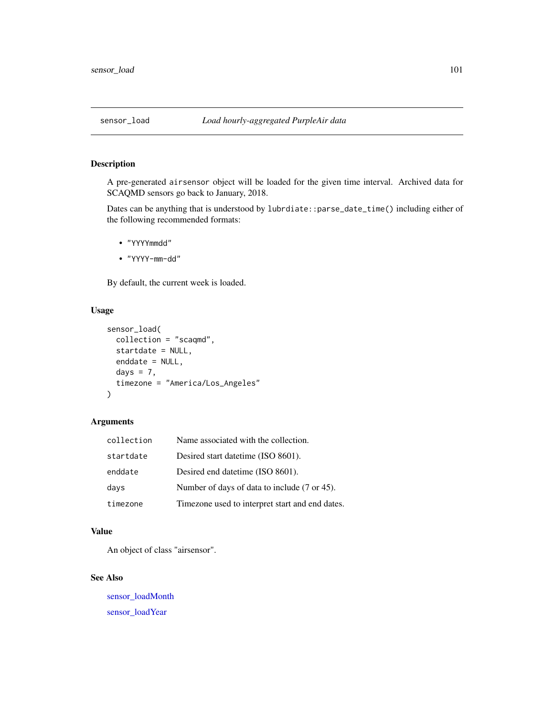<span id="page-100-0"></span>

A pre-generated airsensor object will be loaded for the given time interval. Archived data for SCAQMD sensors go back to January, 2018.

Dates can be anything that is understood by lubrdiate::parse\_date\_time() including either of the following recommended formats:

- "YYYYmmdd"
- "YYYY-mm-dd"

By default, the current week is loaded.

## Usage

```
sensor_load(
 collection = "scaqmd",
  startdate = NULL,
 enddate = NULL,
 days = 7,
  timezone = "America/Los_Angeles"
\lambda
```
#### Arguments

| collection | Name associated with the collection.            |
|------------|-------------------------------------------------|
| startdate  | Desired start date time (ISO 8601).             |
| enddate    | Desired end datetime (ISO 8601).                |
| days       | Number of days of data to include (7 or 45).    |
| timezone   | Timezone used to interpret start and end dates. |

## Value

An object of class "airsensor".

## See Also

[sensor\\_loadMonth](#page-102-0) [sensor\\_loadYear](#page-103-0)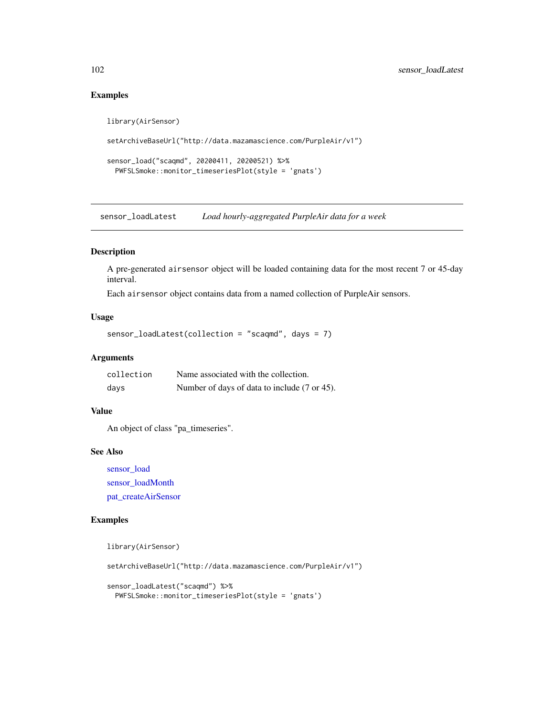```
library(AirSensor)
setArchiveBaseUrl("http://data.mazamascience.com/PurpleAir/v1")
sensor_load("scaqmd", 20200411, 20200521) %>%
 PWFSLSmoke::monitor_timeseriesPlot(style = 'gnats')
```
sensor\_loadLatest *Load hourly-aggregated PurpleAir data for a week*

#### Description

A pre-generated airsensor object will be loaded containing data for the most recent 7 or 45-day interval.

Each airsensor object contains data from a named collection of PurpleAir sensors.

## Usage

```
sensor_loadLatest(collection = "scaqmd", days = 7)
```
# Arguments

| collection | Name associated with the collection.         |
|------------|----------------------------------------------|
| days       | Number of days of data to include (7 or 45). |

### Value

An object of class "pa\_timeseries".

#### See Also

[sensor\\_load](#page-100-0) [sensor\\_loadMonth](#page-102-0) [pat\\_createAirSensor](#page-41-0)

```
library(AirSensor)
setArchiveBaseUrl("http://data.mazamascience.com/PurpleAir/v1")
sensor_loadLatest("scaqmd") %>%
 PWFSLSmoke::monitor_timeseriesPlot(style = 'gnats')
```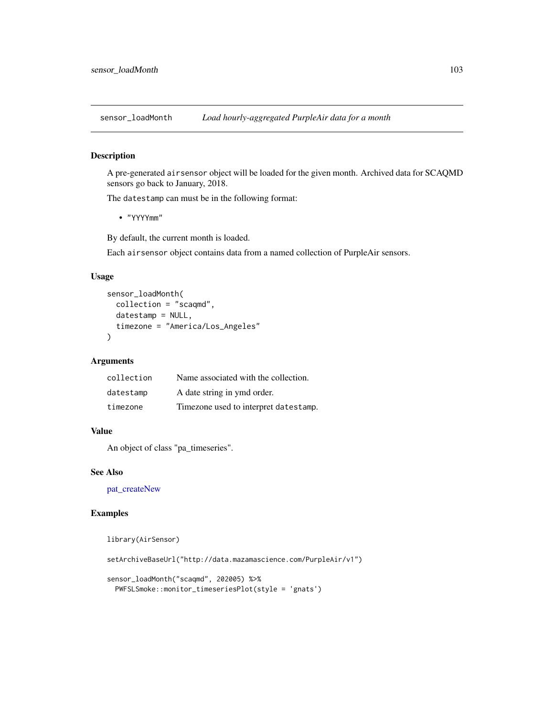<span id="page-102-0"></span>sensor\_loadMonth *Load hourly-aggregated PurpleAir data for a month*

## Description

A pre-generated airsensor object will be loaded for the given month. Archived data for SCAQMD sensors go back to January, 2018.

The datestamp can must be in the following format:

• "YYYYmm"

By default, the current month is loaded.

Each airsensor object contains data from a named collection of PurpleAir sensors.

## Usage

```
sensor_loadMonth(
  collection = "scaqmd",
  datestamp = NULL,
  timezone = "America/Los_Angeles"
\mathcal{L}
```
#### Arguments

| collection | Name associated with the collection.  |
|------------|---------------------------------------|
| datestamp  | A date string in ymd order.           |
| timezone   | Timezone used to interpret datestamp. |

## Value

An object of class "pa\_timeseries".

## See Also

[pat\\_createNew](#page-43-0)

```
library(AirSensor)
setArchiveBaseUrl("http://data.mazamascience.com/PurpleAir/v1")
sensor_loadMonth("scaqmd", 202005) %>%
  PWFSLSmoke::monitor_timeseriesPlot(style = 'gnats')
```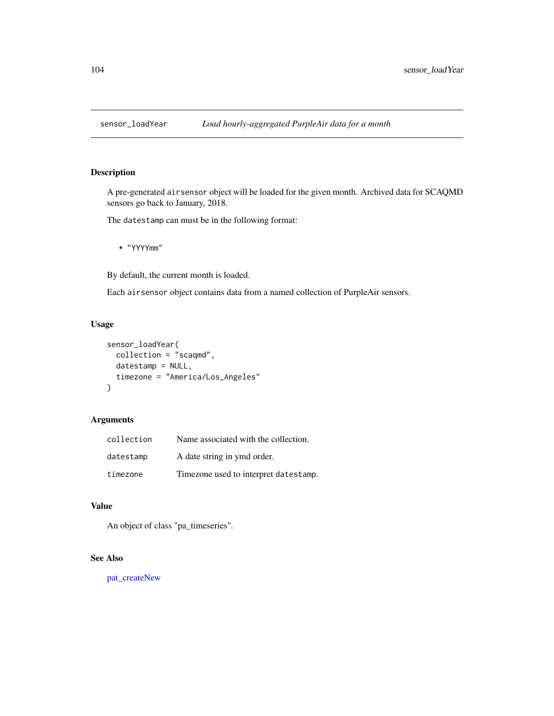<span id="page-103-0"></span>

A pre-generated airsensor object will be loaded for the given month. Archived data for SCAQMD sensors go back to January, 2018.

The datestamp can must be in the following format:

• "YYYYmm"

By default, the current month is loaded.

Each airsensor object contains data from a named collection of PurpleAir sensors.

## Usage

```
sensor_loadYear(
 collection = "scaqmd",
 datestamp = NULL,
  timezone = "America/Los_Angeles"
)
```
## Arguments

| collection | Name associated with the collection.  |
|------------|---------------------------------------|
| datestamp  | A date string in ymd order.           |
| timezone   | Timezone used to interpret datestamp. |

## Value

An object of class "pa\_timeseries".

# See Also

[pat\\_createNew](#page-43-0)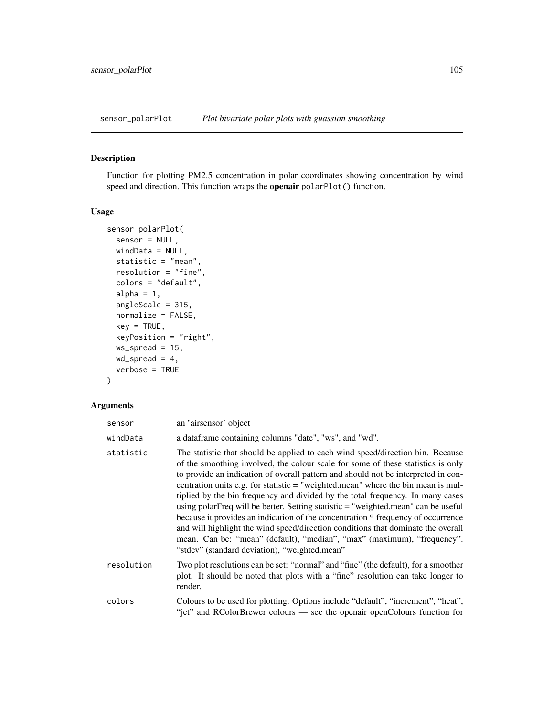Function for plotting PM2.5 concentration in polar coordinates showing concentration by wind speed and direction. This function wraps the **openair** polarPlot() function.

## Usage

```
sensor_polarPlot(
  sensor = NULL,
 windData = NULL,
  statistic = "mean",
  resolution = "fine",
  colors = "default",
  alpha = 1,
  angleScale = 315,
 normalize = FALSE,
 key = TRUE,keyPosition = "right",
 ws_spread = 15,
 wd_spread = 4,
  verbose = TRUE
\mathcal{E}
```
## Arguments

| sensor     | an 'airsensor' object                                                                                                                                                                                                                                                                                                                                                                                                                                                                                                                                                                                                                                                                                                                                                                                                    |
|------------|--------------------------------------------------------------------------------------------------------------------------------------------------------------------------------------------------------------------------------------------------------------------------------------------------------------------------------------------------------------------------------------------------------------------------------------------------------------------------------------------------------------------------------------------------------------------------------------------------------------------------------------------------------------------------------------------------------------------------------------------------------------------------------------------------------------------------|
| windData   | a dataframe containing columns "date", "ws", and "wd".                                                                                                                                                                                                                                                                                                                                                                                                                                                                                                                                                                                                                                                                                                                                                                   |
| statistic  | The statistic that should be applied to each wind speed/direction bin. Because<br>of the smoothing involved, the colour scale for some of these statistics is only<br>to provide an indication of overall pattern and should not be interpreted in con-<br>centration units e.g. for statistic $=$ "weighted mean" where the bin mean is mul-<br>tiplied by the bin frequency and divided by the total frequency. In many cases<br>using polarFreq will be better. Setting statistic = "weighted.mean" can be useful<br>because it provides an indication of the concentration * frequency of occurrence<br>and will highlight the wind speed/direction conditions that dominate the overall<br>mean. Can be: "mean" (default), "median", "max" (maximum), "frequency".<br>"stdev" (standard deviation), "weighted.mean" |
| resolution | Two plot resolutions can be set: "normal" and "fine" (the default), for a smoother<br>plot. It should be noted that plots with a "fine" resolution can take longer to<br>render.                                                                                                                                                                                                                                                                                                                                                                                                                                                                                                                                                                                                                                         |
| colors     | Colours to be used for plotting. Options include "default", "increment", "heat",<br>"jet" and RColorBrewer colours — see the openair openColours function for                                                                                                                                                                                                                                                                                                                                                                                                                                                                                                                                                                                                                                                            |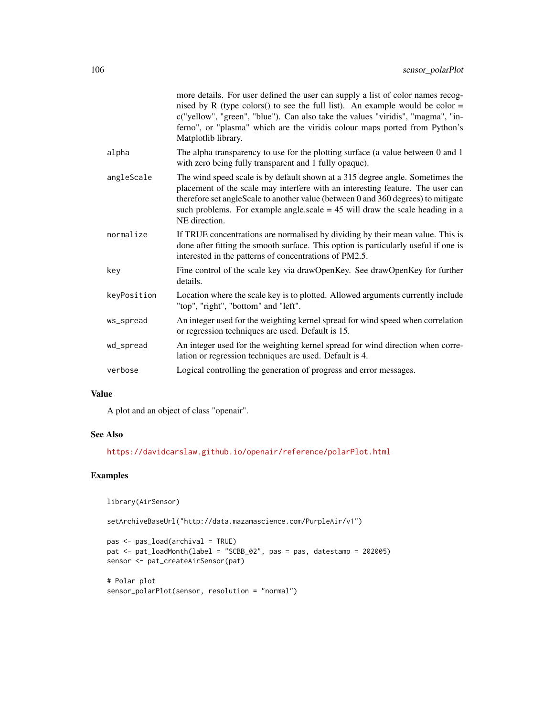|             | more details. For user defined the user can supply a list of color names recog-<br>nised by R (type colors() to see the full list). An example would be color $=$<br>c("yellow", "green", "blue"). Can also take the values "viridis", "magma", "in-<br>ferno", or "plasma" which are the viridis colour maps ported from Python's<br>Matplotlib library. |
|-------------|-----------------------------------------------------------------------------------------------------------------------------------------------------------------------------------------------------------------------------------------------------------------------------------------------------------------------------------------------------------|
| alpha       | The alpha transparency to use for the plotting surface (a value between 0 and 1<br>with zero being fully transparent and 1 fully opaque).                                                                                                                                                                                                                 |
| angleScale  | The wind speed scale is by default shown at a 315 degree angle. Sometimes the<br>placement of the scale may interfere with an interesting feature. The user can<br>therefore set angleScale to another value (between 0 and 360 degrees) to mitigate<br>such problems. For example angle scale $= 45$ will draw the scale heading in a<br>NE direction.   |
| normalize   | If TRUE concentrations are normalised by dividing by their mean value. This is<br>done after fitting the smooth surface. This option is particularly useful if one is<br>interested in the patterns of concentrations of PM2.5.                                                                                                                           |
| key         | Fine control of the scale key via drawOpenKey. See drawOpenKey for further<br>details.                                                                                                                                                                                                                                                                    |
| keyPosition | Location where the scale key is to plotted. Allowed arguments currently include<br>"top", "right", "bottom" and "left".                                                                                                                                                                                                                                   |
| ws_spread   | An integer used for the weighting kernel spread for wind speed when correlation<br>or regression techniques are used. Default is 15.                                                                                                                                                                                                                      |
| wd_spread   | An integer used for the weighting kernel spread for wind direction when corre-<br>lation or regression techniques are used. Default is 4.                                                                                                                                                                                                                 |
| verbose     | Logical controlling the generation of progress and error messages.                                                                                                                                                                                                                                                                                        |

# Value

A plot and an object of class "openair".

## See Also

<https://davidcarslaw.github.io/openair/reference/polarPlot.html>

## Examples

library(AirSensor)

setArchiveBaseUrl("http://data.mazamascience.com/PurpleAir/v1")

```
pas <- pas_load(archival = TRUE)
pat <- pat_loadMonth(label = "SCBB_02", pas = pas, datestamp = 202005)
sensor <- pat_createAirSensor(pat)
```

```
# Polar plot
sensor_polarPlot(sensor, resolution = "normal")
```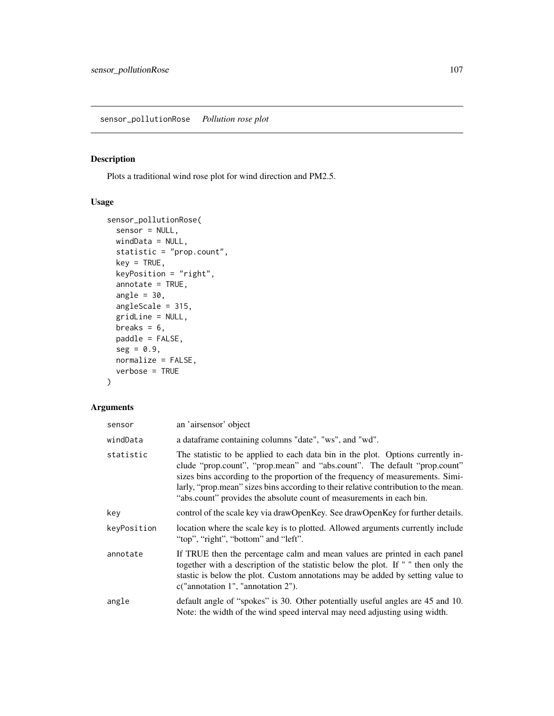Plots a traditional wind rose plot for wind direction and PM2.5.

## Usage

```
sensor_pollutionRose(
 sensor = NULL,
 windData = NULL,
 statistic = "prop.count",
 key = TRUE,keyPosition = "right",
 annotate = TRUE,
 angle = 30,
 angleScale = 315,
 gridLine = NULL,
 breaks = 6,
 paddle = FALSE,
 seg = 0.9,normalize = FALSE,
 verbose = TRUE
)
```
## Arguments

| sensor      | an 'airsensor' object                                                                                                                                                                                                                                                                                                                                                                                         |
|-------------|---------------------------------------------------------------------------------------------------------------------------------------------------------------------------------------------------------------------------------------------------------------------------------------------------------------------------------------------------------------------------------------------------------------|
| windData    | a dataframe containing columns "date", "ws", and "wd".                                                                                                                                                                                                                                                                                                                                                        |
| statistic   | The statistic to be applied to each data bin in the plot. Options currently in-<br>clude "prop.count", "prop.mean" and "abs.count". The default "prop.count"<br>sizes bins according to the proportion of the frequency of measurements. Simi-<br>larly, "prop.mean" sizes bins according to their relative contribution to the mean.<br>"abs.count" provides the absolute count of measurements in each bin. |
| key         | control of the scale key via drawOpenKey. See drawOpenKey for further details.                                                                                                                                                                                                                                                                                                                                |
| keyPosition | location where the scale key is to plotted. Allowed arguments currently include<br>"top", "right", "bottom" and "left".                                                                                                                                                                                                                                                                                       |
| annotate    | If TRUE then the percentage calm and mean values are printed in each panel<br>together with a description of the statistic below the plot. If " " then only the<br>stastic is below the plot. Custom annotations may be added by setting value to<br>c("annotation 1", "annotation 2").                                                                                                                       |
| angle       | default angle of "spokes" is 30. Other potentially useful angles are 45 and 10.<br>Note: the width of the wind speed interval may need adjusting using width.                                                                                                                                                                                                                                                 |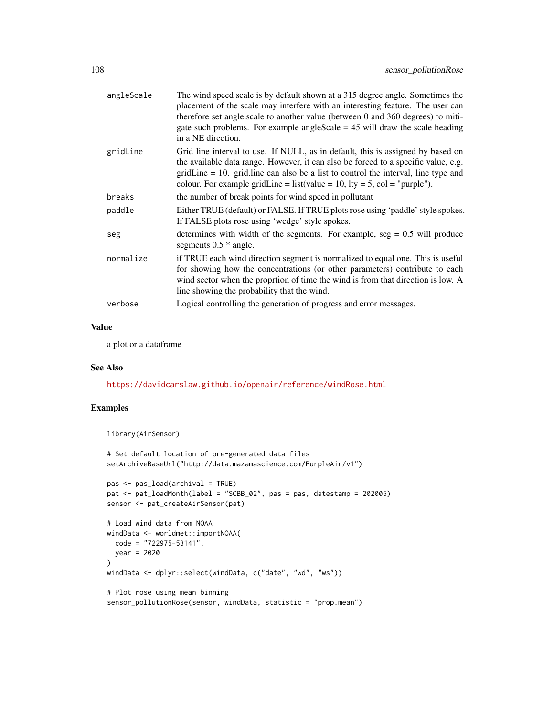| angleScale | The wind speed scale is by default shown at a 315 degree angle. Sometimes the<br>placement of the scale may interfere with an interesting feature. The user can<br>therefore set angle.scale to another value (between 0 and 360 degrees) to miti-<br>gate such problems. For example angle Scale $= 45$ will draw the scale heading<br>in a NE direction. |
|------------|------------------------------------------------------------------------------------------------------------------------------------------------------------------------------------------------------------------------------------------------------------------------------------------------------------------------------------------------------------|
| gridLine   | Grid line interval to use. If NULL, as in default, this is assigned by based on<br>the available data range. However, it can also be forced to a specific value, e.g.<br>$gridLine = 10$ . grid. line can also be a list to control the interval, line type and<br>colour. For example gridLine = list(value = 10, lty = 5, col = "purple").               |
| breaks     | the number of break points for wind speed in pollutant                                                                                                                                                                                                                                                                                                     |
| paddle     | Either TRUE (default) or FALSE. If TRUE plots rose using 'paddle' style spokes.<br>If FALSE plots rose using 'wedge' style spokes.                                                                                                                                                                                                                         |
| seg        | determines with width of the segments. For example, $seg = 0.5$ will produce<br>segments $0.5 *$ angle.                                                                                                                                                                                                                                                    |
| normalize  | if TRUE each wind direction segment is normalized to equal one. This is useful<br>for showing how the concentrations (or other parameters) contribute to each<br>wind sector when the proprtion of time the wind is from that direction is low. A<br>line showing the probability that the wind.                                                           |
| verbose    | Logical controlling the generation of progress and error messages.                                                                                                                                                                                                                                                                                         |
|            |                                                                                                                                                                                                                                                                                                                                                            |

## Value

a plot or a dataframe

## See Also

<https://davidcarslaw.github.io/openair/reference/windRose.html>

```
library(AirSensor)
```

```
# Set default location of pre-generated data files
setArchiveBaseUrl("http://data.mazamascience.com/PurpleAir/v1")
pas <- pas_load(archival = TRUE)
pat <- pat_loadMonth(label = "SCBB_02", pas = pas, datestamp = 202005)
sensor <- pat_createAirSensor(pat)
# Load wind data from NOAA
windData <- worldmet::importNOAA(
  code = "722975-53141",
 year = 2020
\mathcal{L}windData <- dplyr::select(windData, c("date", "wd", "ws"))
# Plot rose using mean binning
sensor_pollutionRose(sensor, windData, statistic = "prop.mean")
```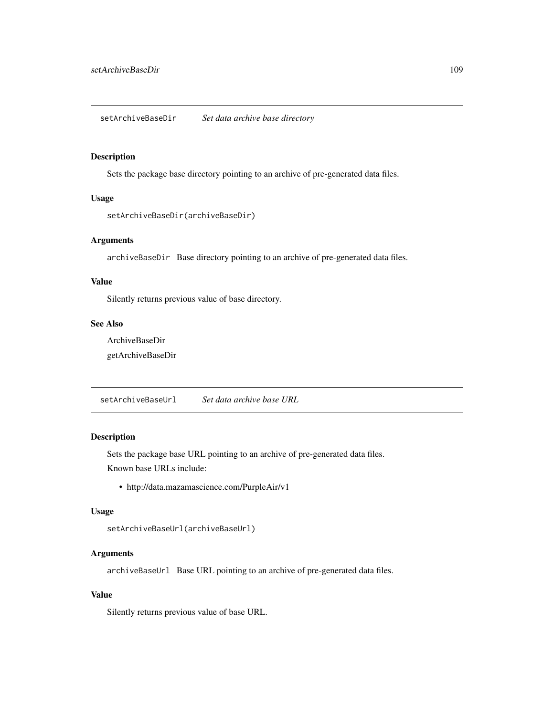<span id="page-108-0"></span>setArchiveBaseDir *Set data archive base directory*

#### Description

Sets the package base directory pointing to an archive of pre-generated data files.

## Usage

```
setArchiveBaseDir(archiveBaseDir)
```
## Arguments

archiveBaseDir Base directory pointing to an archive of pre-generated data files.

#### Value

Silently returns previous value of base directory.

# See Also

ArchiveBaseDir getArchiveBaseDir

setArchiveBaseUrl *Set data archive base URL*

#### Description

Sets the package base URL pointing to an archive of pre-generated data files. Known base URLs include:

• http://data.mazamascience.com/PurpleAir/v1

## Usage

```
setArchiveBaseUrl(archiveBaseUrl)
```
#### Arguments

archiveBaseUrl Base URL pointing to an archive of pre-generated data files.

#### Value

Silently returns previous value of base URL.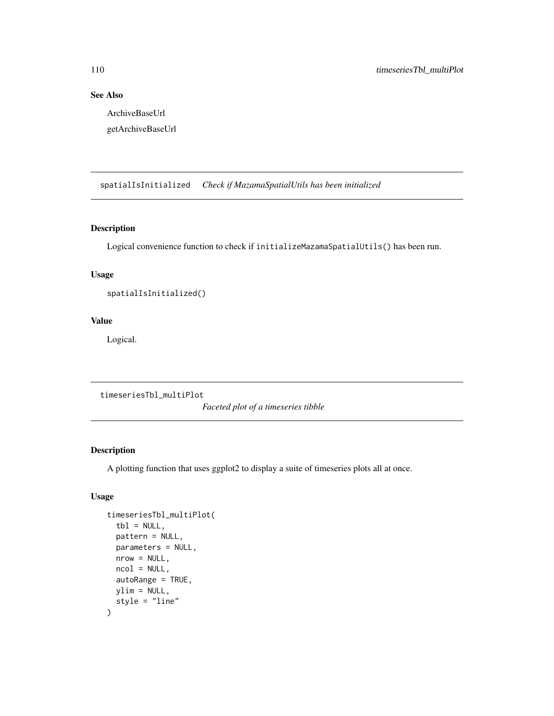# See Also

ArchiveBaseUrl getArchiveBaseUrl

spatialIsInitialized *Check if MazamaSpatialUtils has been initialized*

## Description

Logical convenience function to check if initializeMazamaSpatialUtils() has been run.

## Usage

spatialIsInitialized()

## Value

Logical.

timeseriesTbl\_multiPlot

*Faceted plot of a timeseries tibble*

#### Description

A plotting function that uses ggplot2 to display a suite of timeseries plots all at once.

## Usage

```
timeseriesTbl_multiPlot(
  tb1 = NULL,pattern = NULL,
 parameters = NULL,
 nrow = NULL,ncol = NULL,autoRange = TRUE,
 ylim = NULL,
  style = "line"
\mathcal{E}
```
<span id="page-109-0"></span>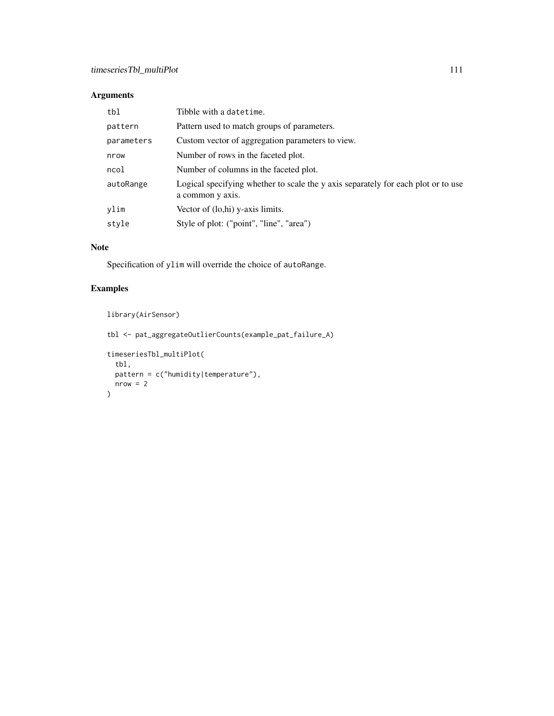# Arguments

| tbl        | Tibble with a datetime.                                                                               |
|------------|-------------------------------------------------------------------------------------------------------|
| pattern    | Pattern used to match groups of parameters.                                                           |
| parameters | Custom vector of aggregation parameters to view.                                                      |
| nrow       | Number of rows in the faceted plot.                                                                   |
| ncol       | Number of columns in the faceted plot.                                                                |
| autoRange  | Logical specifying whether to scale the y axis separately for each plot or to use<br>a common y axis. |
| ylim       | Vector of (lo,hi) y-axis limits.                                                                      |
| style      | Style of plot: ("point", "line", "area")                                                              |
|            |                                                                                                       |

# Note

Specification of ylim will override the choice of autoRange.

# Examples

```
library(AirSensor)
tbl <- pat_aggregateOutlierCounts(example_pat_failure_A)
timeseriesTbl_multiPlot(
 tbl,
 pattern = c("humidity|temperature"),
 nrow = 2\lambda
```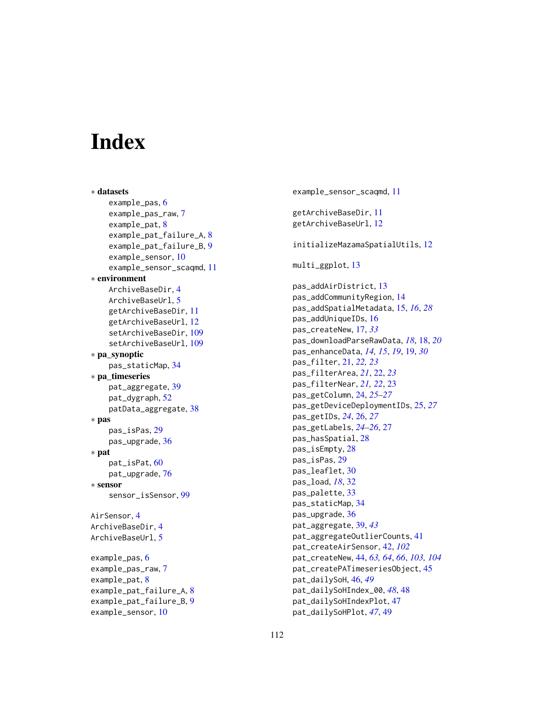# **Index**

∗ datasets example\_pas, [6](#page-5-0) example\_pas\_raw, [7](#page-6-0) example\_pat, [8](#page-7-0) example\_pat\_failure\_A, [8](#page-7-0) example\_pat\_failure\_B, [9](#page-8-0) example\_sensor, [10](#page-9-0) example\_sensor\_scaqmd, [11](#page-10-0) ∗ environment ArchiveBaseDir, [4](#page-3-0) ArchiveBaseUrl, [5](#page-4-0) getArchiveBaseDir, [11](#page-10-0) getArchiveBaseUrl, [12](#page-11-0) setArchiveBaseDir, [109](#page-108-0) setArchiveBaseUrl, [109](#page-108-0) ∗ pa\_synoptic pas\_staticMap, [34](#page-33-0) ∗ pa\_timeseries pat\_aggregate, [39](#page-38-0) pat\_dygraph, [52](#page-51-0) patData\_aggregate, [38](#page-37-0) ∗ pas pas\_isPas, [29](#page-28-0) pas\_upgrade, [36](#page-35-0) ∗ pat pat\_isPat, [60](#page-59-0) pat\_upgrade, [76](#page-75-0) ∗ sensor sensor\_isSensor, [99](#page-98-0) AirSensor, [4](#page-3-0) ArchiveBaseDir, [4](#page-3-0) ArchiveBaseUrl, [5](#page-4-0) example\_pas, [6](#page-5-0) example\_pas\_raw, [7](#page-6-0) example\_pat, [8](#page-7-0) example\_pat\_failure\_A, [8](#page-7-0) example\_pat\_failure\_B, [9](#page-8-0) example\_sensor, [10](#page-9-0)

example\_sensor\_scaqmd, [11](#page-10-0) getArchiveBaseDir, [11](#page-10-0) getArchiveBaseUrl, [12](#page-11-0) initializeMazamaSpatialUtils, [12](#page-11-0) multi\_ggplot, [13](#page-12-0) pas\_addAirDistrict, [13](#page-12-0) pas\_addCommunityRegion, [14](#page-13-0) pas\_addSpatialMetadata, [15,](#page-14-0) *[16](#page-15-0)*, *[28](#page-27-0)* pas\_addUniqueIDs, [16](#page-15-0) pas\_createNew, [17,](#page-16-0) *[33](#page-32-0)* pas\_downloadParseRawData, *[18](#page-17-0)*, [18,](#page-17-0) *[20](#page-19-0)* pas\_enhanceData, *[14,](#page-13-0) [15](#page-14-0)*, *[19](#page-18-0)*, [19,](#page-18-0) *[30](#page-29-0)* pas\_filter, [21,](#page-20-0) *[22,](#page-21-0) [23](#page-22-0)* pas\_filterArea, *[21](#page-20-0)*, [22,](#page-21-0) *[23](#page-22-0)* pas\_filterNear, *[21,](#page-20-0) [22](#page-21-0)*, [23](#page-22-0) pas\_getColumn, [24,](#page-23-0) *[25](#page-24-0)[–27](#page-26-0)* pas\_getDeviceDeploymentIDs, [25,](#page-24-0) *[27](#page-26-0)* pas\_getIDs, *[24](#page-23-0)*, [26,](#page-25-0) *[27](#page-26-0)* pas\_getLabels, *[24](#page-23-0)[–26](#page-25-0)*, [27](#page-26-0) pas\_hasSpatial, [28](#page-27-0) pas\_isEmpty, [28](#page-27-0) pas\_isPas, [29](#page-28-0) pas\_leaflet, [30](#page-29-0) pas\_load, *[18](#page-17-0)*, [32](#page-31-0) pas\_palette, [33](#page-32-0) pas\_staticMap, [34](#page-33-0) pas\_upgrade, [36](#page-35-0) pat\_aggregate, [39,](#page-38-0) *[43](#page-42-0)* pat\_aggregateOutlierCounts, [41](#page-40-0) pat\_createAirSensor, [42,](#page-41-0) *[102](#page-101-0)* pat\_createNew, [44,](#page-43-0) *[63,](#page-62-0) [64](#page-63-0)*, *[66](#page-65-0)*, *[103,](#page-102-0) [104](#page-103-0)* pat\_createPATimeseriesObject, [45](#page-44-0) pat\_dailySoH, [46,](#page-45-0) *[49](#page-48-0)* pat\_dailySoHIndex\_00, *[48](#page-47-0)*, [48](#page-47-0) pat\_dailySoHIndexPlot, [47](#page-46-0) pat\_dailySoHPlot, *[47](#page-46-0)*, [49](#page-48-0)